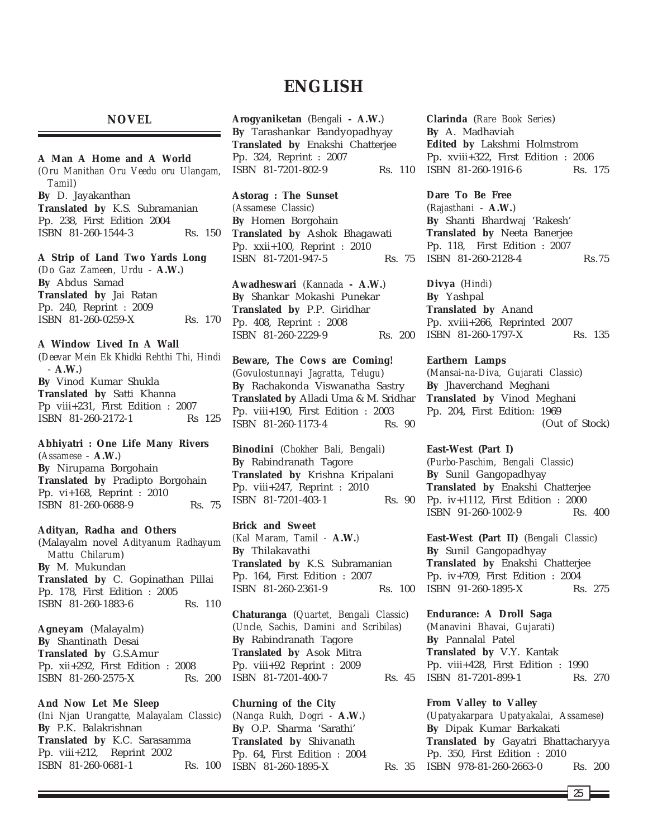# **ENGLISH**

**NOVEL**

# **A Man A Home and A World**

*(Oru Manithan Oru Veedu oru Ulangam, Tamil*) **By** D. Jayakanthan **Translated by** K.S. Subramanian Pp. 238, First Edition 2004 ISBN 81-260-1544-3 Rs. 150

**A Strip of Land Two Yards Long**

(*Do Gaz Zameen, Urdu* - **A.W.**) **By** Abdus Samad **Translated by** Jai Ratan Pp. 240, Reprint : 2009 ISBN 81-260-0259-X Rs. 170

# **A Window Lived In A Wall**

(*Deevar Mein Ek Khidki Rehthi Thi, Hindi* - **A.W.**) **By** Vinod Kumar Shukla **Translated by** Satti Khanna Pp viii+231, First Edition : 2007 ISBN 81-260-2172-1 Rs 125

**Abhiyatri : One Life Many Rivers** (*Assamese* - **A.W.**) **By** Nirupama Borgohain **Translated by** Pradipto Borgohain Pp. vi+168, Reprint : 2010 ISBN 81-260-0688-9 Rs. 75

**Adityan, Radha and Others** (Malayalm novel *Adityanum Radhayum Mattu Chilarum*) **By** M. Mukundan **Translated by** C. Gopinathan Pillai Pp. 178, First Edition : 2005 ISBN 81-260-1883-6 Rs. 110

**Agneyam** (Malayalm) **By** Shantinath Desai **Translated by** G.S.Amur Pp. xii+292, First Edition : 2008 ISBN 81-260-2575-X Rs. 200

**And Now Let Me Sleep** (*Ini Njan Urangatte, Malayalam Classic*) **By** P.K. Balakrishnan **Translated by** K.C. Sarasamma Pp. viii+212, Reprint 2002 ISBN 81-260-0681-1 Rs. 100

**Arogyaniketan** (*Bengali* **- A.W.**) **By** Tarashankar Bandyopadhyay **Translated by** Enakshi Chatterjee Pp. 324, Reprint : 2007 ISBN 81-7201-802-9 Rs. 110

**Astorag : The Sunset** *(Assamese Classic*)

**By** Homen Borgohain **Translated by** Ashok Bhagawati Pp. xxii+100, Reprint : 2010 ISBN 81-7201-947-5 Rs. 75

**Awadheswari** *(Kannada* **- A.W.**) **By** Shankar Mokashi Punekar **Translated by** P.P. Giridhar Pp. 408, Reprint : 2008 ISBN 81-260-2229-9 Rs. 200

**Beware, The Cows are Coming!** (*Govulostunnayi Jagratta, Telugu*) **By** Rachakonda Viswanatha Sastry **Translated by** Alladi Uma & M. Sridhar Pp. viii+190, First Edition : 2003 ISBN 81-260-1173-4 Rs. 90

**Binodini** (*Chokher Bali, Bengali*) **By** Rabindranath Tagore **Translated by** Krishna Kripalani Pp. viii+247, Reprint : 2010 ISBN 81-7201-403-1 Rs. 90

**Brick and Sweet** *(Kal Maram, Tamil -* **A.W.***)* **By** Thilakavathi **Translated by** K.S. Subramanian Pp. 164, First Edition : 2007 ISBN 81-260-2361-9 Rs. 100

**Chaturanga** (*Quartet, Bengali Classic*) (*Uncle, Sachis, Damini and Scribilas*) **By** Rabindranath Tagore **Translated by** Asok Mitra Pp. viii+92 Reprint : 2009 ISBN 81-7201-400-7 Rs. 45

**Churning of the City** (*Nanga Rukh, Dogri -* **A.W.**) **By** O.P. Sharma 'Sarathi' **Translated by** Shivanath Pp. 64, First Edition : 2004 ISBN 81-260-1895-X

**Clarinda** (*Rare Book Series*) **By** A. Madhaviah **Edited by** Lakshmi Holmstrom Pp. xviii+322, First Edition : 2006 ISBN 81-260-1916-6 Rs. 175

**Dare To Be Free** (*Rajasthani* - **A.W.**) **By** Shanti Bhardwaj 'Rakesh' **Translated by** Neeta Banerjee Pp. 118, First Edition : 2007 ISBN 81-260-2128-4 Rs.75

**Divya** (*Hindi*) **By** Yashpal **Translated by** Anand Pp. xviii+266, Reprinted 2007 ISBN 81-260-1797-X Rs. 135

**Earthern Lamps** (*Mansai-na-Diva, Gujarati Classic*) **By** Jhaverchand Meghani **Translated by** Vinod Meghani Pp. 204, First Edition: 1969 (Out of Stock)

**East-West (Part I)** (*Purbo-Paschim, Bengali Classic*) **By** Sunil Gangopadhyay **Translated by** Enakshi Chatterjee Pp. iv+1112, First Edition : 2000 ISBN 91-260-1002-9 Rs. 400

**East-West (Part II)** (*Bengali Classic*) **By** Sunil Gangopadhyay **Translated by** Enakshi Chatterjee Pp. iv+709, First Edition : 2004 ISBN 91-260-1895-X Rs. 275

**Endurance: A Droll Saga** (*Manavini Bhavai, Gujarati*) **By** Pannalal Patel **Translated by** V.Y. Kantak Pp. viii+428, First Edition : 1990 ISBN 81-7201-899-1 Rs. 270

**From Valley to Valley** (*Upatyakarpara Upatyakalai, Assamese*) **By** Dipak Kumar Barkakati **Translated by** Gayatri Bhattacharyya Pp. 350, First Edition : 2010 Rs. 35 ISBN 978-81-260-2663-0 Rs. 200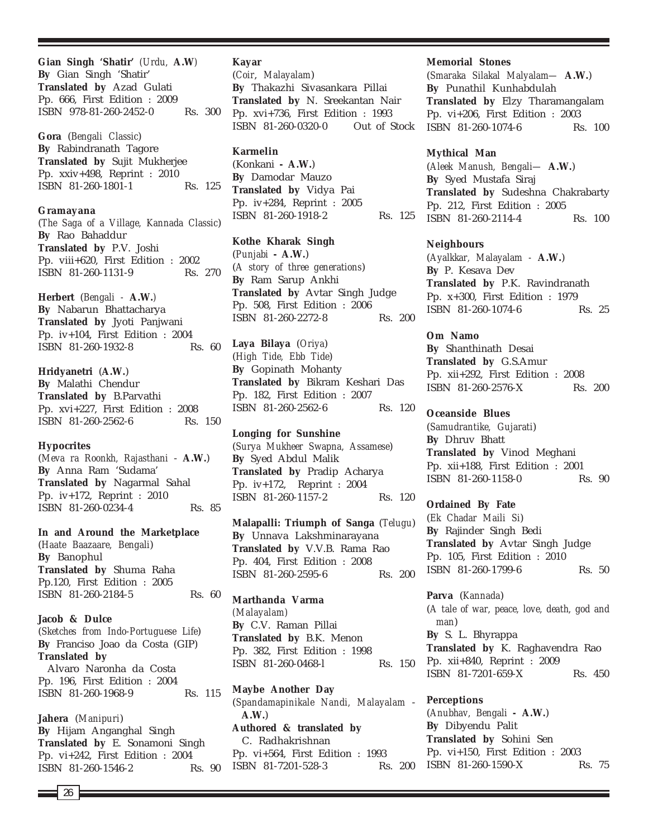**Gian Singh 'Shatir'** *(Urdu,* **A.W***)* **By** Gian Singh 'Shatir' **Translated by** Azad Gulati Pp. 666, First Edition : 2009 ISBN 978-81-260-2452-0 Rs. 300

**Gora** (*Bengali Classic*) **By** Rabindranath Tagore **Translated by** Sujit Mukherjee Pp. xxiv+498, Reprint : 2010 ISBN 81-260-1801-1 Rs. 125

**Gramayana** (*The Saga of a Village, Kannada Classic*) **By** Rao Bahaddur **Translated by** P.V. Joshi Pp. viii+620, First Edition : 2002 ISBN 81-260-1131-9 Rs. 270

**Herbert** (*Bengali -* **A.W.***)* **By** Nabarun Bhattacharya **Translated by** Jyoti Panjwani Pp. iv+104, First Edition : 2004 ISBN 81-260-1932-8 Rs. 60

**Hridyanetri** (**A.W.**) **By** Malathi Chendur **Translated by** B.Parvathi Pp. xvi+227, First Edition : 2008 ISBN 81-260-2562-6 Rs. 150

# **Hypocrites**

(*Meva ra Roonkh, Rajasthani* - **A.W.**) **By** Anna Ram 'Sudama' **Translated by** Nagarmal Sahal Pp. iv+172, Reprint : 2010 ISBN 81-260-0234-4 Rs. 85

**In and Around the Marketplace** (*Haate Baazaare, Bengali*) **By** Banophul **Translated by** Shuma Raha Pp.120, First Edition : 2005 ISBN 81-260-2184-5 Rs. 60

**Jacob & Dulce** (*Sketches from Indo-Portuguese Life*) **By** Franciso Joao da Costa (GIP) **Translated by** Alvaro Naronha da Costa Pp. 196, First Edition : 2004 ISBN 81-260-1968-9 Rs. 115

**Jahera** (*Manipuri*) **By** Hijam Anganghal Singh **Translated by** E. Sonamoni Singh Pp. vi+242, First Edition : 2004 ISBN 81-260-1546-2 Rs. 90

#### **Kayar**

(*Coir*, *Malayalam*) **By** Thakazhi Sivasankara Pillai **Translated by** N. Sreekantan Nair Pp. xvi+736, First Edition : 1993 ISBN 81-260-0320-0 Out of Stock

# **Karmelin**

(Konkani **- A.W.**) **By** Damodar Mauzo **Translated by** Vidya Pai Pp. iv+284, Reprint : 2005 ISBN 81-260-1918-2 Rs. 125

**Kothe Kharak Singh** (*Punjabi* **- A.W.**) (*A story of three generations*) **By** Ram Sarup Ankhi **Translated by** Avtar Singh Judge Pp. 508, First Edition : 2006 ISBN 81-260-2272-8 Rs. 200

**Laya Bilaya** (*Oriya*) (*High Tide, Ebb Tide*) **By** Gopinath Mohanty **Translated by** Bikram Keshari Das Pp. 182, First Edition : 2007 ISBN 81-260-2562-6 Rs. 120

**Longing for Sunshine** (*Surya Mukheer Swapna, Assamese*) **By** Syed Abdul Malik **Translated by** Pradip Acharya Pp. iv+172, Reprint : 2004 ISBN 81-260-1157-2 Rs. 120

**Malapalli: Triumph of Sanga** (*Telugu*) **By** Unnava Lakshminarayana **Translated by** V.V.B. Rama Rao Pp. 404, First Edition : 2008 ISBN 81-260-2595-6 Rs. 200

**Marthanda Varma** *(Malayalam)* **By** C.V. Raman Pillai **Translated by** B.K. Menon Pp. 382, First Edition : 1998 ISBN 81-260-0468-l Rs. 150

**Maybe Another Day** (*Spandamapinikale Nandi, Malayalam* - **A.W.**) **Authored & translated by** C. Radhakrishnan Pp. vi+564, First Edition : 1993 ISBN 81-7201-528-3

#### **Memorial Stones**

(*Smaraka Silakal Malyalam—* **A.W.**) **By** Punathil Kunhabdulah **Translated by** Elzy Tharamangalam Pp. vi+206, First Edition : 2003 ISBN 81-260-1074-6 Rs. 100

#### **Mythical Man**

(*Aleek Manush, Bengali—* **A.W.**) **By** Syed Mustafa Siraj **Translated by** Sudeshna Chakrabarty Pp. 212, First Edition : 2005 ISBN 81-260-2114-4 Rs. 100

# **Neighbours**

(*Ayalkkar, Malayalam -* **A.W.**) **By** P. Kesava Dev **Translated by** P.K. Ravindranath Pp. x+300, First Edition : 1979 ISBN 81-260-1074-6 Rs. 25

**Om Namo By** Shanthinath Desai **Translated by** G.S.Amur Pp. xii+292, First Edition : 2008

ISBN 81-260-2576-X Rs. 200

# **Oceanside Blues**

(*Samudrantike, Gujarati*) **By** Dhruv Bhatt **Translated by** Vinod Meghani Pp. xii+188, First Edition : 2001 ISBN 81-260-1158-0 Rs. 90

**Ordained By Fate** (*Ek Chadar Maili Si*) **By** Rajinder Singh Bedi **Translated by** Avtar Singh Judge Pp. 105, First Edition : 2010 ISBN 81-260-1799-6 Rs. 50

**Parva** (*Kannada*) (*A tale of war, peace, love, death, god and man*) **By** S. L. Bhyrappa **Translated by** K. Raghavendra Rao Pp. xii+840, Reprint : 2009 ISBN 81-7201-659-X Rs. 450

**Perceptions** (*Anubhav, Bengali -* **A.W.**) **By** Dibyendu Palit **Translated by** Sohini Sen Pp. vi+150, First Edition : 2003 Rs. 200 ISBN 81-260-1590-X Rs. 75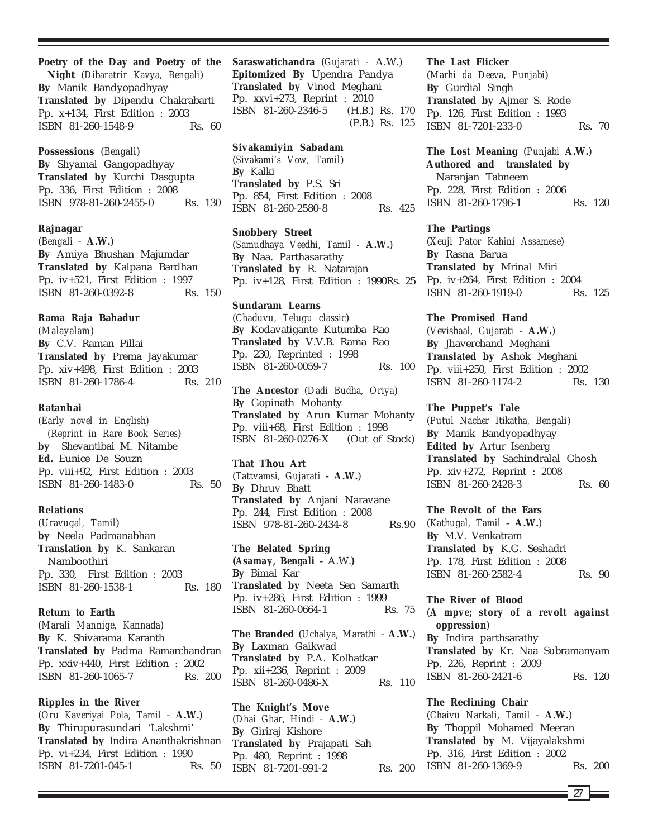# **Poetry of the Day and Poetry of the**

**Night** (*Dibaratrir Kavya, Bengali*) **By** Manik Bandyopadhyay **Translated by** Dipendu Chakrabarti Pp. x+134, First Edition : 2003 ISBN 81-260-1548-9 Rs. 60

**Possessions** (*Bengali*) **By** Shyamal Gangopadhyay **Translated by** Kurchi Dasgupta Pp. 336, First Edition : 2008 ISBN 978-81-260-2455-0 Rs. 130

#### **Rajnagar**

(*Bengali* - **A.W.**) **By** Amiya Bhushan Majumdar **Translated by** Kalpana Bardhan Pp. iv+521, First Edition : 1997 ISBN 81-260-0392-8 Rs. 150

#### **Rama Raja Bahadur**

(*Malayalam*) **By** C.V. Raman Pillai **Translated by** Prema Jayakumar Pp. xiv+498, First Edition : 2003 ISBN 81-260-1786-4 Rs. 210

# **Ratanbai**

(*Early novel in English) (Reprint in Rare Book Series*) **by** Shevantibai M. Nitambe **Ed.** Eunice De Souzn Pp. viii+92, First Edition : 2003 ISBN 81-260-1483-0 Rs. 50

#### **Relations**

(*Uravugal, Tamil*) **by** Neela Padmanabhan **Translation by** K. Sankaran Namboothiri Pp. 330, First Edition : 2003 ISBN 81-260-1538-1 Rs. 180

# **Return to Earth**

(*Marali Mannige, Kannada*) **By** K. Shivarama Karanth **Translated by** Padma Ramarchandran Pp. xxiv+440, First Edition : 2002 ISBN 81-260-1065-7 Rs. 200

**Ripples in the River** (*Oru Kaveriyai Pola, Tamil* - **A.W.**) **By** Thirupurasundari 'Lakshmi' **Translated by** Indira Ananthakrishnan Pp. vi+234, First Edition : 1990 ISBN 81-7201-045-1 Rs. 50

**Saraswatichandra** (*Gujarati -* A.W.) **Epitomized By** Upendra Pandya **Translated by** Vinod Meghani Pp. xxvi+273, Reprint : 2010 ISBN 81-260-2346-5 (H.B.) Rs. 170 (P.B.) Rs. 125

**Sivakamiyin Sabadam** (*Sivakami's Vow, Tamil*) **By** Kalki **Translated by** P.S. Sri Pp. 854, First Edition : 2008 ISBN 81-260-2580-8 Rs. 425

# **Snobbery Street**

(*Samudhaya Veedhi, Tamil -* **A.W.**) **By** Naa. Parthasarathy **Translated by** R. Natarajan Pp. iv+128, First Edition : 1990Rs. 25

**Sundaram Learns** (*Chaduvu, Telugu classic*) **By** Kodavatigante Kutumba Rao **Translated by** V.V.B. Rama Rao Pp. 230, Reprinted : 1998 ISBN 81-260-0059-7 Rs. 100

**The Ancestor** (*Dadi Budha, Oriya*) **By** Gopinath Mohanty **Translated by** Arun Kumar Mohanty Pp. viii+68, First Edition : 1998 ISBN 81-260-0276-X (Out of Stock)

**That Thou Art** (*Tattvamsi, Gujarati* **- A.W.**) **By** Dhruv Bhatt **Translated by** Anjani Naravane Pp. 244, First Edition : 2008 ISBN 978-81-260-2434-8 Rs.90

**The Belated Spring (***Asamay, Bengali* **-** A.W.**) By** Bimal Kar **Translated by** Neeta Sen Samarth Pp. iv+286, First Edition : 1999 ISBN 81-260-0664-1 Rs. 75

**The Branded** (*Uchalya, Marathi* - **A.W.**) **By** Laxman Gaikwad **Translated by** P.A. Kolhatkar Pp. xii+236, Reprint : 2009 ISBN 81-260-0486-X Rs. 110

**The Knight's Move** (*Dhai Ghar, Hindi -* **A.W.**) **By** Giriraj Kishore **Translated by** Prajapati Sah Pp. 480, Reprint : 1998 ISBN 81-7201-991-2 Rs. 200

#### **The Last Flicker**

(*Marhi da Deeva, Punjabi*) **By** Gurdial Singh **Translated by** Ajmer S. Rode Pp. 126, First Edition : 1993 ISBN 81-7201-233-0 Rs. 70

**The Lost Meaning** (*Punjabi* **A.W.**) **Authored and translated by** Naranjan Tabneem Pp. 228, First Edition : 2006 ISBN 81-260-1796-1 Rs. 120

#### **The Partings**

(*Xeuji Pator Kahini Assamese*) **By** Rasna Barua **Translated by** Mrinal Miri Pp. iv+264, First Edition : 2004 ISBN 81-260-1919-0 Rs. 125

**The Promised Hand**

(*Vevishaal, Gujarati* - **A.W.**) **By** Jhaverchand Meghani **Translated by** Ashok Meghani Pp. viii+250, First Edition : 2002 ISBN 81-260-1174-2 Rs. 130

#### **The Puppet's Tale**

(*Putul Nacher Itikatha, Bengali*) **By** Manik Bandyopadhyay **Edited by** Artur Isenberg **Translated by** Sachindralal Ghosh Pp. xiv+272, Reprint : 2008 ISBN 81-260-2428-3 Rs. 60

**The Revolt of the Ears**

(*Kathugal, Tamil* **- A.W.**) **By** M.V. Venkatram **Translated by** K.G. Seshadri Pp. 178, First Edition : 2008 ISBN 81-260-2582-4 Rs. 90

#### **The River of Blood**

(*A mpve; story of a revolt against oppression*)

**By** Indira parthsarathy **Translated by** Kr. Naa Subramanyam Pp. 226, Reprint : 2009 ISBN 81-260-2421-6 Rs. 120

#### **The Reclining Chair**

(*Chaivu Narkali, Tamil* - **A.W.**) **By** Thoppil Mohamed Meeran **Translated by** M. Vijayalakshmi Pp. 316, First Edition : 2002 ISBN 81-260-1369-9 Rs. 200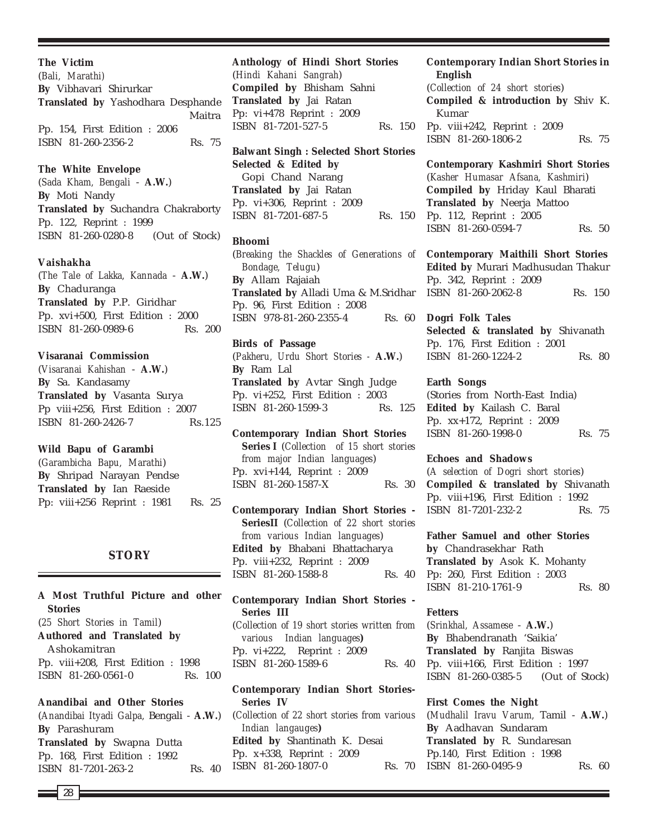#### **The Victim**

(*Bali, Marathi)* **By** Vibhavari Shirurkar **Translated by** Yashodhara Desphande Maitra Pp. 154, First Edition : 2006 ISBN 81-260-2356-2 Rs. 75

#### **The White Envelope**

(*Sada Kham, Bengali* - **A.W.**) **By** Moti Nandy **Translated by** Suchandra Chakraborty Pp. 122, Reprint : 1999 ISBN 81-260-0280-8 (Out of Stock)

#### **Vaishakha**

(*The Tale of Lakka, Kannada* - **A.W.**) **By** Chaduranga **Translated by** P.P. Giridhar Pp. xvi+500, First Edition : 2000 ISBN 81-260-0989-6 Rs. 200

# **Visaranai Commission**

(*Visaranai Kahishan* - **A.W.**) **By** Sa. Kandasamy **Translated by** Vasanta Surya Pp viii+256, First Edition : 2007 ISBN 81-260-2426-7 Rs.125

**Wild Bapu of Garambi** (*Garambicha Bapu, Marathi*) **By** Shripad Narayan Pendse **Translated by** Ian Raeside Pp: viii+256 Reprint : 1981 Rs. 25

# **STORY**

**A Most Truthful Picture and other Stories** (*25 Short Stories in Tamil*) **Authored and Translated by** Ashokamitran Pp. viii+208, First Edition : 1998 ISBN 81-260-0561-0 Rs. 100 **Anandibai and Other Stories** (*Anandibai Ityadi Galpa,* Bengali - **A.W.**) **By** Parashuram **Translated by** Swapna Dutta Pp. 168, First Edition : 1992

ISBN 81-7201-263-2 Rs. 40

**Anthology of Hindi Short Stories** (*Hindi Kahani Sangrah*) **Compiled by** Bhisham Sahni **Translated by** Jai Ratan Pp: vi+478 Reprint : 2009 ISBN 81-7201-527-5 Rs. 150

**Balwant Singh : Selected Short Stories Selected & Edited by** Gopi Chand Narang **Translated by** Jai Ratan Pp. vi+306, Reprint : 2009 ISBN 81-7201-687-5 Rs. 150

#### **Bhoomi**

(*Breaking the Shackles of Generations of* **Contemporary Maithili Short Stories** *Bondage, Telugu*) **By** Allam Rajaiah **Translated by** Alladi Uma & M.Sridhar Pp. 96, First Edition : 2008 ISBN 978-81-260-2355-4 Rs. 60

# **Birds of Passage**

(*Pakheru, Urdu Short Stories -* **A.W.**) **By** Ram Lal **Translated by** Avtar Singh Judge Pp. vi+252, First Edition : 2003 ISBN 81-260-1599-3

**Contemporary Indian Short Stories Series I** (*Collection of 15 short stories from major Indian languages*) Pp. xvi+144, Reprint : 2009 ISBN 81-260-1587-X Rs. 30

**Contemporary Indian Short Stories - SeriesII** (*Collection of 22 short stories from various Indian languages*) **Edited by** Bhabani Bhattacharya Pp. viii+232, Reprint : 2009 ISBN 81-260-1588-8 Rs. 40

**Contemporary Indian Short Stories - Series III**

(*Collection of 19 short stories written from various Indian languages***)** Pp. vi+222, Reprint : 2009 ISBN 81-260-1589-6 Rs. 40

# **Contemporary Indian Short Stories-Series IV**

(*Collection of 22 short stories from various Indian langauges***) Edited by** Shantinath K. Desai Pp. x+338, Reprint : 2009 ISBN 81-260-1807-0

# **Contemporary Indian Short Stories in English**

(*Collection of 24 short stories*) **Compiled & introduction by** Shiv K. Kumar Pp. viii+242, Reprint : 2009 ISBN 81-260-1806-2 Rs. 75

**Contemporary Kashmiri Short Stories** (*Kasher Humasar Afsana, Kashmiri*) **Compiled by** Hriday Kaul Bharati **Translated by** Neerja Mattoo Pp. 112, Reprint : 2005 ISBN 81-260-0594-7 Rs. 50

**Edited by** Murari Madhusudan Thakur Pp. 342, Reprint : 2009 ISBN 81-260-2062-8 Rs. 150

#### **Dogri Folk Tales**

**Selected & translated by** Shivanath Pp. 176, First Edition : 2001 ISBN 81-260-1224-2 Rs. 80

### **Earth Songs**

(Stories from North-East India) **Edited by** Kailash C. Baral Pp. xx+172, Reprint : 2009 ISBN 81-260-1998-0 Rs. 75

#### **Echoes and Shadows**

(*A selection of Dogri short stories*) **Compiled & translated by** Shivanath Pp. viii+196, First Edition : 1992 ISBN 81-7201-232-2 Rs. 75

**Father Samuel and other Stories by** Chandrasekhar Rath **Translated by** Asok K. Mohanty Pp: 260, First Edition : 2003 ISBN 81-210-1761-9 Rs. 80

#### **Fetters**

(*Srinkhal, Assamese* - **A.W.**) **By** Bhabendranath 'Saikia' **Translated by** Ranjita Biswas Pp. viii+166, First Edition : 1997 ISBN 81-260-0385-5 (Out of Stock)

#### **First Comes the Night**

(*Mudhalil Iravu Varum,* Tamil - **A.W.**) **By** Aadhavan Sundaram **Translated by** R. Sundaresan Pp.140, First Edition : 1998 Rs. 70 ISBN 81-260-0495-9 Rs. 60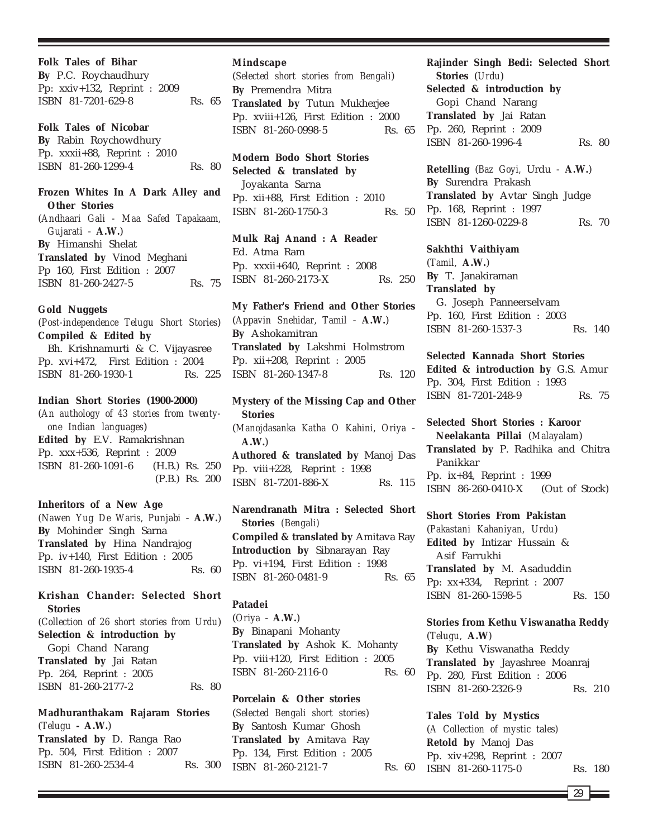**Folk Tales of Bihar By** P.C. Roychaudhury Pp: xxiv+132, Reprint : 2009 ISBN 81-7201-629-8 Rs. 65

**Folk Tales of Nicobar By** Rabin Roychowdhury Pp. xxxii+88, Reprint : 2010 ISBN 81-260-1299-4 Rs. 80

**Frozen Whites In A Dark Alley and Other Stories** (*Andhaari Gali - Maa Safed Tapakaam, Gujarati* - **A.W.**) **By** Himanshi Shelat **Translated by** Vinod Meghani Pp 160, First Edition : 2007 ISBN 81-260-2427-5 Rs. 75

# **Gold Nuggets**

(*Post-independence Telugu Short Stories*) **Compiled & Edited by** Bh. Krishnamurti & C. Vijayasree Pp. xvi+472, First Edition : 2004 ISBN 81-260-1930-1 Rs. 225

# **Indian Short Stories (1900-2000)**

(*An authology of 43 stories from twentyone Indian languages*) **Edited by** E.V. Ramakrishnan Pp. xxx+536, Reprint : 2009 ISBN 81-260-1091-6 (H.B.) Rs. 250 (P.B.) Rs. 200

**Inheritors of a New Age** (*Nawen Yug De Waris, Punjabi* - **A.W.**) **By** Mohinder Singh Sarna **Translated by** Hina Nandrajog Pp. iv+140, First Edition : 2005 ISBN 81-260-1935-4 Rs. 60

# **Krishan Chander: Selected Short Stories**

(*Collection of 26 short stories from Urdu*) **Selection & introduction by** Gopi Chand Narang **Translated by** Jai Ratan Pp. 264, Reprint : 2005 ISBN 81-260-2177-2 Rs. 80

**Madhuranthakam Rajaram Stories** (*Telugu* **- A.W.**)

**Translated by** D. Ranga Rao Pp. 504, First Edition : 2007 ISBN 81-260-2534-4 Rs. 300

# **Mindscape**

(*Selected short stories from Bengali*) **By** Premendra Mitra **Translated by** Tutun Mukherjee Pp. xviii+126, First Edition : 2000 ISBN 81-260-0998-5 Rs. 65

# **Modern Bodo Short Stories Selected & translated by** Joyakanta Sarna Pp. xii+88, First Edition : 2010 ISBN 81-260-1750-3 Rs. 50

**Mulk Raj Anand : A Reader** Ed. Atma Ram Pp. xxxii+640, Reprint : 2008 ISBN 81-260-2173-X Rs. 250

**My Father's Friend and Other Stories** (*Appavin Snehidar, Tamil* - **A.W.**) **By** Ashokamitran **Translated by** Lakshmi Holmstrom Pp. xii+208, Reprint : 2005 ISBN 81-260-1347-8 Rs. 120

**Mystery of the Missing Cap and Other Stories** (*Manojdasanka Katha O Kahini, Oriya* - **A.W.**) **Authored & translated by** Manoj Das Pp. viii+228, Reprint : 1998 ISBN 81-7201-886-X Rs. 115

**Narendranath Mitra : Selected Short Stories** *(Bengali)* **Compiled & translated by** Amitava Ray **Introduction by** Sibnarayan Ray Pp. vi+194, First Edition : 1998 ISBN 81-260-0481-9 Rs. 65

# **Patadei**

(*Oriya* - **A.W.**) **By** Binapani Mohanty **Translated by** Ashok K. Mohanty Pp. viii+120, First Edition : 2005 ISBN 81-260-2116-0 Rs. 60

**Porcelain & Other stories** (*Selected Bengali short stories*) **By** Santosh Kumar Ghosh **Translated by** Amitava Ray Pp. 134, First Edition : 2005 ISBN 81-260-2121-7 Rs. 60 **Rajinder Singh Bedi: Selected Short Stories** (*Urdu*) **Selected & introduction by** Gopi Chand Narang **Translated by** Jai Ratan Pp. 260, Reprint : 2009 ISBN 81-260-1996-4 Rs. 80

**Retelling** (*Baz Goyi,* Urdu - **A.W.**) **By** Surendra Prakash **Translated by** Avtar Singh Judge Pp. 168, Reprint : 1997 ISBN 81-1260-0229-8 Rs. 70

**Sakhthi Vaithiyam** (*Tamil,* **A.W.**) **By** T. Janakiraman **Translated by** G. Joseph Panneerselvam Pp. 160, First Edition : 2003 ISBN 81-260-1537-3 Rs. 140

**Selected Kannada Short Stories Edited & introduction by** G.S. Amur Pp. 304, First Edition : 1993 ISBN 81-7201-248-9 Rs. 75

**Selected Short Stories : Karoor Neelakanta Pillai** (*Malayalam*) **Translated by** P. Radhika and Chitra Panikkar Pp. ix+84, Reprint : 1999 ISBN 86-260-0410-X (Out of Stock)

**Short Stories From Pakistan** (*Pakastani Kahaniyan, Urdu*) **Edited by** Intizar Hussain & Asif Farrukhi **Translated by** M. Asaduddin Pp: xx+334, Reprint : 2007 ISBN 81-260-1598-5 Rs. 150

**Stories from Kethu Viswanatha Reddy** (*Telugu,* **A.W**) **By** Kethu Viswanatha Reddy **Translated by** Jayashree Moanraj Pp. 280, First Edition : 2006 ISBN 81-260-2326-9 Rs. 210

**Tales Told by Mystics** (*A Collection of mystic tales)* **Retold by** Manoj Das Pp. xiv+298, Reprint : 2007 ISBN 81-260-1175-0 Rs. 180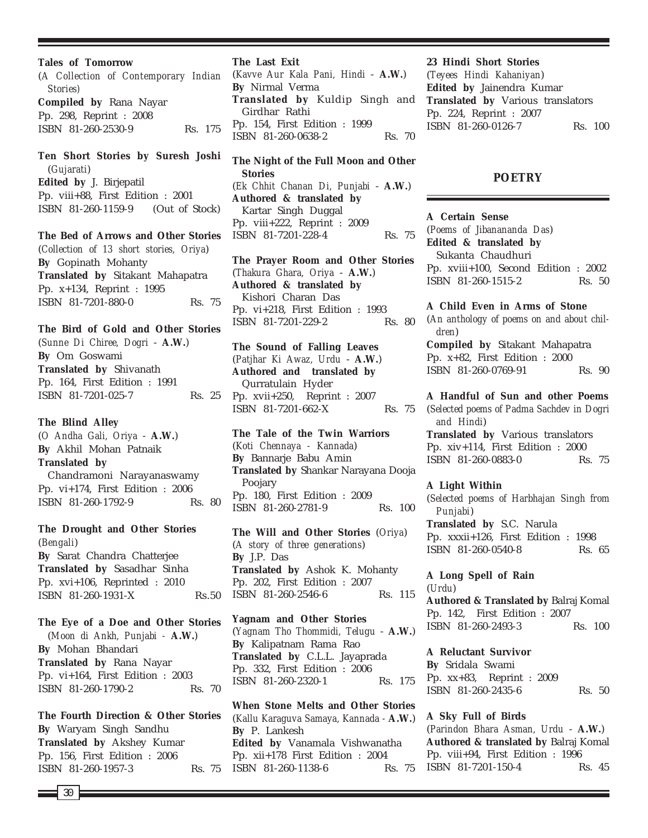**Tales of Tomorrow**

(*A Collection of Contemporary Indian Stories)* **Compiled by** Rana Nayar Pp. 298, Reprint : 2008 ISBN 81-260-2530-9 Rs. 175

**Ten Short Stories by Suresh Joshi** (*Gujarati*) **Edited by** J. Birjepatil Pp. viii+88, First Edition : 2001 ISBN 81-260-1159-9 (Out of Stock)

#### **The Bed of Arrows and Other Stories**

(*Collection of 13 short stories, Oriya*) **By** Gopinath Mohanty **Translated by** Sitakant Mahapatra Pp. x+134, Reprint : 1995 ISBN 81-7201-880-0 Rs. 75

### **The Bird of Gold and Other Stories**

(*Sunne Di Chiree, Dogri* - **A.W.**) **By** Om Goswami **Translated by** Shivanath Pp. 164, First Edition : 1991 ISBN 81-7201-025-7 Rs. 25

# **The Blind Alley**

(*O Andha Gali, Oriya* - **A.W.**) **By** Akhil Mohan Patnaik **Translated by** Chandramoni Narayanaswamy Pp. vi+174, First Edition : 2006 ISBN 81-260-1792-9 Rs. 80

**The Drought and Other Stories** (*Bengali*) **By** Sarat Chandra Chatterjee **Translated by** Sasadhar Sinha Pp. xvi+106, Reprinted : 2010 ISBN 81-260-1931-X Rs.50

**The Eye of a Doe and Other Stories** (*Moon di Ankh, Punjabi -* **A.W.**) **By** Mohan Bhandari **Translated by** Rana Nayar Pp. vi+164, First Edition : 2003 ISBN 81-260-1790-2 Rs. 70

**The Fourth Direction & Other Stories By** Waryam Singh Sandhu **Translated by** Akshey Kumar Pp. 156, First Edition : 2006 ISBN 81-260-1957-3 Rs. 75

**The Last Exit**

(*Kavve Aur Kala Pani, Hindi* - **A.W.**) **By** Nirmal Verma **Translated by** Kuldip Singh and Girdhar Rathi Pp. 154, First Edition : 1999 ISBN 81-260-0638-2 Rs. 70

**The Night of the Full Moon and Other Stories** (*Ek Chhit Chanan Di, Punjabi* - **A.W.**) **Authored & translated by** Kartar Singh Duggal Pp. viii+222, Reprint : 2009 ISBN 81-7201-228-4 Rs. 75

**The Prayer Room and Other Stories** (*Thakura Ghara, Oriya* - **A.W.**) **Authored & translated by** Kishori Charan Das Pp. vi+218, First Edition : 1993 ISBN 81-7201-229-2 Rs. 80

**The Sound of Falling Leaves** (*Patjhar Ki Awaz, Urdu* - **A.W.**) **Authored and translated by** Qurratulain Hyder Pp. xvii+250, Reprint : 2007 ISBN 81-7201-662-X Rs. 75

**The Tale of the Twin Warriors** (*Koti Chennaya - Kannada*) **By** Bannarje Babu Amin **Translated by** Shankar Narayana Dooja Poojary Pp. 180, First Edition : 2009 ISBN 81-260-2781-9 Rs. 100

**The Will and Other Stories** (*Oriya*) (*A story of three generations*) **By** J.P. Das **Translated by** Ashok K. Mohanty Pp. 202, First Edition : 2007 ISBN 81-260-2546-6 Rs. 115

**Yagnam and Other Stories** (*Yagnam Tho Thommidi, Telugu* - **A.W.**) **By** Kalipatnam Rama Rao **Translated by** C.L.L. Jayaprada Pp. 332, First Edition : 2006 ISBN 81-260-2320-1 Rs. 175

**When Stone Melts and Other Stories** (*Kallu Karaguva Samaya, Kannada -* **A.W.**) **By** P. Lankesh **Edited by** Vanamala Vishwanatha Pp. xii+178 First Edition : 2004 ISBN 81-260-1138-6 Rs. 75

#### **23 Hindi Short Stories**

(*Teyees Hindi Kahaniyan*) **Edited by** Jainendra Kumar **Translated by** Various translators Pp. 224, Reprint : 2007 ISBN 81-260-0126-7 Rs. 100

# **POETRY**

**A Certain Sense** (*Poems of Jibanananda Das*) **Edited & translated by** Sukanta Chaudhuri Pp. xviii+100, Second Edition : 2002 ISBN 81-260-1515-2 Rs. 50

**A Child Even in Arms of Stone** (*An anthology of poems on and about children*) **Compiled by** Sitakant Mahapatra Pp. x+82, First Edition : 2000 ISBN 81-260-0769-91 Rs. 90

**A Handful of Sun and other Poems** (*Selected poems of Padma Sachdev in Dogri and Hindi*) **Translated by** Various translators Pp. xiv+114, First Edition : 2000 ISBN 81-260-0883-0 Rs. 75

# **A Light Within**

(*Selected poems of Harbhajan Singh from Punjabi*) **Translated by** S.C. Narula Pp. xxxii+126, First Edition : 1998 ISBN 81-260-0540-8 Rs. 65

# **A Long Spell of Rain** (*Urdu*)

**Authored & Translated by** Balraj Komal Pp. 142, First Edition : 2007 ISBN 81-260-2493-3 Rs. 100

**A Reluctant Survivor By** Sridala Swami Pp. xx+83, Reprint : 2009 ISBN 81-260-2435-6 Rs. 50

**A Sky Full of Birds** (*Parindon Bhara Asman, Urdu* - **A.W.**) **Authored & translated by** Balraj Komal Pp. viii+94, First Edition : 1996

ISBN 81-7201-150-4 Rs. 45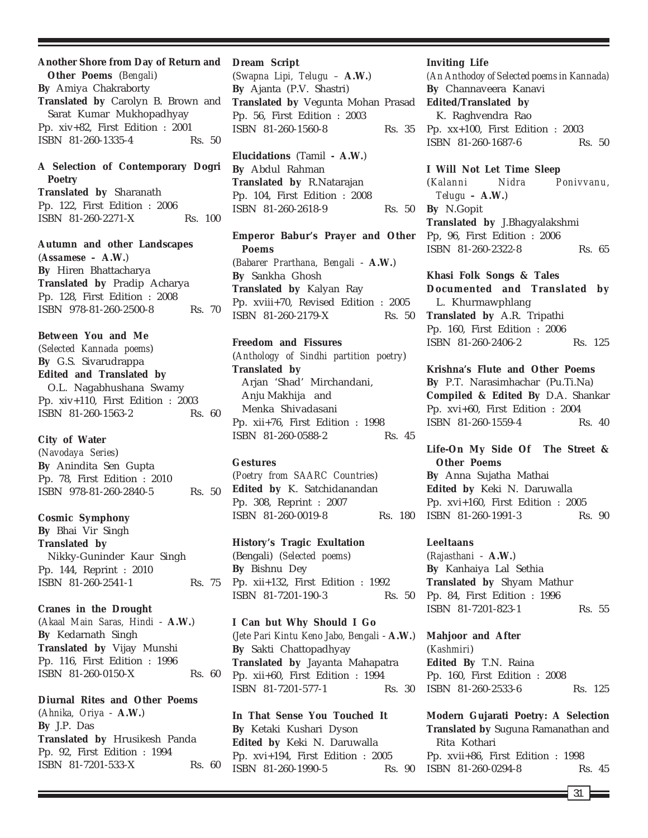# **Another Shore from Day of Return and**

**Other Poems** (*Bengali*) **By** Amiya Chakraborty **Translated by** Carolyn B. Brown and Sarat Kumar Mukhopadhyay Pp. xiv+82, First Edition : 2001 ISBN 81-260-1335-4 Rs. 50

# **A Selection of Contemporary Dogri Poetry**

**Translated by** Sharanath Pp. 122, First Edition : 2006 ISBN 81-260-2271-X Rs. 100

**Autumn and other Landscapes** (*Assamese –* **A.W.**) **By** Hiren Bhattacharya **Translated by** Pradip Acharya Pp. 128, First Edition : 2008 ISBN 978-81-260-2500-8 Rs. 70

**Between You and Me**

(*Selected Kannada poems*) **By** G.S. Sivarudrappa **Edited and Translated by** O.L. Nagabhushana Swamy Pp. xiv+110, First Edition : 2003 ISBN 81-260-1563-2 Rs. 60

# **City of Water**

(*Navodaya Series*) **By** Anindita Sen Gupta Pp. 78, First Edition : 2010 ISBN 978-81-260-2840-5 Rs. 50

**Cosmic Symphony**

**By** Bhai Vir Singh **Translated by** Nikky-Guninder Kaur Singh Pp. 144, Reprint : 2010 ISBN 81-260-2541-1 Rs. 75

**Cranes in the Drought** (*Akaal Main Saras, Hindi* - **A.W.**) **By** Kedarnath Singh **Translated by** Vijay Munshi Pp. 116, First Edition : 1996 ISBN 81-260-0150-X Rs. 60

**Diurnal Rites and Other Poems** (*Ahnika, Oriya* - **A.W.**) **By** J.P. Das **Translated by** Hrusikesh Panda Pp. 92, First Edition : 1994 ISBN 81-7201-533-X Rs. 60

### **Dream Script**

(*Swapna Lipi, Telugu –* **A.W.**) **By** Ajanta (P.V. Shastri) **Translated by** Vegunta Mohan Prasad Pp. 56, First Edition : 2003 ISBN 81-260-1560-8 Rs. 35

**Elucidations** (Tamil **- A.W.**) **By** Abdul Rahman **Translated by** R.Natarajan Pp. 104, First Edition : 2008 ISBN 81-260-2618-9 Rs. 50

**Emperor Babur's Prayer and Other Poems** (*Babarer Prarthana, Bengali* - **A.W.**) **By** Sankha Ghosh **Translated by** Kalyan Ray Pp. xviii+70, Revised Edition : 2005 ISBN 81-260-2179-X Rs. 50

**Freedom and Fissures**

(*Anthology of Sindhi partition poetry*) **Translated by** Arjan 'Shad' Mirchandani, Anju Makhija and Menka Shivadasani Pp. xii+76, First Edition : 1998 ISBN 81-260-0588-2 Rs. 45

# **Gestures**

(*Poetry from SAARC Countries*) **Edited by** K. Satchidanandan Pp. 308, Reprint : 2007 ISBN 81-260-0019-8 Rs. 180

**History's Tragic Exultation** (Bengali) (*Selected poems*) **By** Bishnu Dey Pp. xii+132, First Edition : 1992 ISBN 81-7201-190-3 Rs. 50

**I Can but Why Should I Go** (*Jete Pari Kintu Keno Jabo, Bengali* - **A.W.**) **By** Sakti Chattopadhyay **Translated by** Jayanta Mahapatra Pp. xii+60, First Edition : 1994 ISBN 81-7201-577-1 Rs. 30

**In That Sense You Touched It By** Ketaki Kushari Dyson **Edited by** Keki N. Daruwalla Pp. xvi+194, First Edition : 2005 ISBN 81-260-1990-5 Rs. 90

#### **Inviting Life**

*(An Anthodoy of Selected poems in Kannada)* **By** Channaveera Kanavi **Edited/Translated by** K. Raghvendra Rao Pp. xx+100, First Edition : 2003 ISBN 81-260-1687-6 Rs. 50

**I Will Not Let Time Sleep** (*Kalanni Nidra Ponivvanu, Telugu –* **A.W.**) **By** N.Gopit **Translated by** J.Bhagyalakshmi Pp, 96, First Edition : 2006 ISBN 81-260-2322-8 Rs. 65

**Khasi Folk Songs & Tales Documented and Translated by** L. Khurmawphlang **Translated by** A.R. Tripathi Pp. 160, First Edition : 2006 ISBN 81-260-2406-2 Rs. 125

**Krishna's Flute and Other Poems By** P.T. Narasimhachar (Pu.Ti.Na) **Compiled & Edited By** D.A. Shankar Pp. xvi+60, First Edition : 2004 ISBN 81-260-1559-4 Rs. 40

**Life-On My Side Of The Street & Other Poems By** Anna Sujatha Mathai

**Edited by** Keki N. Daruwalla Pp. xvi+160, First Edition : 2005 ISBN 81-260-1991-3 Rs. 90

#### **Leeltaans**

(*Rajasthani* - **A.W.**) **By** Kanhaiya Lal Sethia **Translated by** Shyam Mathur Pp. 84, First Edition : 1996 ISBN 81-7201-823-1 Rs. 55

**Mahjoor and After** (*Kashmiri*) **Edited By** T.N. Raina Pp. 160, First Edition : 2008 ISBN 81-260-2533-6 Rs. 125

**Modern Gujarati Poetry: A Selection Translated by** Suguna Ramanathan and Rita Kothari Pp. xvii+86, First Edition : 1998 ISBN 81-260-0294-8 Rs. 45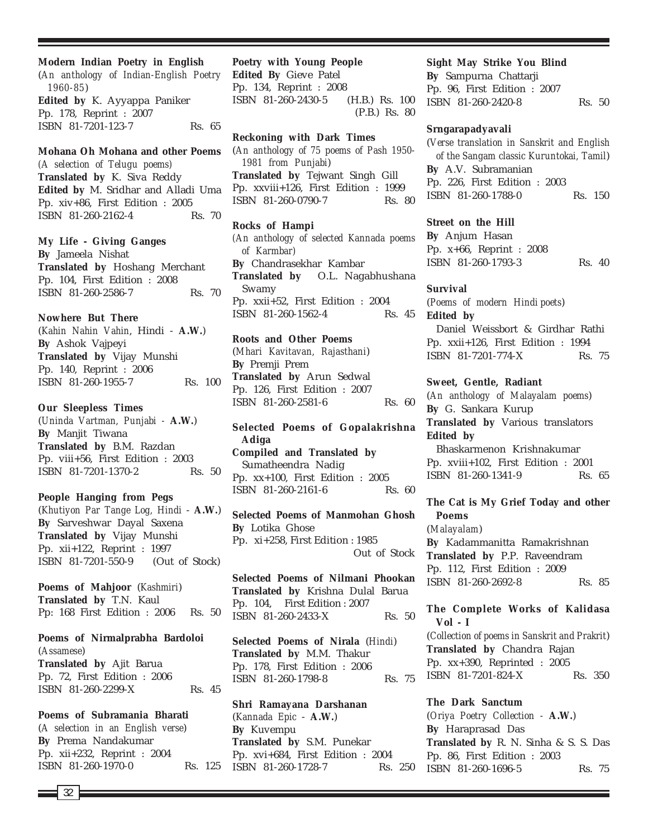**Modern Indian Poetry in English** (*An anthology of Indian-English Poetry 1960-85*) **Edited by** K. Ayyappa Paniker Pp. 178, Reprint : 2007 ISBN 81-7201-123-7 Rs. 65

**Mohana Oh Mohana and other Poems** *(A selection of Telugu poems)* **Translated by** K. Siva Reddy **Edited by** M. Sridhar and Alladi Uma Pp. xiv+86, First Edition : 2005 ISBN 81-260-2162-4 Rs. 70

**My Life - Giving Ganges By** Jameela Nishat **Translated by** Hoshang Merchant Pp. 104, First Edition : 2008 ISBN 81-260-2586-7 Rs. 70

**Nowhere But There** (*Kahin Nahin Vahin*, Hindi - **A.W.**) **By** Ashok Vajpeyi **Translated by** Vijay Munshi Pp. 140, Reprint : 2006 ISBN 81-260-1955-7 Rs. 100

**Our Sleepless Times** (*Uninda Vartman, Punjabi -* **A.W.**) **By** Manjit Tiwana **Translated by** B.M. Razdan Pp. viii+56, First Edition : 2003 ISBN 81-7201-1370-2 Rs. 50

**People Hanging from Pegs** (*Khutiyon Par Tange Log, Hindi* - **A.W.**) **By** Sarveshwar Dayal Saxena **Translated by** Vijay Munshi Pp. xii+122, Reprint : 1997 ISBN 81-7201-550-9 (Out of Stock)

**Poems of Mahjoor** (*Kashmiri*) **Translated by** T.N. Kaul Pp: 168 First Edition : 2006 Rs. 50

**Poems of Nirmalprabha Bardoloi** (*Assamese*) **Translated by** Ajit Barua Pp. 72, First Edition : 2006 ISBN 81-260-2299-X Rs. 45

**Poems of Subramania Bharati** (*A selection in an English verse*) **By** Prema Nandakumar Pp. xii+232, Reprint : 2004 ISBN 81-260-1970-0 Rs. 125 **Poetry with Young People Edited By** Gieve Patel Pp. 134, Reprint : 2008 ISBN 81-260-2430-5 (H.B.) Rs. 100 (P.B.) Rs. 80

**Reckoning with Dark Times** (*An anthology of 75 poems of Pash 1950- 1981 from Punjabi*) **Translated by** Tejwant Singh Gill Pp. xxviii+126, First Edition : 1999 ISBN 81-260-0790-7 Rs. 80

**Rocks of Hampi** *(An anthology of selected Kannada poems of Karmbar)* **By** Chandrasekhar Kambar **Translated by** O.L. Nagabhushana Swamy Pp. xxii+52, First Edition : 2004 ISBN 81-260-1562-4 Rs. 45

**Roots and Other Poems** (*Mhari Kavitavan, Rajasthani*) **By** Premji Prem **Translated by** Arun Sedwal Pp. 126, First Edition : 2007 ISBN 81-260-2581-6 Rs. 60

**Selected Poems of Gopalakrishna Adiga Compiled and Translated by** Sumatheendra Nadig Pp. xx+100, First Edition : 2005 ISBN 81-260-2161-6 Rs. 60

**Selected Poems of Manmohan Ghosh By** Lotika Ghose Pp. xi+258, First Edition : 1985 Out of Stock

**Selected Poems of Nilmani Phookan Translated by** Krishna Dulal Barua Pp. 104, First Edition : 2007 ISBN 81-260-2433-X Rs. 50

**Selected Poems of Nirala** (*Hindi*) **Translated by** M.M. Thakur Pp. 178, First Edition : 2006 ISBN 81-260-1798-8 Rs. 75

**Shri Ramayana Darshanan** (*Kannada Epic* - **A.W.**) **By** Kuvempu **Translated by** S.M. Punekar Pp. xvi+684, First Edition : 2004 ISBN 81-260-1728-7 Rs. 250

# **Sight May Strike You Blind**

**By** Sampurna Chattarji Pp. 96, First Edition : 2007 ISBN 81-260-2420-8 Rs. 50

#### **Srngarapadyavali**

(*Verse translation in Sanskrit and English of the Sangam classic Kuruntokai, Tamil*) **By** A.V. Subramanian Pp. 226, First Edition : 2003 ISBN 81-260-1788-0 Rs. 150

#### **Street on the Hill**

**By** Anjum Hasan Pp. x+66, Reprint : 2008 ISBN 81-260-1793-3 Rs. 40

### **Survival**

(*Poems of modern Hindi poets*) **Edited by** Daniel Weissbort & Girdhar Rathi

Pp. xxii+126, First Edition : 1994 ISBN 81-7201-774-X Rs. 75

**Sweet, Gentle, Radiant**

(*An anthology of Malayalam poems*) **By** G. Sankara Kurup **Translated by** Various translators **Edited by** Bhaskarmenon Krishnakumar

Pp. xviii+102, First Edition : 2001 ISBN 81-260-1341-9 Rs. 65

**The Cat is My Grief Today and other Poems**

(*Malayalam*) **By** Kadammanitta Ramakrishnan **Translated by** P.P. Raveendram Pp. 112, First Edition : 2009 ISBN 81-260-2692-8 Rs. 85

**The Complete Works of Kalidasa Vol - I** (*Collection of poems in Sanskrit and Prakrit*)

**Translated by** Chandra Rajan Pp. xx+390, Reprinted : 2005 ISBN 81-7201-824-X Rs. 350

**The Dark Sanctum** (*Oriya Poetry Collection -* **A.W.**) **By** Haraprasad Das **Translated by** R. N. Sinha & S. S. Das Pp. 86, First Edition : 2003 ISBN 81-260-1696-5 Rs. 75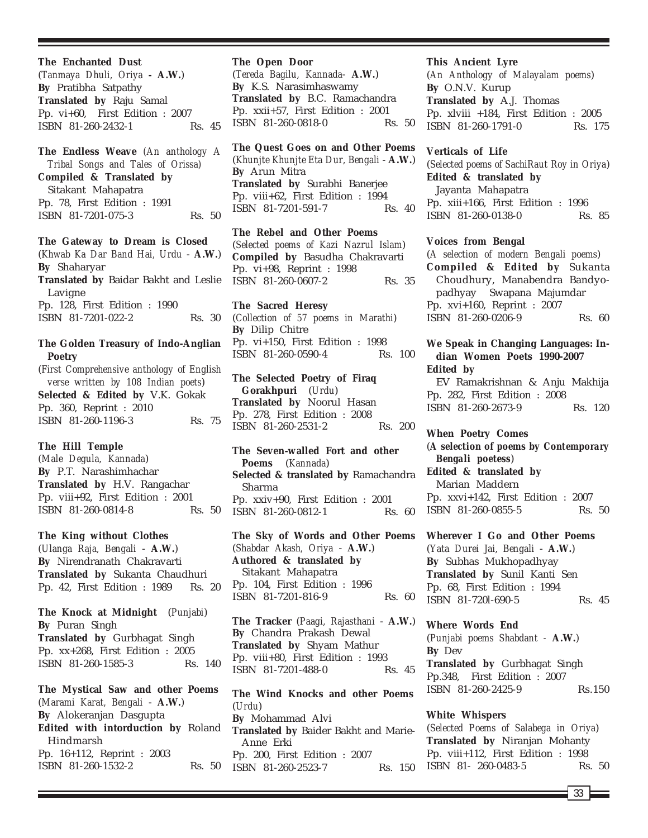**The Enchanted Dust** (*Tanmaya Dhuli, Oriya* **- A.W.**) **By** Pratibha Satpathy **Translated by** Raju Samal Pp. vi+60, First Edition : 2007 ISBN 81-260-2432-1 Rs. 45

**The Endless Weave** *(An anthology A Tribal Songs and Tales of Orissa)* **Compiled & Translated by** Sitakant Mahapatra Pp. 78, First Edition : 1991 ISBN 81-7201-075-3 Rs. 50

**The Gateway to Dream is Closed** (*Khwab Ka Dar Band Hai, Urdu* - **A.W.**) **By** Shaharyar **Translated by** Baidar Bakht and Leslie Lavigne Pp. 128, First Edition : 1990 ISBN 81-7201-022-2 Rs. 30

# **The Golden Treasury of Indo-Anglian Poetry**

(*First Comprehensive anthology of English verse written by 108 Indian poets*) **Selected & Edited by** V.K. Gokak Pp. 360, Reprint : 2010 ISBN 81-260-1196-3 Rs. 75

**The Hill Temple**

(*Male Degula, Kannada*) **By** P.T. Narashimhachar **Translated by** H.V. Rangachar Pp. viii+92, First Edition : 2001 ISBN 81-260-0814-8 Rs. 50

**The King without Clothes** (*Ulanga Raja, Bengali* - **A.W.**) **By** Nirendranath Chakravarti **Translated by** Sukanta Chaudhuri Pp. 42, First Edition : 1989 Rs. 20

**The Knock at Midnight** (*Punjabi*) **By** Puran Singh **Translated by** Gurbhagat Singh Pp. xx+268, First Edition : 2005 ISBN 81-260-1585-3 Rs. 140

**The Mystical Saw and other Poems** (*Marami Karat, Bengali* - **A.W.**) **By** Alokeranjan Dasgupta **Edited with intorduction by** Roland Hindmarsh Pp. 16+112, Reprint : 2003 ISBN 81-260-1532-2 Rs. 50

# **The Open Door**

(*Tereda Bagilu, Kannada*- **A.W.**) **By** K.S. Narasimhaswamy **Translated by** B.C. Ramachandra Pp. xxii+57, First Edition : 2001 ISBN 81-260-0818-0 Rs. 50

**The Quest Goes on and Other Poems** (*Khunjte Khunjte Eta Dur, Bengali* - **A.W.**) **By** Arun Mitra **Translated by** Surabhi Banerjee Pp. viii+62, First Edition : 1994 ISBN 81-7201-591-7 Rs. 40

**The Rebel and Other Poems** (*Selected poems of Kazi Nazrul Islam*) **Compiled by** Basudha Chakravarti Pp. vi+98, Reprint : 1998 ISBN 81-260-0607-2 Rs. 35

**The Sacred Heresy** (*Collection of 57 poems in Marathi*) **By** Dilip Chitre Pp. vi+150, First Edition : 1998 ISBN 81-260-0590-4 Rs. 100

**The Selected Poetry of Firaq Gorakhpuri** (*Urdu*) **Translated by** Noorul Hasan Pp. 278, First Edition : 2008 ISBN 81-260-2531-2 Rs. 200

**The Seven-walled Fort and other Poems** (*Kannada*) **Selected & translated by** Ramachandra Sharma Pp. xxiv+90, First Edition : 2001 ISBN 81-260-0812-1 Rs. 60

**The Sky of Words and Other Poems** (*Shabdar Akash, Oriya* - **A.W.**) **Authored & translated by** Sitakant Mahapatra Pp. 104, First Edition : 1996 ISBN 81-7201-816-9 Rs. 60

**The Tracker** (*Paagi, Rajasthani* - **A.W.**) **By** Chandra Prakash Dewal **Translated by** Shyam Mathur Pp. viii+80, First Edition : 1993 ISBN 81-7201-488-0 Rs. 45

**The Wind Knocks and other Poems** (*Urdu*) **By** Mohammad Alvi **Translated by** Baider Bakht and Marie-Anne Erki Pp. 200, First Edition : 2007 ISBN 81-260-2523-7 Rs. 150

# **This Ancient Lyre**

(*An Anthology of Malayalam poems*) **By** O.N.V. Kurup **Translated by** A.J. Thomas Pp. xlviii +184, First Edition : 2005 ISBN 81-260-1791-0 Rs. 175

#### **Verticals of Life**

(*Selected poems of SachiRaut Roy in Oriya*) **Edited & translated by** Jayanta Mahapatra Pp. xiii+166, First Edition : 1996 ISBN 81-260-0138-0 Rs. 85

#### **Voices from Bengal**

(*A selection of modern Bengali poems*) **Compiled & Edited by** Sukanta Choudhury, Manabendra Bandyopadhyay Swapana Majumdar Pp. xvi+160, Reprint : 2007 ISBN 81-260-0206-9 Rs. 60

# **We Speak in Changing Languages: Indian Women Poets 1990-2007 Edited by**

EV Ramakrishnan & Anju Makhija Pp. 282, First Edition : 2008 ISBN 81-260-2673-9 Rs. 120

**When Poetry Comes** (*A selection of poems by Contemporary Bengali poetess*) **Edited & translated by** Marian Maddern Pp. xxvi+142, First Edition : 2007 ISBN 81-260-0855-5 Rs. 50

**Wherever I Go and Other Poems** (*Yata Durei Jai, Bengali* - **A.W.**) **By** Subhas Mukhopadhyay **Translated by** Sunil Kanti Sen Pp. 68, First Edition : 1994 ISBN 81-7201-690-5 Rs. 45

**Where Words End** (*Punjabi poems Shabdant -* **A.W.**) **By** Dev **Translated by** Gurbhagat Singh Pp.348, First Edition : 2007 ISBN 81-260-2425-9 Rs.150

# **White Whispers**

(*Selected Poems of Salabega in Oriya*) **Translated by** Niranjan Mohanty Pp. viii+112, First Edition : 1998 ISBN 81-260-0483-5 Rs. 50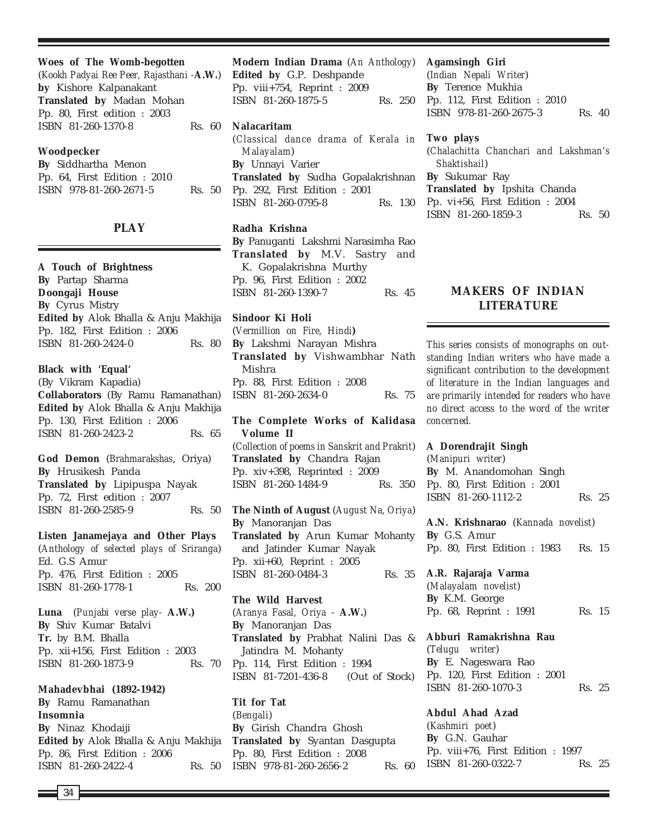| Woes of The Womb-begotten                 |
|-------------------------------------------|
| (Kookh Padyai Ree Peer, Rajasthani -A.W.) |
| by Kishore Kalpanakant                    |
| <b>Translated by Madan Mohan</b>          |

**Translated by** Madan Mohan Pp. 80, First edition : 2003 ISBN 81-260-1370-8 Rs. 60

### **Woodpecker**

**By** Siddhartha Menon Pp. 64, First Edition : 2010 ISBN 978-81-260-2671-5 Rs. 50

# **PLAY**

**A Touch of Brightness By** Partap Sharma **Doongaji House By** Cyrus Mistry **Edited by** Alok Bhalla & Anju Makhija Pp. 182, First Edition : 2006 ISBN 81-260-2424-0 Rs. 80

**Black with 'Equal'**

(By Vikram Kapadia) **Collaborators** (By Ramu Ramanathan) **Edited by** Alok Bhalla & Anju Makhija Pp. 130, First Edition : 2006 ISBN 81-260-2423-2 Rs. 65

**God Demon** (*Brahmarakshas*, Oriya) **By** Hrusikesh Panda **Translated by** Lipipuspa Nayak Pp. 72, First edition : 2007 ISBN 81-260-2585-9 Rs. 50

**Listen Janamejaya and Other Plays** (*Anthology of selected plays of Sriranga*) Ed. G.S Amur Pp. 476, First Edition : 2005 ISBN 81-260-1778-1 Rs. 200

**Luna** (*Punjabi verse play-* **A.W.) By** Shiv Kumar Batalvi **Tr.** by B.M. Bhalla Pp. xii+156, First Edition : 2003 ISBN 81-260-1873-9 Rs. 70

# **Mahadevbhai (1892-1942)**

**By** Ramu Ramanathan **Insomnia By** Ninaz Khodaiji **Edited by** Alok Bhalla & Anju Makhija Pp. 86, First Edition : 2006 ISBN 81-260-2422-4 Rs. 50

**Modern Indian Drama** (*An Anthology*) **Edited by** G.P. Deshpande Pp. viii+754, Reprint : 2009 ISBN 81-260-1875-5 Rs. 250

# **Nalacaritam**

(*Classical dance drama of Kerala in Malayalam*) **By** Unnayi Varier **Translated by** Sudha Gopalakrishnan Pp. 292, First Edition : 2001 ISBN 81-260-0795-8 Rs. 130

# **Radha Krishna**

**By** Panuganti Lakshmi Narasimha Rao **Translated by** M.V. Sastry and K. Gopalakrishna Murthy Pp. 96, First Edition : 2002 ISBN 81-260-1390-7 Rs. 45

#### **Sindoor Ki Holi**

(*Vermillion on Fire, Hindi***) By** Lakshmi Narayan Mishra **Translated by** Vishwambhar Nath Mishra Pp. 88, First Edition : 2008 ISBN 81-260-2634-0 Rs. 75

**The Complete Works of Kalidasa Volume II** (*Collection of poems in Sanskrit and Prakrit*) **Translated by** Chandra Rajan Pp. xiv+398, Reprinted : 2009 ISBN 81-260-1484-9 Rs. 350

**The Ninth of August** (*August Na, Oriya*) **By** Manoranjan Das **Translated by** Arun Kumar Mohanty and Jatinder Kumar Nayak Pp. xii+60, Reprint : 2005 ISBN 81-260-0484-3 Rs. 35

**The Wild Harvest** (*Aranya Fasal, Oriya* - **A.W.**) **By** Manoranjan Das **Translated by** Prabhat Nalini Das & Jatindra M. Mohanty Pp. 114, First Edition : 1994 ISBN 81-7201-436-8 (Out of Stock)

**Tit for Tat** (*Bengali*) **By** Girish Chandra Ghosh **Translated by** Syantan Dasgupta Pp. 80, First Edition : 2008 ISBN 978-81-260-2656-2 Rs. 60

### **Agamsingh Giri**

(*Indian Nepali Writer*) **By** Terence Mukhia Pp. 112, First Edition : 2010 ISBN 978-81-260-2675-3 Rs. 40

#### **Two plays**

(*Chalachitta Chanchari and Lakshman's Shaktishail*) **By** Sukumar Ray **Translated by** Ipshita Chanda Pp. vi+56, First Edition : 2004 ISBN 81-260-1859-3 Rs. 50

# **MAKERS OF INDIAN LITERATURE**

*This series consists of monographs on outstanding Indian writers who have made a significant contribution to the development of literature in the Indian languages and are primarily intended for readers who have no direct access to the word of the writer concerned.*

#### **A Dorendrajit Singh**

(*Manipuri writer*) **By** M. Anandomohan Singh Pp. 80, First Edition : 2001 ISBN 81-260-1112-2 Rs. 25

**A.N. Krishnarao** (*Kannada novelist*) **By** G.S. Amur Pp. 80, First Edition : 1983 Rs. 15

#### **A.R. Rajaraja Varma**

(*Malayalam novelist*) **By** K.M. George Pp. 68, Reprint : 1991 Rs. 15

**Abburi Ramakrishna Rau** (*Telugu writer*) **By** E. Nageswara Rao Pp. 120, First Edition : 2001 ISBN 81-260-1070-3 Rs. 25

**Abdul Ahad Azad** (*Kashmiri poet*) **By** G.N. Gauhar Pp. viii+76, First Edition : 1997 ISBN 81-260-0322-7 Rs. 25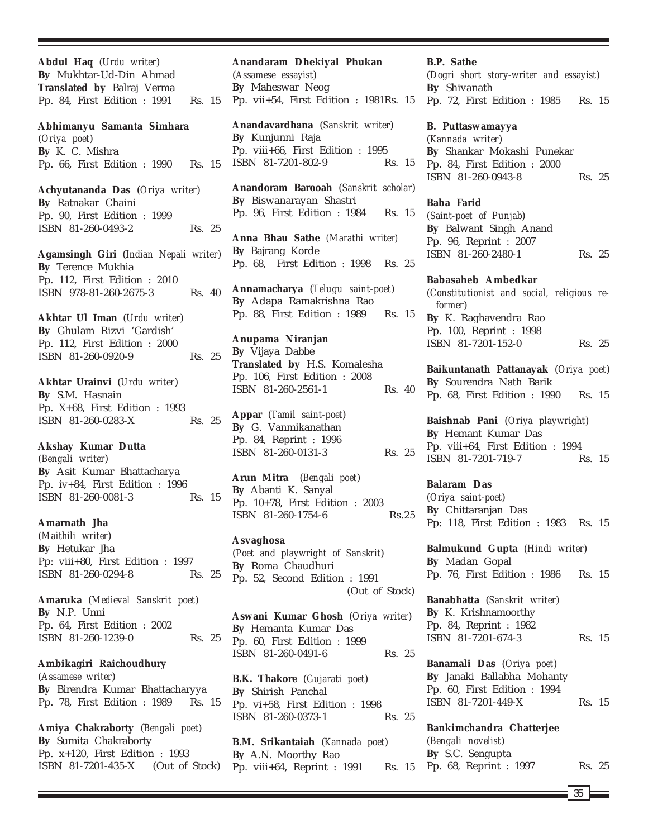**Abdul Haq** (*Urdu writer*) **By** Mukhtar-Ud-Din Ahmad **Translated by** Balraj Verma Pp. 84, First Edition : 1991 Rs. 15

**Abhimanyu Samanta Simhara** (*Oriya poet*) **By** K. C. Mishra Pp. 66, First Edition : 1990 Rs. 15

**Achyutananda Das** (*Oriya writer*) **By** Ratnakar Chaini Pp. 90, First Edition : 1999 ISBN 81-260-0493-2 Rs. 25

**Agamsingh Giri** (*Indian Nepali writer*) **By** Terence Mukhia Pp. 112, First Edition : 2010 ISBN 978-81-260-2675-3 Rs. 40

**Akhtar Ul Iman** (*Urdu writer*) **By** Ghulam Rizvi 'Gardish' Pp. 112, First Edition : 2000 ISBN 81-260-0920-9 Rs. 25

**Akhtar Urainvi** (*Urdu writer*) **By** S.M. Hasnain Pp. X+68, First Edition : 1993 ISBN 81-260-0283-X Rs. 25

**Akshay Kumar Dutta** (*Bengali writer*) **By** Asit Kumar Bhattacharya Pp. iv+84, First Edition : 1996 ISBN 81-260-0081-3 Rs. 15

**Amarnath Jha**

(*Maithili writer*) **By** Hetukar Jha Pp: viii+80, First Edition : 1997 ISBN 81-260-0294-8 Rs. 25

**Amaruka** (*Medieval Sanskrit poet*) **By** N.P. Unni Pp. 64, First Edition : 2002 ISBN 81-260-1239-0 Rs. 25

**Ambikagiri Raichoudhury** (*Assamese writer*) **By** Birendra Kumar Bhattacharyya Pp. 78, First Edition : 1989 Rs. 15

**Amiya Chakraborty** (*Bengali poet*) **By** Sumita Chakraborty Pp. x+120, First Edition : 1993 ISBN 81-7201-435-X (Out of Stock)

(*Assamese essayist*) **By** Maheswar Neog Pp. vii+54, First Edition : 1981Rs. 15 **Anandavardhana** (*Sanskrit writer*) **By** Kunjunni Raja Pp. viii+66, First Edition : 1995 ISBN 81-7201-802-9 Rs. 15

**Anandaram Dhekiyal Phukan**

**Anandoram Barooah** (*Sanskrit scholar*) **By** Biswanarayan Shastri Pp. 96, First Edition : 1984 Rs. 15

**Anna Bhau Sathe** *(Marathi writer)* **By** Bajrang Korde Pp. 68, First Edition : 1998 Rs. 25

**Annamacharya** (*Telugu saint-poet*) **By** Adapa Ramakrishna Rao Pp. 88, First Edition : 1989 Rs. 15

**Anupama Niranjan By** Vijaya Dabbe **Translated by** H.S. Komalesha Pp. 106, First Edition : 2008 ISBN 81-260-2561-1 Rs. 40

**Appar** (*Tamil saint-poet*) **By** G. Vanmikanathan Pp. 84, Reprint : 1996 ISBN 81-260-0131-3 Rs. 25

**Arun Mitra** (*Bengali poet*) **By** Abanti K. Sanyal Pp. 10+78, First Edition : 2003 ISBN 81-260-1754-6 Rs.25

**Asvaghosa** (*Poet and playwright of Sanskrit*) **By** Roma Chaudhuri Pp. 52, Second Edition : 1991 (Out of Stock)

**Aswani Kumar Ghosh** (*Oriya writer*) **By** Hemanta Kumar Das Pp. 60, First Edition : 1999 ISBN 81-260-0491-6 Rs. 25

**B.K. Thakore** (*Gujarati poet*) **By** Shirish Panchal Pp. vi+58, First Edition : 1998 ISBN 81-260-0373-1 Rs. 25

**B.M. Srikantaiah** (*Kannada poet*) **By** A.N. Moorthy Rao Pp. viii+64, Reprint :  $1991$ 

**B.P. Sathe** (*Dogri short story-writer and essayist*) **By** Shivanath Pp. 72, First Edition : 1985 Rs. 15

**B. Puttaswamayya** (*Kannada writer*) **By** Shankar Mokashi Punekar Pp. 84, First Edition : 2000 ISBN 81-260-0943-8 Rs. 25

**Baba Farid**

(*Saint-poet of Punjab*) **By** Balwant Singh Anand Pp. 96, Reprint : 2007 ISBN 81-260-2480-1 Rs. 25

**Babasaheb Ambedkar** (*Constitutionist and social, religious reformer*) **By** K. Raghavendra Rao Pp. 100, Reprint : 1998 ISBN 81-7201-152-0 Rs. 25

**Baikuntanath Pattanayak** (*Oriya poet*) **By** Sourendra Nath Barik Pp. 68, First Edition : 1990 Rs. 15

**Baishnab Pani** (*Oriya playwright*) **By** Hemant Kumar Das Pp. viii+64, First Edition : 1994 ISBN 81-7201-719-7 Rs. 15

**Balaram Das**

(*Oriya saint-poet*) **By** Chittaranjan Das Pp: 118, First Edition : 1983 Rs. 15

**Balmukund Gupta** (*Hindi writer*) **By** Madan Gopal Pp. 76, First Edition : 1986 Rs. 15

**Banabhatta** (*Sanskrit writer*) **By** K. Krishnamoorthy Pp. 84, Reprint : 1982 ISBN 81-7201-674-3 Rs. 15

**Banamali Das** (*Oriya poet*) **By** Janaki Ballabha Mohanty Pp. 60, First Edition : 1994 ISBN 81-7201-449-X Rs. 15

**Bankimchandra Chatterjee** (*Bengali novelist*) **By** S.C. Sengupta Rs. 15 Pp. 68, Reprint : 1997 Rs. 25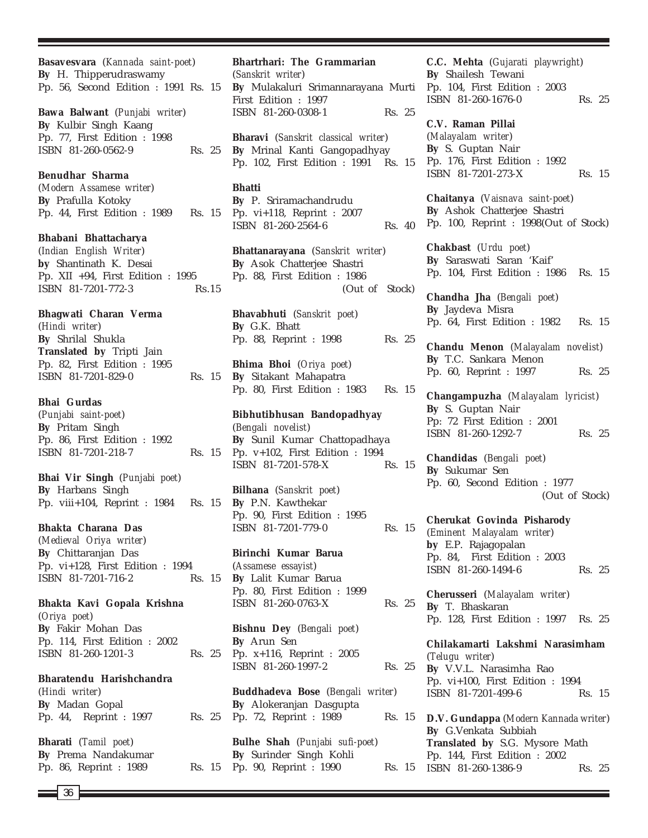**Basavesvara** (*Kannada saint-poet*) **By** H. Thipperudraswamy Pp. 56, Second Edition : 1991 Rs. 15 **Bawa Balwant** (*Punjabi writer*) **By** Kulbir Singh Kaang Pp. 77, First Edition : 1998 ISBN 81-260-0562-9 Rs. 25 **Benudhar Sharma** (*Modern Assamese writer*) **By** Prafulla Kotoky Pp. 44, First Edition : 1989 Rs. 15 **Bhabani Bhattacharya** (*Indian English Writer*) **by** Shantinath K. Desai Pp. XII +94, First Edition : 1995 ISBN 81-7201-772-3 Rs.15 **Bhagwati Charan Verma** (*Hindi writer*) **By** Shrilal Shukla **Translated by** Tripti Jain Pp. 82, First Edition : 1995 ISBN 81-7201-829-0 Rs. 15 **Bhai Gurdas** (*Punjabi saint-poet*) **By** Pritam Singh Pp. 86, First Edition : 1992 ISBN 81-7201-218-7 Rs. 15 **Bhai Vir Singh** (*Punjabi poet*) **By** Harbans Singh Pp. viii+104, Reprint : 1984 Rs. 15 **Bhakta Charana Das** (*Medieval Oriya writer*) **By** Chittaranjan Das Pp. vi+128, First Edition : 1994 ISBN 81-7201-716-2 Rs. 15 **Bhakta Kavi Gopala Krishna** (*Oriya poet*) **By** Fakir Mohan Das Pp. 114, First Edition : 2002 ISBN 81-260-1201-3 Rs. 25 **Bharatendu Harishchandra** (*Hindi writer*) **By** Madan Gopal Pp. 44, Reprint : 1997 Rs. 25 **Bharati** (*Tamil poet*) **By** Prema Nandakumar Pp. 86, Reprint : 1989 **Bhartrhari: The Grammarian** (*Sanskrit writer*) **Bhatti By** G.K. Bhatt **By** Arun Sen

**By** Mulakaluri Srimannarayana Murti First Edition : 1997 ISBN 81-260-0308-1 Rs. 25 **Bharavi** (*Sanskrit classical writer*) **By** Mrinal Kanti Gangopadhyay Pp. 102, First Edition : 1991 Rs. 15 **By** P. Sriramachandrudu Pp. vi+118, Reprint : 2007 ISBN 81-260-2564-6 Rs. 40 **Bhattanarayana** (*Sanskrit writer*) **By** Asok Chatterjee Shastri Pp. 88, First Edition : 1986 (Out of Stock) **Bhavabhuti** (*Sanskrit poet*) Pp. 88, Reprint : 1998 Rs. 25 **Bhima Bhoi** (*Oriya poet*) **By** Sitakant Mahapatra Pp. 80, First Edition : 1983 Rs. 15 **Bibhutibhusan Bandopadhyay** (*Bengali novelist*) **By** Sunil Kumar Chattopadhaya Pp. v+102, First Edition : 1994 ISBN 81-7201-578-X Rs. 15 **Bilhana** (*Sanskrit poet*) **By** P.N. Kawthekar Pp. 90, First Edition : 1995 ISBN 81-7201-779-0 Rs. 15 **Birinchi Kumar Barua** (*Assamese essayist*) **By** Lalit Kumar Barua Pp. 80, First Edition : 1999 ISBN 81-260-0763-X Rs. 25 **Bishnu Dey** (*Bengali poet*) Pp. x+116, Reprint : 2005 ISBN 81-260-1997-2 Rs. 25 **Buddhadeva Bose** (*Bengali writer*) **By** Alokeranjan Dasgupta Pp. 72, Reprint : 1989 Rs. 15 **Bulhe Shah** (*Punjabi sufi-poet*) **By** Surinder Singh Kohli Pp. 90, Reprint : 1990 Rs. 15

**C.C. Mehta** (*Gujarati playwright*) **By** Shailesh Tewani Pp. 104, First Edition : 2003 ISBN 81-260-1676-0 Rs. 25

**C.V. Raman Pillai** (*Malayalam writer*) **By** S. Guptan Nair Pp. 176, First Edition : 1992 ISBN 81-7201-273-X Rs. 15

**Chaitanya** (*Vaisnava saint-poet*) **By** Ashok Chatterjee Shastri Pp. 100, Reprint : 1998(Out of Stock)

**Chakbast** (*Urdu poet*) **By** Saraswati Saran 'Kaif' Pp. 104, First Edition : 1986 Rs. 15

**Chandha Jha** (*Bengali poet*) **By** Jaydeva Misra Pp. 64, First Edition : 1982 Rs. 15

**Chandu Menon** (*Malayalam novelist*) **By** T.C. Sankara Menon Pp. 60, Reprint : 1997 Rs. 25

**Changampuzha** (*Malayalam lyricist*) **By** S. Guptan Nair Pp: 72 First Edition : 2001 ISBN 81-260-1292-7 Rs. 25

**Chandidas** (*Bengali poet*) **By** Sukumar Sen Pp. 60, Second Edition : 1977 (Out of Stock)

**Cherukat Govinda Pisharody** (*Eminent Malayalam writer*) **by** E.P. Rajagopalan Pp. 84, First Edition : 2003 ISBN 81-260-1494-6 Rs. 25

**Cherusseri** (*Malayalam writer*) **By** T. Bhaskaran Pp. 128, First Edition : 1997 Rs. 25

**Chilakamarti Lakshmi Narasimham** (*Telugu writer*) **By** V.V.L. Narasimha Rao Pp. vi+100, First Edition : 1994 ISBN 81-7201-499-6 Rs. 15

**D.V. Gundappa** (*Modern Kannada writer*) **By** G.Venkata Subbiah **Translated by** S.G. Mysore Math Pp. 144, First Edition : 2002 ISBN 81-260-1386-9 Rs. 25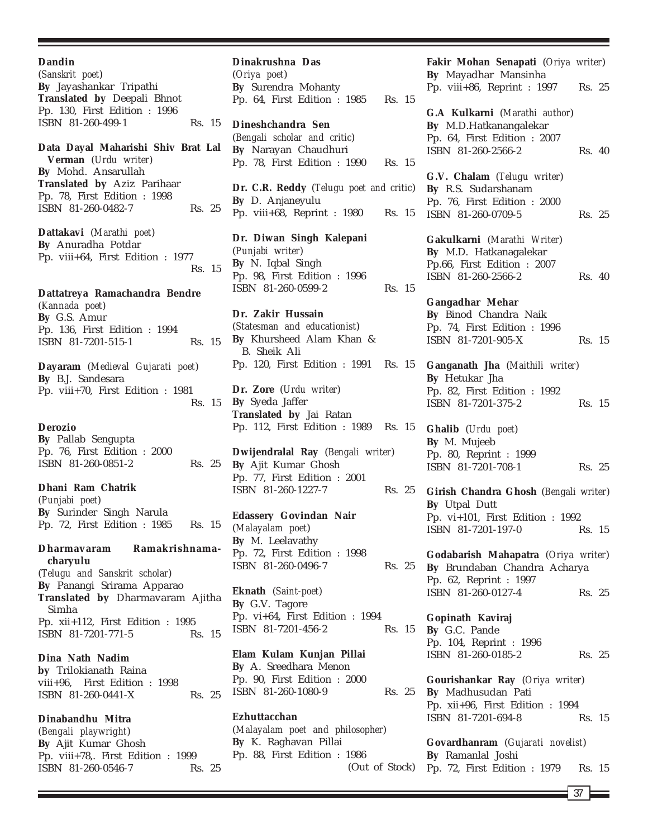| Dandin<br>(Sanskrit poet)<br>By Jayashankar Tripathi<br><b>Translated by Deepali Bhnot Pp. 130, First Edition : 1996</b>         |        |  |
|----------------------------------------------------------------------------------------------------------------------------------|--------|--|
| ISBN 81-260-499-1<br>Data Dayal Maharishi Shiv Brat Lal                                                                          | Rs. 15 |  |
| Verman (Urdu writer)<br>By Mohd. Ansarullah<br>Translated by Aziz Parihaar<br>Pp. 78, First Edition : 1998<br>ISBN 81-260-0482-7 | Rs. 25 |  |
| Dattakavi (Marathi poet)<br>By Anuradha Potdar<br>Pp. viii+64, First Edition : 1977                                              | Rs. 15 |  |
| Dattatreya Ramachandra Bendre<br>(Kannada poet)<br>By G.S. Amur<br>Pp. 136, First Edition : 1994                                 |        |  |
| ISBN 81-7201-515-1                                                                                                               | Rs. 15 |  |
| Dayaram (Medieval Gujarati poet)<br>By B.J. Sandesara<br>Pp. viii+70, First Edition : 1981                                       | Rs. 15 |  |
| <b>Derozio</b><br>By Pallab Sengupta<br>Pp. 76, First Edition: 2000<br>ISBN 81-260-0851-2                                        | Rs. 25 |  |
| Dhani Ram Chatrik<br>(Punjabi poet)<br>By Surinder Singh Narula<br>Pp. 72, First Edition : 1985                                  | Rs. 15 |  |
| Dharmavaram Ramakrishnama-<br>charyulu                                                                                           |        |  |
| (Telugu and Sanskrit scholar)<br>By Panangi Srirama Apparao<br>Translated by Dharmavaram Ajitha<br>Simha                         |        |  |
| Pp. xii+112, First Edition : 1995<br>ISBN 81-7201-771-5                                                                          | Rs. 15 |  |
| Dina Nath Nadim<br>by Trilokianath Raina<br>viii+96, First Edition : 1998<br>ISBN 81-260-0441-X                                  | Rs. 25 |  |
| Dinabandhu Mitra<br>(Rengali playwright)                                                                                         |        |  |

(*Bengali playwright*) **By** Ajit Kumar Ghosh Pp. viii+78,. First Edition : 1999 ISBN 81-260-0546-7 Rs. 25

**Dinakrushna Das** (*Oriya poet*) **By** Surendra Mohanty Pp. 64, First Edition : 1985 Rs. 15 **Dineshchandra Sen** (*Bengali scholar and critic*) **By** Narayan Chaudhuri Pp. 78, First Edition : 1990 Rs. 15 **Dr. C.R. Reddy** (*Telugu poet and critic*) **By** D. Anjaneyulu Pp. viii+68, Reprint : 1980 Rs. 15 **Dr. Diwan Singh Kalepani** (*Punjabi writer*) **By** N. Iqbal Singh Pp. 98, First Edition : 1996 ISBN 81-260-0599-2 Rs. 15 **Dr. Zakir Hussain** (*Statesman and educationist*) **By** Khursheed Alam Khan & B. Sheik Ali Pp. 120, First Edition : 1991 Rs. 15 **Dr. Zore** (*Urdu writer*) **By** Syeda Jaffer **Translated by** Jai Ratan Pp. 112, First Edition : 1989 Rs. 15 **Dwijendralal Ray** (*Bengali writer*) **By** Ajit Kumar Ghosh Pp. 77, First Edition : 2001 ISBN 81-260-1227-7 Rs. 25 **Edassery Govindan Nair** (*Malayalam poet*) **By** M. Leelavathy Pp. 72, First Edition : 1998 ISBN 81-260-0496-7 Rs. 25

**Eknath** (*Saint-poet*) **By** G.V. Tagore Pp. vi+64, First Edition : 1994 ISBN 81-7201-456-2 Rs. 15

**Elam Kulam Kunjan Pillai By** A. Sreedhara Menon Pp. 90, First Edition : 2000 ISBN 81-260-1080-9 Rs. 25

**Ezhuttacchan** (*Malayalam poet and philosopher*) **By** K. Raghavan Pillai Pp. 88, First Edition : 1986 (Out of Stock) **Fakir Mohan Senapati** (*Oriya writer*) **By** Mayadhar Mansinha Pp. viii+86, Reprint : 1997 Rs. 25 **G.A Kulkarni** (*Marathi author*) **By** M.D.Hatkanangalekar Pp. 64, First Edition : 2007 ISBN 81-260-2566-2 Rs. 40 **G.V. Chalam** (*Telugu writer*) **By** R.S. Sudarshanam Pp. 76, First Edition : 2000 ISBN 81-260-0709-5 Rs. 25 **Gakulkarni** (*Marathi Writer*) **By** M.D. Hatkanagalekar Pp.66, First Edition : 2007 ISBN 81-260-2566-2 Rs. 40 **Gangadhar Mehar By** Binod Chandra Naik Pp. 74, First Edition : 1996 ISBN 81-7201-905-X Rs. 15 **Ganganath Jha** (*Maithili writer*) **By** Hetukar Jha Pp. 82, First Edition : 1992 ISBN 81-7201-375-2 Rs. 15 **Ghalib** (*Urdu poet*) **By** M. Mujeeb Pp. 80, Reprint : 1999 ISBN 81-7201-708-1 Rs. 25 **Girish Chandra Ghosh** (*Bengali writer*) **By** Utpal Dutt Pp. vi+101, First Edition : 1992 ISBN 81-7201-197-0 Rs. 15 **Godabarish Mahapatra** (*Oriya writer*) **By** Brundaban Chandra Acharya Pp. 62, Reprint : 1997 ISBN 81-260-0127-4 Rs. 25

**Gopinath Kaviraj By** G.C. Pande Pp. 104, Reprint : 1996 ISBN 81-260-0185-2 Rs. 25

**Gourishankar Ray** (*Oriya writer*) **By** Madhusudan Pati Pp. xii+96, First Edition : 1994 ISBN 81-7201-694-8 Rs. 15

**Govardhanram** (*Gujarati novelist*) **By** Ramanlal Joshi Pp. 72, First Edition : 1979 Rs. 15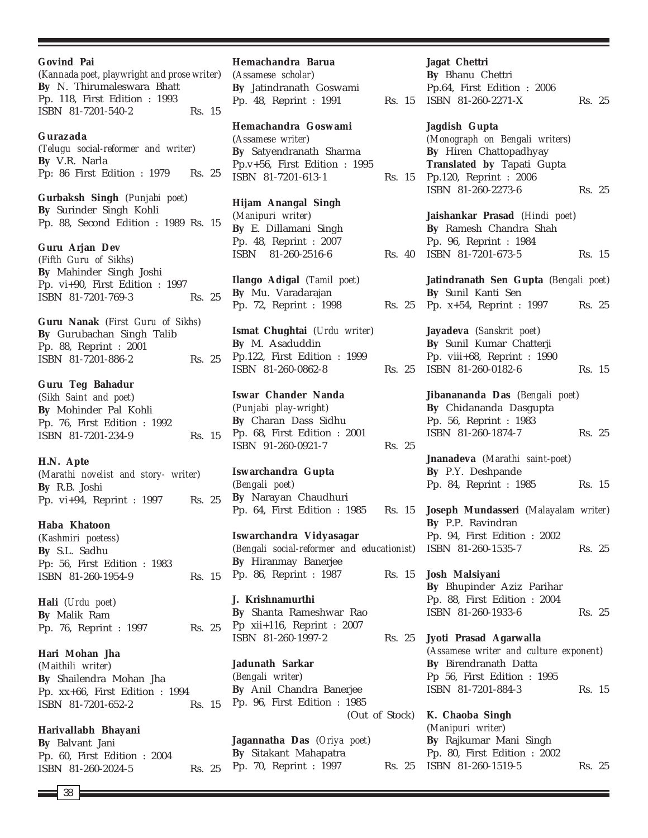| <b>Govind Pai</b><br>(Kannada poet, playwright and prose writer)<br>By N. Thirumaleswara Bhatt<br>Pp. 118, First Edition : 1993<br>ISBN 81-7201-540-2 | Rs. 15 | Hemachandra Barua<br>(Assamese scholar)<br>By Jatindranath Gosy<br>Pp. 48, Reprint : 199                                 |
|-------------------------------------------------------------------------------------------------------------------------------------------------------|--------|--------------------------------------------------------------------------------------------------------------------------|
| Gurazada<br>(Telugu social-reformer and writer)<br>By V.R. Narla<br>Pp: 86 First Edition : 1979                                                       | Rs. 25 | Hemachandra Goswa<br>(Assamese writer)<br>By Satyendranath Sh<br>Pp.v+56, First Edition<br>ISBN 81-7201-613-1            |
| Gurbaksh Singh (Punjabi poet)<br>By Surinder Singh Kohli<br>Pp. 88, Second Edition : 1989 Rs. 15                                                      |        | <b>Hijam Anangal Singl</b><br>(Manipuri writer)<br>By E. Dillamani Sing<br>Pp. 48, Reprint : 200                         |
| Guru Arjan Dev<br>(Fifth Guru of Sikhs)<br>By Mahinder Singh Joshi<br>Pp. vi+90, First Edition : 1997                                                 |        | ISBN 81-260-2516-6<br>Ilango Adigal (Tamil                                                                               |
| ISBN 81-7201-769-3                                                                                                                                    | Rs. 25 | By Mu. Varadarajan<br>Pp. 72, Reprint : 199                                                                              |
| Guru Nanak (First Guru of Sikhs)<br>By Gurubachan Singh Talib<br>Pp. 88, Reprint : 2001<br>ISBN 81-7201-886-2                                         | Rs. 25 | Ismat Chughtai (Urdu<br>By M. Asaduddin<br>Pp.122, First Edition<br>ISBN 81-260-0862-8                                   |
| <b>Guru Teg Bahadur</b><br>(Sikh Saint and poet)<br>By Mohinder Pal Kohli<br>Pp. 76, First Edition : 1992<br>ISBN 81-7201-234-9                       | Rs. 15 | <b>Iswar Chander Nand</b><br>(Punjabi play-wright)<br>By Charan Dass Sidl<br>Pp. 68, First Edition<br>ISBN 91-260-0921-7 |
| H.N. Apte<br>(Marathi novelist and story- writer)<br>By R.B. Joshi<br>Pp. vi+94, Reprint : 1997                                                       | Rs. 25 | Iswarchandra Gupta<br>(Bengali poet)<br>By Narayan Chaudh<br>Pp. 64, First Edition                                       |
| Haba Khatoon<br>(Kashmiri poetess)<br>By S.L. Sadhu<br>Pp: 56, First Edition : 1983<br>ISBN 81-260-1954-9                                             | Rs. 15 | Iswarchandra Vidyas<br>(Bengali social-reformer<br>By Hiranmay Banerje<br>Pp. 86, Reprint : 198                          |
| <b>Hali</b> ( <i>Urdu poet</i> )<br>By Malik Ram<br>Pp. 76, Reprint : 1997                                                                            | Rs. 25 | J. Krishnamurthi<br>By Shanta Rameshwa<br>Pp xii+116, Reprint :<br>ISBN 81-260-1997-2                                    |
| Hari Mohan Jha<br>(Maithili writer)<br>By Shailendra Mohan Jha<br>Pp. xx+66, First Edition : 1994<br>ISBN 81-7201-652-2                               | Rs. 15 | Jadunath Sarkar<br>(Bengali writer)<br>By Anil Chandra Bar<br>Pp. 96, First Edition                                      |
| Harivallabh Bhayani<br>By Balvant Jani<br>Pp. 60, First Edition : 2004                                                                                |        | Jagannatha Das (Oriy<br>By Sitakant Mahapat                                                                              |

38

ISBN 81-260-2024-5 Rs. 25

| (Assamese scholar)<br>By Jatindranath Goswami<br>Pp. 48, Reprint : 1991                                                    | Rs. 15 |  |
|----------------------------------------------------------------------------------------------------------------------------|--------|--|
| Hemachandra Goswami<br>(Assamese writer)<br>By Satyendranath Sharma<br>Pp.v+56, First Edition : 1995<br>ISBN 81-7201-613-1 | Rs. 15 |  |
| Hijam Anangal Singh<br>(Manipuri writer)<br>By E. Dillamani Singh<br>Pp. 48, Reprint : 2007<br>ISBN 81-260-2516-6          | Rs. 40 |  |
| Ilango Adigal (Tamil poet)<br>By Mu. Varadarajan<br>Pp. 72, Reprint : 1998                                                 | Rs. 25 |  |
| Ismat Chughtai (Urdu writer)<br>By M. Asaduddin<br>Pp.122, First Edition : 1999<br>ISBN 81-260-0862-8                      | Rs. 25 |  |
| Iswar Chander Nanda<br>(Punjabi play-wright)<br>By Charan Dass Sidhu<br>Pp. 68, First Edition : 2001<br>ISBN 91-260-0921-7 | Rs. 25 |  |
| Iswarchandra Gupta<br>(Bengali poet)<br>By Narayan Chaudhuri<br>Pp. 64, First Edition : 1985                               | Rs. 15 |  |
| Iswarchandra Vidyasagar<br>(Bengali social-reformer and educationist)<br>By Hiranmay Banerjee<br>Pp. 86, Reprint : 1987    | Rs. 15 |  |
| J. Krishnamurthi<br>By Shanta Rameshwar Rao<br>Pp xii+116, Reprint : $2007$<br>ISBN 81-260-1997-2                          | Rs. 25 |  |
| <b>Jadunath Sarkar</b><br>(Bengali writer)<br>By Anil Chandra Banerjee<br>Pp. 96, First Edition : 1985<br>(Out of Stock)   |        |  |
| Jagannatha Das (Oriya poet)<br>By Sitakant Mahapatra<br>Pp. 70, Reprint : 1997                                             | Rs. 25 |  |

# **Jagat Chettri By** Bhanu Chettri Pp.64, First Edition : 2006 ISBN 81-260-2271-X Rs. 25 **Jagdish Gupta** *(Monograph on Bengali writers)* **By** Hiren Chattopadhyay **Translated by** Tapati Gupta Pp.120, Reprint : 2006 ISBN 81-260-2273-6 Rs. 25 **Jaishankar Prasad** (*Hindi poet*) **By** Ramesh Chandra Shah Pp. 96, Reprint : 1984 ISBN 81-7201-673-5 Rs. 15 **Jatindranath Sen Gupta** (*Bengali poet*) **By** Sunil Kanti Sen Pp. x+54, Reprint : 1997 Rs. 25 **Jayadeva** (*Sanskrit poet*) **By** Sunil Kumar Chatterji Pp. viii+68, Reprint : 1990 ISBN 81-260-0182-6 Rs. 15 **Jibanananda Das** (*Bengali poet*) **By** Chidananda Dasgupta Pp. 56, Reprint : 1983 ISBN 81-260-1874-7 Rs. 25 **Jnanadeva** (*Marathi saint-poet*) **By** P.Y. Deshpande Pp. 84, Reprint : 1985 Rs. 15 **Joseph Mundasseri** (*Malayalam writer*) **By** P.P. Ravindran Pp. 94, First Edition : 2002 ISBN 81-260-1535-7 Rs. 25 **Josh Malsiyani By** Bhupinder Aziz Parihar Pp. 88, First Edition : 2004 ISBN 81-260-1933-6 Rs. 25 **Jyoti Prasad Agarwalla** (*Assamese writer and culture exponent*) **By** Birendranath Datta Pp 56, First Edition : 1995 ISBN 81-7201-884-3 Rs. 15 **K. Chaoba Singh**

(*Manipuri writer*) **By** Rajkumar Mani Singh Pp. 80, First Edition : 2002 ISBN 81-260-1519-5 Rs. 25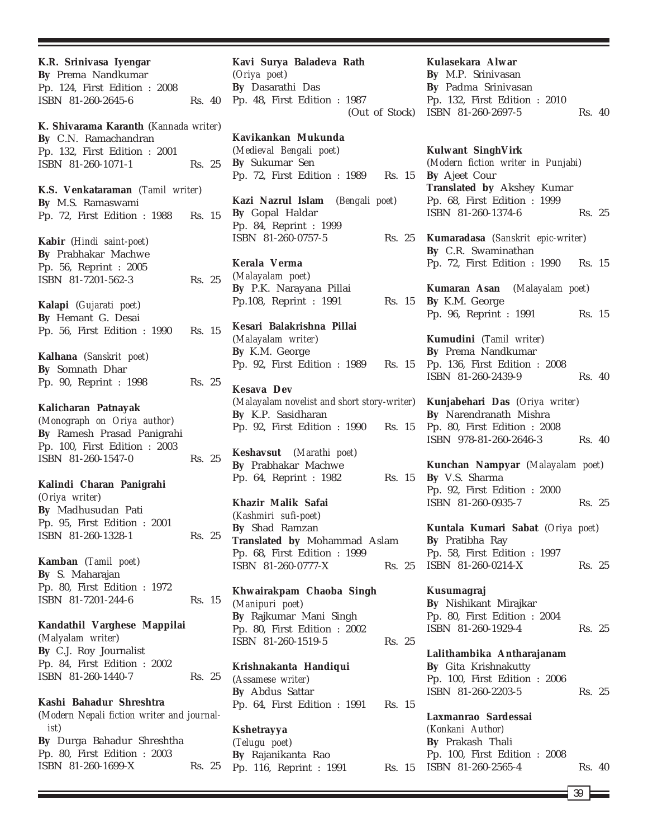| K.R. Srinivasa Iyengar<br>By Prema Nandkumar<br>Pp. 124, First Edition : 2008                                                           |        |  |
|-----------------------------------------------------------------------------------------------------------------------------------------|--------|--|
| ISBN 81-260-2645-6                                                                                                                      | Rs. 40 |  |
| K. Shivarama Karanth (Kannada writer)<br>By C.N. Ramachandran                                                                           |        |  |
| Pp. 132, First Edition : 2001<br>ISBN 81-260-1071-1                                                                                     | Rs. 25 |  |
| K.S. Venkataraman (Tamil writer)<br>By M.S. Ramaswami                                                                                   |        |  |
| Pp. 72, First Edition : 1988 Rs. 15                                                                                                     |        |  |
| Kabir (Hindi saint-poet)<br>By Prabhakar Machwe<br>Pp. 56, Reprint : 2005<br>ISBN 81-7201-562-3                                         | Rs. 25 |  |
| Kalapi (Gujarati poet)<br>By Hemant G. Desai<br>Pp. 56, First Edition : 1990                                                            | Rs. 15 |  |
| Kalhana (Sanskrit poet)<br>By Somnath Dhar<br>Pp. 90, Reprint : 1998                                                                    | Rs. 25 |  |
| Kalicharan Patnayak<br>(Monograph on Oriya author)<br>By Ramesh Prasad Panigrahi<br>Pp. 100, First Edition : 2003<br>ISBN 81-260-1547-0 | Rs. 25 |  |
| Kalindi Charan Panigrahi<br>(Oriya writer)<br>By Madhusudan Pati<br>Pp. 95, First Edition : 2001<br>ISBN 81-260-1328-1                  | Rs. 25 |  |
| Kamban (Tamil poet)<br>By S. Maharajan<br>Pp. 80, First Edition : 1972<br>ISBN 81-7201-244-6                                            | Rs. 15 |  |
| Kandathil Varghese Mappilai<br>(Malyalam writer)<br>By C.J. Roy Journalist<br>Pp. 84, First Edition : 2002                              |        |  |
| ISBN 81-260-1440-7<br>Kashi Bahadur Shreshtra<br>(Modern Nepali fiction writer and journal-<br>ist)                                     | Rs. 25 |  |
| By Durga Bahadur Shreshtha<br>Pp. 80, First Edition : 2003<br>ISBN 81-260-1699-X                                                        | Rs. 25 |  |

| Kavi Surya Baladeva Rath                           |
|----------------------------------------------------|
| (Oriya poet)                                       |
| By Dasarathi Das                                   |
| Pp. 48, First Edition : 1987                       |
| (Out of Stock)                                     |
|                                                    |
| Kavikankan Mukunda                                 |
| (Medieval Bengali poet)                            |
| By Sukumar Sen                                     |
| Pp. 72, First Edition : 1989<br>Rs. 15             |
|                                                    |
| Kazi Nazrul Islam (Bengali poet)                   |
| By Gopal Haldar                                    |
| Pp. 84, Reprint : 1999                             |
| ISBN 81-260-0757-5<br>Rs. 25                       |
|                                                    |
| Kerala Verma                                       |
| (Malayalam poet)                                   |
| By P.K. Narayana Pillai                            |
| Pp.108, Reprint : 1991<br>Rs. 15                   |
|                                                    |
| Kesari Balakrishna Pillai                          |
| (Malayalam writer)                                 |
| By K.M. George                                     |
| Pp. 92, First Edition : 1989<br>Rs. 15             |
|                                                    |
| <b>Kesava Dev</b>                                  |
| (Malayalam novelist and short story-writer)        |
| By K.P. Sasidharan                                 |
| Pp. 92, First Edition : 1990<br>Rs. 15             |
|                                                    |
| Keshavsut (Marathi poet)                           |
| By Prabhakar Machwe                                |
| Pp. 64, Reprint : 1982<br>Rs. 15                   |
|                                                    |
| Khazir Malik Safai                                 |
| (Kashmiri sufi-poet)                               |
| By Shad Ramzan                                     |
| Translated by Mohammad Aslam                       |
| Pp. 68, First Edition : 1999                       |
| ISBN 81-260-0777-X<br>Rs. 25                       |
|                                                    |
| Khwairakpam Chaoba Singh                           |
| (Manipuri poet)                                    |
| By Rajkumar Mani Singh                             |
| Pp. 80, First Edition : 2002<br>ISBN 81-260-1519-5 |
| Rs. 25                                             |
| Krishnakanta Handiqui                              |
| (Assamese writer)                                  |
| By Abdus Sattar                                    |
| Pp. 64, First Edition : 1991<br>Rs. 15             |
|                                                    |
| Kshetrayya                                         |
| (Telugu poet)                                      |
| By Rajanikanta Rao                                 |
| Pp. 116, Reprint : 1991<br>Rs. 15                  |
|                                                    |

**Kulasekara Alwar By** M.P. Srinivasan **By** Padma Srinivasan Pp. 132, First Edition : 2010 ISBN 81-260-2697-5 Rs. 40

# **Kulwant SinghVirk** (*Modern fiction writer in Punjabi*) **By** Ajeet Cour **Translated by** Akshey Kumar Pp. 68, First Edition : 1999 ISBN 81-260-1374-6 Rs. 25

**Kumaradasa** (*Sanskrit epic-writer*) **By** C.R. Swaminathan Pp. 72, First Edition : 1990 Rs. 15

**Kumaran Asan** (*Malayalam poet*) **By** K.M. George Pp. 96, Reprint : 1991 Rs. 15

**Kumudini** (*Tamil writer*) **By** Prema Nandkumar Pp. 136, First Edition : 2008 ISBN 81-260-2439-9 Rs. 40

**Kunjabehari Das** (*Oriya writer*) **By** Narendranath Mishra Pp. 80, First Edition : 2008 ISBN 978-81-260-2646-3 Rs. 40

**Kunchan Nampyar** (*Malayalam poet*) **By** V.S. Sharma Pp. 92, First Edition : 2000 ISBN 81-260-0935-7 Rs. 25

**Kuntala Kumari Sabat** (*Oriya poet*) **By** Pratibha Ray Pp. 58, First Edition : 1997 ISBN 81-260-0214-X Rs. 25

**Kusumagraj By** Nishikant Mirajkar Pp. 80, First Edition : 2004 ISBN 81-260-1929-4 Rs. 25

**Lalithambika Antharajanam By** Gita Krishnakutty Pp. 100, First Edition : 2006 ISBN 81-260-2203-5 Rs. 25

**Laxmanrao Sardessai** *(Konkani Author)* **By** Prakash Thali Pp. 100, First Edition : 2008 ISBN 81-260-2565-4 Rs. 40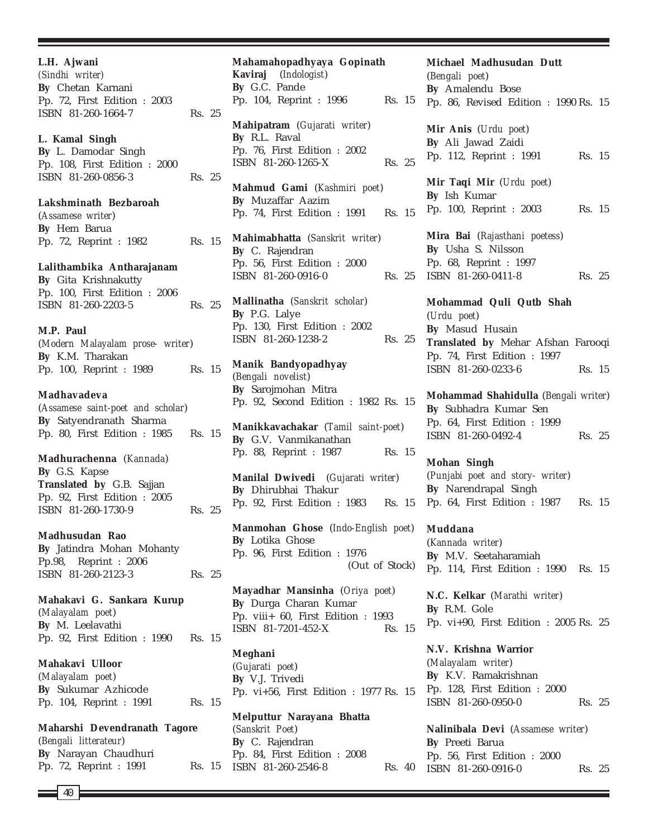**L.H. Ajwani** *(Sindhi writer)* **By** Chetan Karnani Pp. 72, First Edition : 2003 ISBN 81-260-1664-7 Rs. 25 **L. Kamal Singh By** L. Damodar Singh Pp. 108, First Edition : 2000 ISBN 81-260-0856-3 Rs. 25 **Lakshminath Bezbaroah** (*Assamese writer*) **By** Hem Barua Pp. 72, Reprint : 1982 Rs. 15 **Lalithambika Antharajanam By** Gita Krishnakutty Pp. 100, First Edition : 2006 ISBN 81-260-2203-5 Rs. 25 **M.P. Paul** (*Modern Malayalam prose- writer*) **By** K.M. Tharakan Pp. 100, Reprint : 1989 Rs. 15 **Madhavadeva** (*Assamese saint-poet and scholar*) **By** Satyendranath Sharma Pp. 80, First Edition : 1985 Rs. 15 **Madhurachenna** (*Kannada*) **By** G.S. Kapse **Translated by** G.B. Sajjan Pp. 92, First Edition : 2005 ISBN 81-260-1730-9 Rs. 25 **Madhusudan Rao By** Jatindra Mohan Mohanty Pp.98, Reprint : 2006 ISBN 81-260-2123-3 Rs. 25 **Mahakavi G. Sankara Kurup** (*Malayalam poet*) **By** M. Leelavathi Pp. 92, First Edition : 1990 Rs. 15 **Mahakavi Ulloor** (*Malayalam poet*) **By** Sukumar Azhicode Pp. 104, Reprint : 1991 Rs. 15 **Maharshi Devendranath Tagore** (*Bengali litterateur*) **By** Narayan Chaudhuri Pp. 72, Reprint : 1991 Rs. 15

40

**Mahamahopadhyaya Gopinath Kaviraj** (*Indologist*) **By** G.C. Pande Pp. 104, Reprint : 1996 Rs. 15 **Mahipatram** (*Gujarati writer*) **By** R.L. Raval Pp. 76, First Edition : 2002 ISBN 81-260-1265-X Rs. 25 **Mahmud Gami** (*Kashmiri poet*) **By** Muzaffar Aazim Pp. 74, First Edition : 1991 Rs. 15 **Mahimabhatta** (*Sanskrit writer*) **By** C. Rajendran Pp. 56, First Edition : 2000  $ISBN 81-260-0916-0$ **Mallinatha** (*Sanskrit scholar*) **By** P.G. Lalye Pp. 130, First Edition : 2002 ISBN 81-260-1238-2 Rs. 25 **Manik Bandyopadhyay** (*Bengali novelist*) **By** Sarojmohan Mitra Pp. 92, Second Edition : 1982 Rs. 15 **Manikkavachakar** (*Tamil saint-poet*) **By** G.V. Vanmikanathan Pp. 88, Reprint : 1987 Rs. 15 **Manilal Dwivedi** (*Gujarati writer*) **By** Dhirubhai Thakur Pp. 92, First Edition : 1983 Rs. 15 **Manmohan Ghose** (*Indo-English poet*) **By** Lotika Ghose Pp. 96, First Edition : 1976 (Out of Stock) **Mayadhar Mansinha** (*Oriya poet*) **By** Durga Charan Kumar Pp. viii+ 60, First Edition : 1993 ISBN 81-7201-452-X Rs. 15 **Meghani** (*Gujarati poet*) **By** V.J. Trivedi Pp. vi+56, First Edition : 1977 Rs. 15 **Melputtur Narayana Bhatta** (*Sanskrit Poet*) **By** C. Rajendran Pp. 84, First Edition : 2008 ISBN 81-260-2546-8 Rs. 40

**Michael Madhusudan Dutt** (*Bengali poet*) **By** Amalendu Bose Pp. 86, Revised Edition : 1990 Rs. 15 **Mir Anis** (*Urdu poet*) **By** Ali Jawad Zaidi Pp. 112, Reprint : 1991 Rs. 15 **Mir Taqi Mir** (*Urdu poet*) **By** Ish Kumar Pp. 100, Reprint : 2003 Rs. 15 **Mira Bai** (*Rajasthani poetess*) **By** Usha S. Nilsson Pp. 68, Reprint : 1997 Rs. 25 ISBN 81-260-0411-8 Rs. 25 **Mohammad Quli Qutb Shah** (*Urdu poet*) **By** Masud Husain **Translated by** Mehar Afshan Farooqi Pp. 74, First Edition : 1997 ISBN 81-260-0233-6 Rs. 15 **Mohammad Shahidulla** (*Bengali writer*) **By** Subhadra Kumar Sen Pp. 64, First Edition : 1999 ISBN 81-260-0492-4 Rs. 25 **Mohan Singh** (*Punjabi poet and story- writer*) **By** Narendrapal Singh Pp. 64, First Edition : 1987 Rs. 15 **Muddana** (*Kannada writer*) **By** M.V. Seetaharamiah Pp. 114, First Edition : 1990 Rs. 15 **N.C. Kelkar** (*Marathi writer*) **By** R.M. Gole Pp. vi+90, First Edition : 2005 Rs. 25 **N.V. Krishna Warrior** (*Malayalam writer*) **By** K.V. Ramakrishnan Pp. 128, First Edition : 2000

> **Nalinibala Devi** (*Assamese writer*) **By** Preeti Barua Pp. 56, First Edition : 2000 ISBN 81-260-0916-0 Rs. 25

ISBN 81-260-0950-0 Rs. 25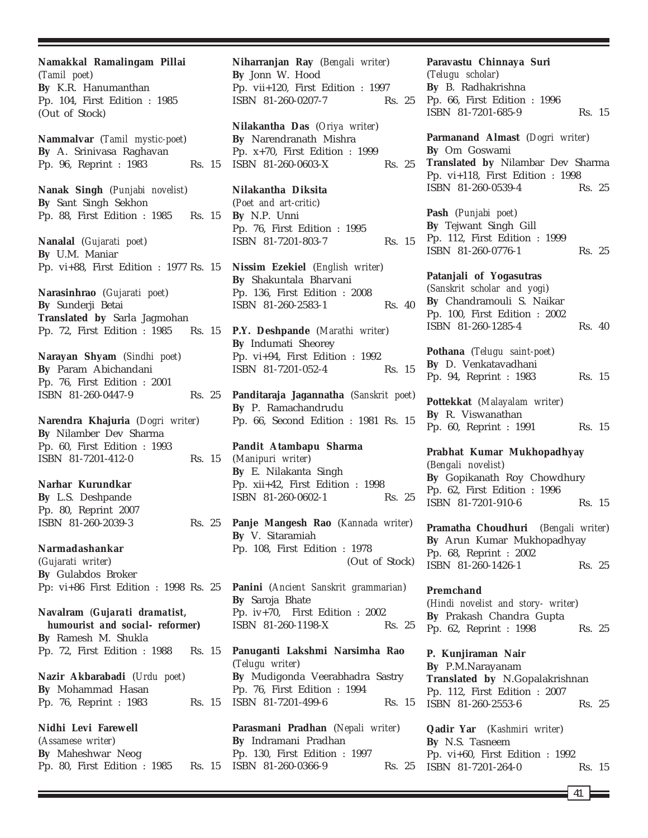**Namakkal Ramalingam Pillai** (*Tamil poet*) **By** K.R. Hanumanthan Pp. 104, First Edition : 1985 (Out of Stock) **Nammalvar** (*Tamil mystic-poet*)

**By** A. Srinivasa Raghavan Pp. 96, Reprint : 1983 Rs. 15

**Nanak Singh** (*Punjabi novelist*) **By** Sant Singh Sekhon Pp. 88, First Edition : 1985 Rs. 15

**Nanalal** (*Gujarati poet*) **By** U.M. Maniar Pp. vi+88, First Edition : 1977 Rs. 15

**Narasinhrao** (*Gujarati poet*) **By** Sunderji Betai **Translated by** Sarla Jagmohan Pp. 72, First Edition : 1985 Rs. 15

**Narayan Shyam** (*Sindhi poet*) **By** Param Abichandani Pp. 76, First Edition : 2001 ISBN 81-260-0447-9 Rs. 25

**Narendra Khajuria** (*Dogri writer*) **By** Nilamber Dev Sharma Pp. 60, First Edition : 1993 ISBN 81-7201-412-0 Rs. 15

**Narhar Kurundkar By** L.S. Deshpande Pp. 80, Reprint 2007 ISBN 81-260-2039-3 Rs. 25

**Narmadashankar** (*Gujarati writer*) **By** Gulabdos Broker Pp: vi+86 First Edition : 1998 Rs. 25

**Navalram** (*Gujarati dramatist, humourist and social- reformer***) By** Ramesh M. Shukla Pp. 72, First Edition : 1988 Rs. 15

**Nazir Akbarabadi** (*Urdu poet*) **By** Mohammad Hasan Pp. 76, Reprint : 1983 Rs. 15

**Nidhi Levi Farewell** (*Assamese writer*) **By** Maheshwar Neog Pp. 80, First Edition : 1985 **Niharranjan Ray** (*Bengali writer*) **By** Jonn W. Hood Pp. vii+120, First Edition : 1997 ISBN 81-260-0207-7 Rs. 25

**Nilakantha Das** (*Oriya writer*) **By** Narendranath Mishra Pp. x+70, First Edition : 1999 ISBN 81-260-0603-X Rs. 25

**Nilakantha Diksita** (*Poet and art-critic*) **By** N.P. Unni Pp. 76, First Edition : 1995 ISBN 81-7201-803-7 Rs. 15

**Nissim Ezekiel** (*English writer*) **By** Shakuntala Bharvani Pp. 136, First Edition : 2008 ISBN 81-260-2583-1 Rs. 40

**P.Y. Deshpande** (*Marathi writer*) **By** Indumati Sheorey Pp. vi+94, First Edition : 1992 ISBN 81-7201-052-4 Rs. 15

**Panditaraja Jagannatha** (*Sanskrit poet*) **By** P. Ramachandrudu Pp. 66, Second Edition : 1981 Rs. 15

**Pandit Atambapu Sharma** (*Manipuri writer*) **By** E. Nilakanta Singh Pp. xii+42, First Edition : 1998 ISBN 81-260-0602-1 Rs. 25

**Panje Mangesh Rao** (*Kannada writer*) **By** V. Sitaramiah Pp. 108, First Edition : 1978 (Out of Stock)

**Panini** (*Ancient Sanskrit grammarian*) **By** Saroja Bhate Pp. iv+70, First Edition : 2002 ISBN 81-260-1198-X Rs. 25

**Panuganti Lakshmi Narsimha Rao** (*Telugu writer*) **By** Mudigonda Veerabhadra Sastry Pp. 76, First Edition : 1994 ISBN 81-7201-499-6 Rs. 15

**Parasmani Pradhan** (*Nepali writer*) **By** Indramani Pradhan Pp. 130, First Edition : 1997 Rs. 15 ISBN 81-260-0366-9 Rs. 25 **Paravastu Chinnaya Suri** (*Telugu scholar*) **By** B. Radhakrishna Pp. 66, First Edition : 1996 ISBN 81-7201-685-9 Rs. 15

**Parmanand Almast** (*Dogri writer*) **By** Om Goswami **Translated by** Nilambar Dev Sharma Pp. vi+118, First Edition : 1998 ISBN 81-260-0539-4 Rs. 25

**Pash** (*Punjabi poet*) **By** Tejwant Singh Gill Pp. 112, First Edition : 1999 ISBN 81-260-0776-1 Rs. 25

**Patanjali of Yogasutras** (*Sanskrit scholar and yogi*) **By** Chandramouli S. Naikar Pp. 100, First Edition : 2002 ISBN 81-260-1285-4 Rs. 40

**Pothana** (*Telugu saint-poet*) **By** D. Venkatavadhani Pp. 94, Reprint : 1983 Rs. 15

**Pottekkat** (*Malayalam writer*) **By** R. Viswanathan Pp. 60, Reprint : 1991 Rs. 15

**Prabhat Kumar Mukhopadhyay** (*Bengali novelist*) **By** Gopikanath Roy Chowdhury Pp. 62, First Edition : 1996 ISBN 81-7201-910-6 Rs. 15

**Pramatha Choudhuri** (*Bengali writer*) **By** Arun Kumar Mukhopadhyay Pp. 68, Reprint : 2002 ISBN 81-260-1426-1 Rs. 25

**Premchand** (*Hindi novelist and story- writer*) **By** Prakash Chandra Gupta Pp. 62, Reprint : 1998 Rs. 25

**P. Kunjiraman Nair By** P.M.Narayanam **Translated by** N.Gopalakrishnan Pp. 112, First Edition : 2007 ISBN 81-260-2553-6 Rs. 25

**Qadir Yar** (*Kashmiri writer*) **By** N.S. Tasneem Pp. vi+60, First Edition : 1992 ISBN 81-7201-264-0 Rs. 15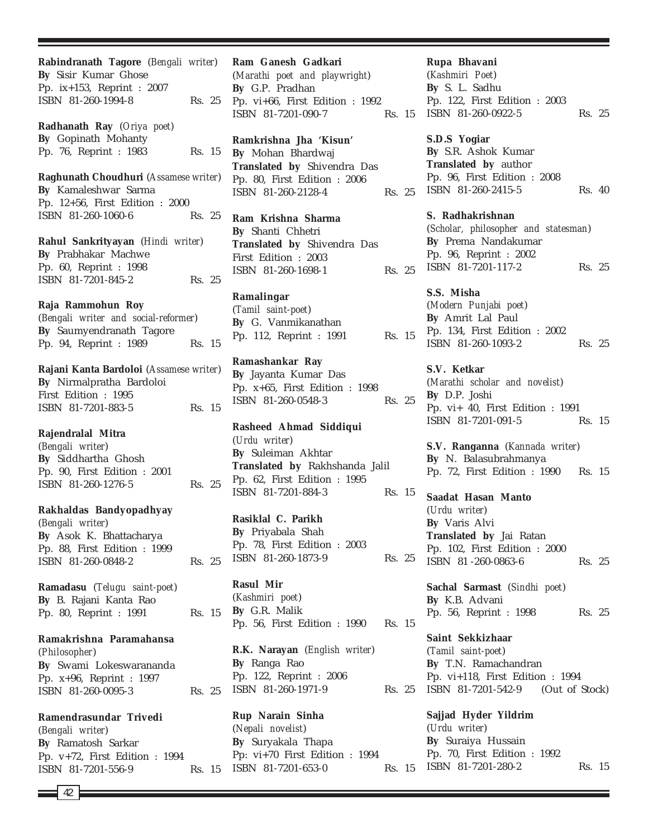**Rabindranath Tagore** (*Bengali writer*) **By** Sisir Kumar Ghose Pp. ix+153, Reprint : 2007 ISBN 81-260-1994-8 Rs. 25 **Radhanath Ray** (*Oriya poet*) **By** Gopinath Mohanty Pp. 76, Reprint : 1983 Rs. 15 **Raghunath Choudhuri** (*Assamese writer*) **By** Kamaleshwar Sarma Pp. 12+56, First Edition : 2000 ISBN 81-260-1060-6 Rs. 25 **Rahul Sankrityayan** (*Hindi writer*) **By** Prabhakar Machwe Pp. 60, Reprint : 1998 ISBN 81-7201-845-2 Rs. 25 **Raja Rammohun Roy** (*Bengali writer and social-reformer*) **By** Saumyendranath Tagore Pp. 94, Reprint : 1989 Rs. 15 **Rajani Kanta Bardoloi** (*Assamese writer*) **By** Nirmalpratha Bardoloi First Edition : 1995 ISBN 81-7201-883-5 Rs. 15 **Rajendralal Mitra** (*Bengali writer*) **By** Siddhartha Ghosh Pp. 90, First Edition : 2001 ISBN 81-260-1276-5 Rs. 25 **Rakhaldas Bandyopadhyay** (*Bengali writer*) **By** Asok K. Bhattacharya Pp. 88, First Edition : 1999 ISBN 81-260-0848-2 Rs. 25 **Ramadasu** (*Telugu saint-poet*) **By** B. Rajani Kanta Rao Pp. 80, Reprint : 1991 Rs. 15 **Ramakrishna Paramahansa** (*Philosopher*) **By** Swami Lokeswarananda Pp. x+96, Reprint : 1997 ISBN 81-260-0095-3 Rs. 25 **Ramendrasundar Trivedi**

(*Bengali writer*) **By** Ramatosh Sarkar Pp. v+72, First Edition : 1994 ISBN 81-7201-556-9 Rs. 15

**Ram Ganesh Gadkari** (*Marathi poet and playwright*) **By** G.P. Pradhan Pp. vi+66, First Edition : 1992 ISBN 81-7201-090-7 Rs. 15

**Ramkrishna Jha 'Kisun' By** Mohan Bhardwaj **Translated by** Shivendra Das Pp. 80, First Edition : 2006 ISBN 81-260-2128-4 Rs. 25

**Ram Krishna Sharma By** Shanti Chhetri **Translated by** Shivendra Das First Edition : 2003 ISBN 81-260-1698-1 Rs. 25

**Ramalingar** (*Tamil saint-poet*) **By** G. Vanmikanathan Pp. 112, Reprint : 1991 Rs. 15

**Ramashankar Ray By** Jayanta Kumar Das Pp. x+65, First Edition : 1998 ISBN 81-260-0548-3 Rs. 25

**Rasheed Ahmad Siddiqui** (*Urdu writer*) **By** Suleiman Akhtar **Translated by** Rakhshanda Jalil Pp. 62, First Edition : 1995 ISBN 81-7201-884-3 Rs. 15

**Rasiklal C. Parikh By** Priyabala Shah Pp. 78, First Edition : 2003 ISBN 81-260-1873-9 Rs. 25

**Rasul Mir** (*Kashmiri poet*) **By** G.R. Malik Pp. 56, First Edition : 1990 Rs. 15

**R.K. Narayan** (*English writer*) **By** Ranga Rao Pp. 122, Reprint : 2006 ISBN 81-260-1971-9

**Rup Narain Sinha** (*Nepali novelist*) **By** Suryakala Thapa Pp: vi+70 First Edition : 1994 ISBN 81-7201-653-0 Rs. 15

**Rupa Bhavani** (*Kashmiri Poet*) **By** S. L. Sadhu Pp. 122, First Edition : 2003 ISBN 81-260-0922-5 Rs. 25

**S.D.S Yogiar By** S.R. Ashok Kumar **Translated by** author Pp. 96, First Edition : 2008 ISBN 81-260-2415-5 Rs. 40

**S. Radhakrishnan** (*Scholar, philosopher and statesman*) **By** Prema Nandakumar Pp. 96, Reprint : 2002 ISBN 81-7201-117-2 Rs. 25

**S.S. Misha** (*Modern Punjabi poet*) **By** Amrit Lal Paul Pp. 134, First Edition : 2002 ISBN 81-260-1093-2 Rs. 25

**S.V. Ketkar** (*Marathi scholar and novelist*) **By** D.P. Joshi Pp. vi+ 40, First Edition : 1991 ISBN 81-7201-091-5 Rs. 15

**S.V. Ranganna** (*Kannada writer*) **By** N. Balasubrahmanya Pp. 72, First Edition : 1990 Rs. 15

**Saadat Hasan Manto** (*Urdu writer*) **By** Varis Alvi **Translated by** Jai Ratan Pp. 102, First Edition : 2000 ISBN 81-260-0863-6 Rs. 25

**Sachal Sarmast** (*Sindhi poet*) **By** K.B. Advani Pp. 56, Reprint : 1998 Rs. 25

**Saint Sekkizhaar** (*Tamil saint-poet*) **By** T.N. Ramachandran Pp. vi+118, First Edition : 1994 Rs. 25 ISBN 81-7201-542-9 (Out of Stock)

> **Sajjad Hyder Yildrim** (*Urdu writer*) **By** Suraiya Hussain Pp. 70, First Edition : 1992 ISBN 81-7201-280-2 Rs. 15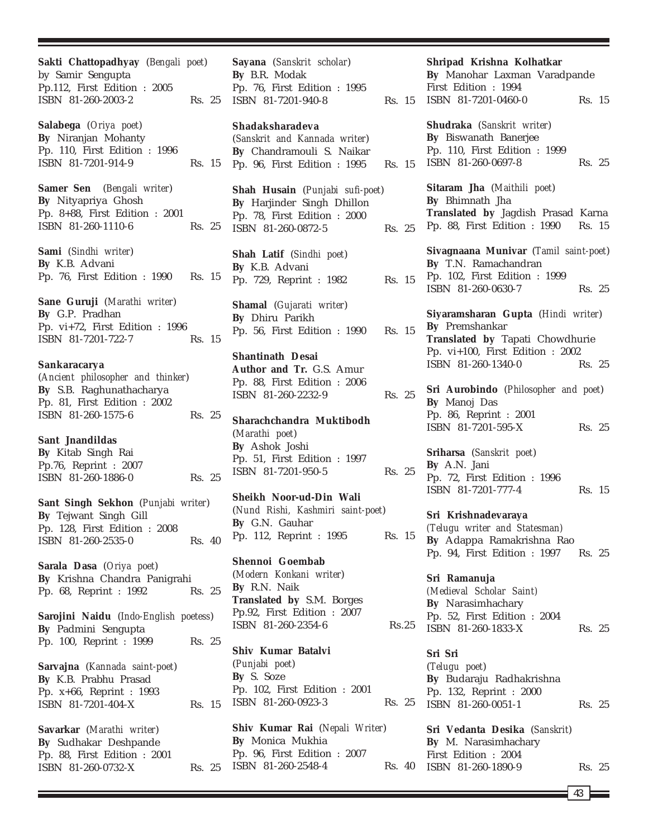**Sakti Chattopadhyay** (*Bengali poet*) by Samir Sengupta Pp.112, First Edition : 2005 ISBN 81-260-2003-2 Rs. 25 **Salabega** (*Oriya poet*) **By** Niranjan Mohanty Pp. 110, First Edition : 1996 ISBN 81-7201-914-9 Rs. 15 **Samer Sen** (*Bengali writer*) **By** Nityapriya Ghosh Pp. 8+88, First Edition : 2001 ISBN 81-260-1110-6 Rs. 25 **Sami** (*Sindhi writer*) **By** K.B. Advani Pp. 76, First Edition : 1990 Rs. 15 **Sane Guruji** (*Marathi writer*) **By** G.P. Pradhan Pp. vi+72, First Edition : 1996 ISBN 81-7201-722-7 Rs. 15 **Sankaracarya** (*Ancient philosopher and thinker*) **By** S.B. Raghunathacharya Pp. 81, First Edition : 2002 ISBN 81-260-1575-6 Rs. 25 **Sant Jnandildas By** Kitab Singh Rai Pp.76, Reprint : 2007 ISBN 81-260-1886-0 Rs. 25 **Sant Singh Sekhon** (*Punjabi writer*) **By** Tejwant Singh Gill Pp. 128, First Edition : 2008 ISBN 81-260-2535-0 Rs. 40 **Sarala Dasa** (*Oriya poet*) **By** Krishna Chandra Panigrahi Pp. 68, Reprint : 1992 Rs. 25 **Sarojini Naidu** (*Indo-English poetess*) **By** Padmini Sengupta Pp. 100, Reprint : 1999 Rs. 25 **Sarvajna** (*Kannada saint-poet*) **By** K.B. Prabhu Prasad Pp. x+66, Reprint : 1993 ISBN 81-7201-404-X Rs. 15 **Savarkar** (*Marathi writer*) **By** Sudhakar Deshpande Pp. 88, First Edition : 2001 ISBN 81-260-0732-X Rs. 25

**Sayana** (*Sanskrit scholar*) **By** B.R. Modak Pp. 76, First Edition : 1995 ISBN 81-7201-940-8 Rs. 15 ISBN 81-7201-0460-0 Rs. 15

### **Shadaksharadeva**

(*Sanskrit and Kannada writer*) **By** Chandramouli S. Naikar Pp. 96, First Edition : 1995 Rs. 15

**Shah Husain** (*Punjabi sufi-poet*) **By** Harjinder Singh Dhillon Pp. 78, First Edition : 2000 ISBN 81-260-0872-5 Rs. 25

**Shah Latif** (*Sindhi poet*) **By** K.B. Advani Pp. 729, Reprint : 1982 Rs. 15

**Shamal** (*Gujarati writer*) **By** Dhiru Parikh Pp. 56, First Edition : 1990 Rs. 15

**Shantinath Desai Author and Tr.** G.S. Amur Pp. 88, First Edition : 2006 ISBN 81-260-2232-9 Rs. 25

**Sharachchandra Muktibodh** (*Marathi poet*) **By** Ashok Joshi Pp. 51, First Edition : 1997 ISBN 81-7201-950-5 Rs. 25

**Sheikh Noor-ud-Din Wali** (*Nund Rishi, Kashmiri saint-poet*) **By** G.N. Gauhar Pp. 112, Reprint : 1995 Rs. 15

**Shennoi Goembab** (*Modern Konkani writer*) **By** R.N. Naik **Translated by** S.M. Borges Pp.92, First Edition : 2007 ISBN 81-260-2354-6 Rs.25

**Shiv Kumar Batalvi** (*Punjabi poet*) **By** S. Soze Pp. 102, First Edition : 2001 ISBN 81-260-0923-3 Rs. 25

**Shiv Kumar Rai** (*Nepali Writer*) **By** Monica Mukhia Pp. 96, First Edition : 2007 ISBN 81-260-2548-4

**Shudraka** (*Sanskrit writer*) **By** Biswanath Banerjee Pp. 110, First Edition : 1999 ISBN 81-260-0697-8 Rs. 25 **Sitaram Jha** (*Maithili poet*) **By** Bhimnath Jha **Translated by** Jagdish Prasad Karna Pp. 88, First Edition : 1990 Rs. 15 **Sivagnaana Munivar** (*Tamil saint-poet*) **By** T.N. Ramachandran Pp. 102, First Edition : 1999 ISBN 81-260-0630-7 Rs. 25 **Siyaramsharan Gupta** (*Hindi writer*)

**Shripad Krishna Kolhatkar By** Manohar Laxman Varadpande

First Edition : 1994

**By** Premshankar **Translated by** Tapati Chowdhurie Pp. vi+100, First Edition : 2002 ISBN 81-260-1340-0 Rs. 25

**Sri Aurobindo** (*Philosopher and poet*) **By** Manoj Das Pp. 86, Reprint : 2001 ISBN 81-7201-595-X Rs. 25

**Sriharsa** (*Sanskrit poet*) **By** A.N. Jani Pp. 72, First Edition : 1996 ISBN 81-7201-777-4 Rs. 15

**Sri Krishnadevaraya** *(Telugu writer and Statesman)* **By** Adappa Ramakrishna Rao Pp. 94, First Edition : 1997 Rs. 25

**Sri Ramanuja** *(Medieval Scholar Saint)* **By** Narasimhachary Pp. 52, First Edition : 2004 ISBN 81-260-1833-X Rs. 25

**Sri Sri** (*Telugu poet*) **By** Budaraju Radhakrishna Pp. 132, Reprint : 2000 ISBN 81-260-0051-1 Rs. 25

**Sri Vedanta Desika** (*Sanskrit*) **By** M. Narasimhachary First Edition : 2004 Rs. 40 ISBN 81-260-1890-9 Rs. 25

43 **k**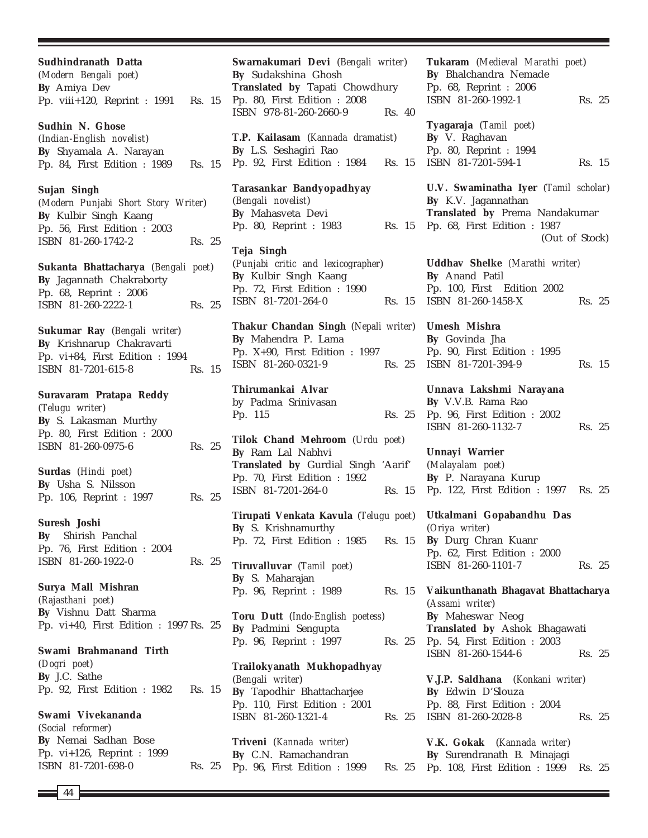44 **Sudhindranath Datta** (*Modern Bengali poet*) **By** Amiya Dev Pp. viii+120, Reprint : 1991 Rs. 15 **Sudhin N. Ghose** (*Indian-English novelist*) **By** Shyamala A. Narayan Pp. 84, First Edition : 1989 Rs. 15 **Sujan Singh** (*Modern Punjabi Short Story Writer*) **By** Kulbir Singh Kaang Pp. 56, First Edition : 2003 ISBN 81-260-1742-2 Rs. 25 **Sukanta Bhattacharya** (*Bengali poet*) **By** Jagannath Chakraborty Pp. 68, Reprint : 2006 ISBN 81-260-2222-1 Rs. 25 **Sukumar Ray** (*Bengali writer*) **By** Krishnarup Chakravarti Pp. vi+84, First Edition : 1994 ISBN 81-7201-615-8 Rs. 15 **Suravaram Pratapa Reddy** (*Telugu writer*) **By** S. Lakasman Murthy Pp. 80, First Edition : 2000 ISBN 81-260-0975-6 Rs. 25 **Surdas** (*Hindi poet*) **By** Usha S. Nilsson Pp. 106, Reprint : 1997 Rs. 25 **Suresh Joshi By** Shirish Panchal Pp. 76, First Edition : 2004 ISBN 81-260-1922-0 Rs. 25 **Surya Mall Mishran** (*Rajasthani poet*) **By** Vishnu Datt Sharma Pp. vi+40, First Edition : 1997 Rs. 25 **Swami Brahmanand Tirth** (*Dogri poet*) **By** J.C. Sathe Pp. 92, First Edition : 1982 Rs. 15 **Swami Vivekananda** (*Social reformer*) **By** Nemai Sadhan Bose Pp. vi+126, Reprint : 1999 ISBN 81-7201-698-0 Rs. 25

**Swarnakumari Devi** (*Bengali writer*) **By** Sudakshina Ghosh **Translated by** Tapati Chowdhury Pp. 80, First Edition : 2008 ISBN 978-81-260-2660-9 Rs. 40 **T.P. Kailasam** (*Kannada dramatist*) **By** L.S. Seshagiri Rao Pp. 92, First Edition : 1984 Rs. 15 **Tarasankar Bandyopadhyay** (*Bengali novelist*) **By** Mahasveta Devi Pp. 80, Reprint : 1983 Rs. 15 **Teja Singh** (*Punjabi critic and lexicographer*) **By** Kulbir Singh Kaang Pp. 72, First Edition : 1990 ISBN 81-7201-264-0 Rs. 15 **Thakur Chandan Singh** (*Nepali writer*) **By** Mahendra P. Lama Pp. X+90, First Edition : 1997 ISBN 81-260-0321-9 Rs. 25 **Thirumankai Alvar** by Padma Srinivasan Pp. 115 Rs. 25 **Tilok Chand Mehroom** (*Urdu poet*) **By** Ram Lal Nabhvi **Translated by** Gurdial Singh 'Aarif' Pp. 70, First Edition : 1992 ISBN 81-7201-264-0 Rs. 15 **Tirupati Venkata Kavula** (*Telugu poet*) **By** S. Krishnamurthy Pp. 72, First Edition : 1985 Rs. 15 **Tiruvalluvar** (*Tamil poet*) **By** S. Maharajan Pp. 96, Reprint : 1989 **Toru Dutt** (*Indo-English poetess*) **By** Padmini Sengupta Pp. 96, Reprint : 1997 Rs. 25 **Trailokyanath Mukhopadhyay** (*Bengali writer*) **By** Tapodhir Bhattacharjee Pp. 110, First Edition : 2001 ISBN 81-260-1321-4 **Triveni** (*Kannada writer*) **By** C.N. Ramachandran Pp. 96, First Edition : 1999 Rs. 25

**Tukaram** (*Medieval Marathi poet*) **By** Bhalchandra Nemade Pp. 68, Reprint : 2006 ISBN 81-260-1992-1 Rs. 25 **Tyagaraja** (*Tamil poet*) **By** V. Raghavan Pp. 80, Reprint : 1994 ISBN 81-7201-594-1 Rs. 15 **U.V. Swaminatha Iyer** (*Tamil scholar*) **By** K.V. Jagannathan **Translated by** Prema Nandakumar Pp. 68, First Edition : 1987 (Out of Stock) **Uddhav Shelke** *(Marathi writer)* **By** Anand Patil Pp. 100, First Edition 2002 ISBN 81-260-1458-X Rs. 25 **Umesh Mishra By** Govinda Jha Pp. 90, First Edition : 1995 ISBN 81-7201-394-9 Rs. 15 **Unnava Lakshmi Narayana By** V.V.B. Rama Rao Pp. 96, First Edition : 2002 ISBN 81-260-1132-7 Rs. 25 **Unnayi Warrier** (*Malayalam poet*) **By** P. Narayana Kurup Pp. 122, First Edition : 1997 Rs. 25 **Utkalmani Gopabandhu Das** (*Oriya writer*) **By** Durg Chran Kuanr Pp. 62, First Edition : 2000 ISBN 81-260-1101-7 Rs. 25 **Vaikunthanath Bhagavat Bhattacharya** (*Assami writer*) **By** Maheswar Neog **Translated by** Ashok Bhagawati Pp. 54, First Edition : 2003 ISBN 81-260-1544-6 Rs. 25 **V.J.P. Saldhana** (*Konkani writer*) **By** Edwin D'Slouza Pp. 88, First Edition : 2004 Rs. 25 ISBN 81-260-2028-8 Rs. 25 **V.K. Gokak** (*Kannada writer*) **By** Surendranath B. Minajagi

Pp. 108, First Edition : 1999 Rs. 25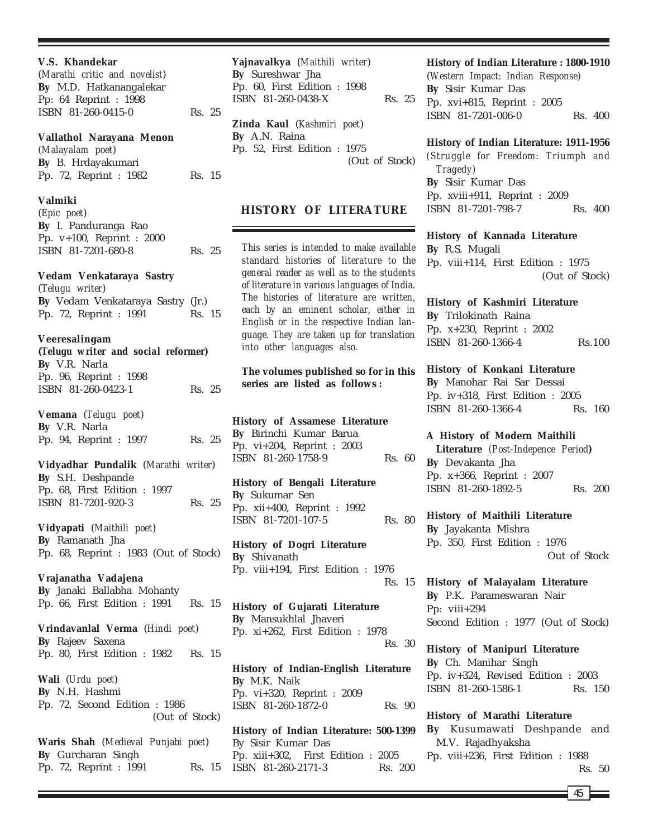**V.S. Khandekar** (*Marathi critic and novelist*) **By** M.D. Hatkanangalekar Pp: 64 Reprint : 1998 ISBN 81-260-0415-0 Rs. 25 **Vallathol Narayana Menon** (*Malayalam poet*) **By** B. Hrdayakumari Pp. 72, Reprint : 1982 Rs. 15 **Valmiki** (*Epic poet*) **By** I. Panduranga Rao Pp. v+100, Reprint : 2000 ISBN 81-7201-680-8 Rs. 25 **Vedam Venkataraya Sastry** (*Telugu writer*) **By** Vedam Venkataraya Sastry (Jr.) Pp. 72, Reprint : 1991 Rs. 15 **Veeresalingam (***Telugu writer and social reformer***) By** V.R. Narla Pp. 96, Reprint : 1998 ISBN 81-260-0423-1 Rs. 25 **Vemana** (*Telugu poet*) **By** V.R. Narla Pp. 94, Reprint : 1997 Rs. 25 **Vidyadhar Pundalik** (*Marathi writer*) **By** S.H. Deshpande Pp. 68, First Edition : 1997 ISBN 81-7201-920-3 Rs. 25 **Vidyapati** (*Maithili poet*) **By** Ramanath Jha Pp. 68, Reprint : 1983 (Out of Stock) **Vrajanatha Vadajena By** Janaki Ballabha Mohanty Pp. 66, First Edition : 1991 Rs. 15 **Vrindavanlal Verma** (*Hindi poet*) **By** Rajeev Saxena Pp. 80, First Edition : 1982 Rs. 15 **Wali** (*Urdu poet*) **By** N.H. Hashmi Pp. 72, Second Edition : 1986 (Out of Stock) **Waris Shah** (*Medieval Punjabi poet*) **By** Gurcharan Singh Pp. 72, Reprint : 1991 Rs. 15

**Yajnavalkya** (*Maithili writer*) **By** Sureshwar Jha Pp. 60, First Edition : 1998 ISBN 81-260-0438-X Rs. 25 **Zinda Kaul** (*Kashmiri poet*) **By** A.N. Raina Pp. 52, First Edition : 1975 (Out of Stock)

# **HISTORY OF LITERATURE**

*This series is intended to make available standard histories of literature to the general reader as well as to the students of literature in various languages of India. The histories of literature are written, each by an eminent scholar, either in English or in the respective Indian language. They are taken up for translation into other languages also.*

# **The volumes published so for in this series are listed as follows :**

**History of Assamese Literature By** Birinchi Kumar Barua Pp. vi+204, Reprint : 2003 ISBN 81-260-1758-9 Rs. 60

**History of Bengali Literature By** Sukumar Sen Pp. xii+400, Reprint : 1992 ISBN 81-7201-107-5 Rs. 80

**History of Dogri Literature By** Shivanath Pp. viii+194, First Edition : 1976 Rs. 15

**History of Gujarati Literature By** Mansukhlal Jhaveri Pp. xi+262, First Edition : 1978 Rs. 30

**History of Indian-English Literature By** M.K. Naik Pp. vi+320, Reprint : 2009 ISBN 81-260-1872-0 Rs. 90

**History of Indian Literature: 500-1399** By Sisir Kumar Das Pp. xiii+302, First Edition : 2005 ISBN 81-260-2171-3 Rs. 200

# **History of Indian Literature : 1800-1910**

(*Western Impact: Indian Response*) **By** Sisir Kumar Das Pp. xvi+815, Reprint : 2005 ISBN 81-7201-006-0 Rs. 400

#### **History of Indian Literature: 1911-1956**

*(Struggle for Freedom: Triumph and Tragedy)* **By** Sisir Kumar Das Pp. xviii+911, Reprint : 2009 ISBN 81-7201-798-7 Rs. 400

#### **History of Kannada Literature**

**By** R.S. Mugali Pp. viii+114, First Edition : 1975 (Out of Stock)

**History of Kashmiri Literature By** Trilokinath Raina Pp. x+230, Reprint : 2002 ISBN 81-260-1366-4 Rs.100

**History of Konkani Literature By** Manohar Rai Sar Dessai Pp. iv+318, First Edition : 2005 ISBN 81-260-1366-4 Rs. 160

# **A History of Modern Maithili**

**Literature** *(Post-Indepence Period***) By** Devakanta Jha Pp. x+366, Reprint : 2007 ISBN 81-260-1892-5 Rs. 200

#### **History of Maithili Literature**

**By** Jayakanta Mishra Pp. 350, First Edition : 1976 Out of Stock

**History of Malayalam Literature By** P.K. Parameswaran Nair Pp: viii+294 Second Edition : 1977 (Out of Stock)

**History of Manipuri Literature By** Ch. Manihar Singh Pp. iv+324, Revised Edition : 2003 ISBN 81-260-1586-1 Rs. 150

**History of Marathi Literature By** Kusumawati Deshpande and M.V. Rajadhyaksha Pp. viii+236, First Edition : 1988 Rs. 50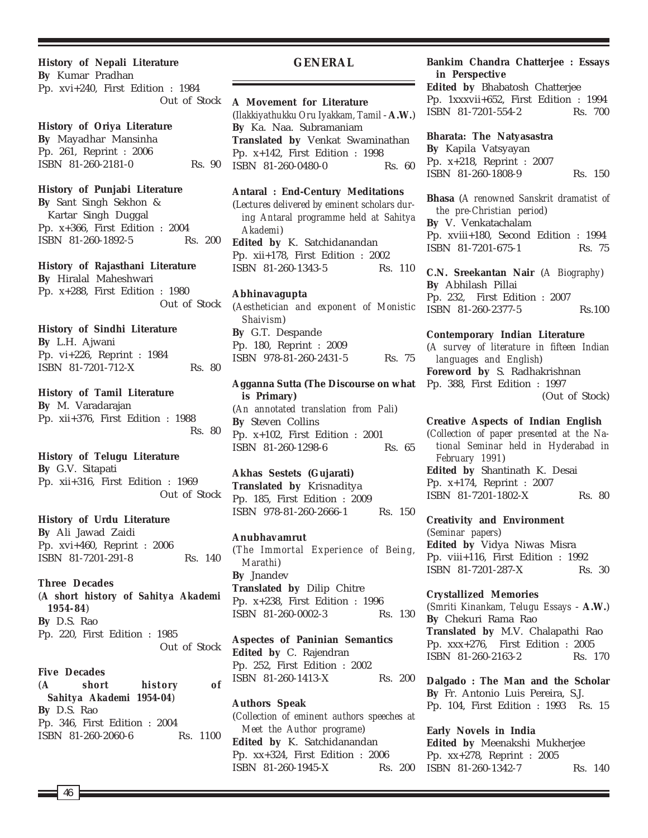**History of Nepali Literature By** Kumar Pradhan

Pp. xvi+240, First Edition : 1984 Out of Stock

# **History of Oriya Literature**

**By** Mayadhar Mansinha Pp. 261, Reprint : 2006 ISBN 81-260-2181-0 Rs. 90

#### **History of Punjabi Literature**

**By** Sant Singh Sekhon & Kartar Singh Duggal Pp. x+366, First Edition : 2004 ISBN 81-260-1892-5 Rs. 200

#### **History of Rajasthani Literature**

**By** Hiralal Maheshwari Pp. x+288, First Edition : 1980 Out of Stock

# **History of Sindhi Literature**

**By** L.H. Ajwani Pp. vi+226, Reprint : 1984 ISBN 81-7201-712-X Rs. 80

#### **History of Tamil Literature**

**By** M. Varadarajan Pp. xii+376, First Edition : 1988 Rs. 80

#### **History of Telugu Literature**

**By** G.V. Sitapati Pp. xii+316, First Edition : 1969 Out of Stock

#### **History of Urdu Literature**

**By** Ali Jawad Zaidi Pp. xvi+460, Reprint : 2006 ISBN 81-7201-291-8 Rs. 140

#### **Three Decades**

(*A short history of Sahitya Akademi 1954-84*) **By** D.S. Rao Pp. 220, First Edition : 1985 Out of Stock

#### **Five Decades**

(*A short history of Sahitya Akademi 1954-04*) **By** D.S. Rao Pp. 346, First Edition : 2004 ISBN 81-260-2060-6 Rs. 1100

#### **GENERAL**

**A Movement for Literature** (*Ilakkiyathukku Oru Iyakkam, Tamil* - **A.W.**) **By** Ka. Naa. Subramaniam **Translated by** Venkat Swaminathan Pp. x+142, First Edition : 1998 ISBN 81-260-0480-0 Rs. 60

**Antaral : End-Century Meditations** (*Lectures delivered by eminent scholars during Antaral programme held at Sahitya Akademi*) **Edited by** K. Satchidanandan Pp. xii+178, First Edition : 2002 ISBN 81-260-1343-5 Rs. 110

# **Abhinavagupta**

(*Aesthetician and exponent of Monistic Shaivism*) **By** G.T. Despande Pp. 180, Reprint : 2009 ISBN 978-81-260-2431-5 Rs. 75

**Agganna Sutta (The Discourse on what is Primary)** (*An annotated translation from Pali*) **By** Steven Collins Pp. x+102, First Edition : 2001 ISBN 81-260-1298-6 Rs. 65

# **Akhas Sestets (Gujarati)**

**Translated by** Krisnaditya Pp. 185, First Edition : 2009 ISBN 978-81-260-2666-1 Rs. 150

### **Anubhavamrut**

(*The Immortal Experience of Being, Marathi*) **By** Jnandev **Translated by** Dilip Chitre Pp. x+238, First Edition : 1996 ISBN 81-260-0002-3 Rs. 130

**Aspectes of Paninian Semantics Edited by** C. Rajendran Pp. 252, First Edition : 2002 ISBN 81-260-1413-X Rs. 200

# **Authors Speak** (*Collection of eminent authors speeches at Meet the Author programe*) **Edited by** K. Satchidanandan Pp. xx+324, First Edition : 2006 ISBN 81-260-1945-X Rs. 200

# **Bankim Chandra Chatterjee : Essays in Perspective**

**Edited by** Bhabatosh Chatterjee Pp. 1xxxvii+652, First Edition : 1994 ISBN 81-7201-554-2 Rs. 700

# **Bharata: The Natyasastra**

**By** Kapila Vatsyayan Pp. x+218, Reprint : 2007 ISBN 81-260-1808-9 Rs. 150

**Bhasa** (*A renowned Sanskrit dramatist of the pre-Christian period*) **By** V. Venkatachalam Pp. xviii+180, Second Edition : 1994 ISBN 81-7201-675-1 Rs. 75

**C.N. Sreekantan Nair** (*A Biography*) **By** Abhilash Pillai Pp. 232, First Edition : 2007 ISBN 81-260-2377-5 Rs.100

**Contemporary Indian Literature** (*A survey of literature in fifteen Indian languages and English*) **Foreword by** S. Radhakrishnan Pp. 388, First Edition : 1997 (Out of Stock)

**Creative Aspects of Indian English** (*Collection of paper presented at the National Seminar held in Hyderabad in February 1991*) **Edited by** Shantinath K. Desai Pp. x+174, Reprint : 2007 ISBN 81-7201-1802-X Rs. 80

**Creativity and Environment**

(*Seminar papers*) **Edited by** Vidya Niwas Misra Pp. viii+116, First Edition : 1992 ISBN 81-7201-287-X Rs. 30

**Crystallized Memories** (*Smriti Kinankam, Telugu Essays* - **A.W.**) **By** Chekuri Rama Rao **Translated by** M.V. Chalapathi Rao Pp. xxx+276, First Edition : 2005 ISBN 81-260-2163-2 Rs. 170

**Dalgado : The Man and the Scholar By** Fr. Antonio Luis Pereira, S.J. Pp. 104, First Edition : 1993 Rs. 15

**Early Novels in India Edited by** Meenakshi Mukherjee Pp. xx+278, Reprint : 2005 ISBN 81-260-1342-7 Rs. 140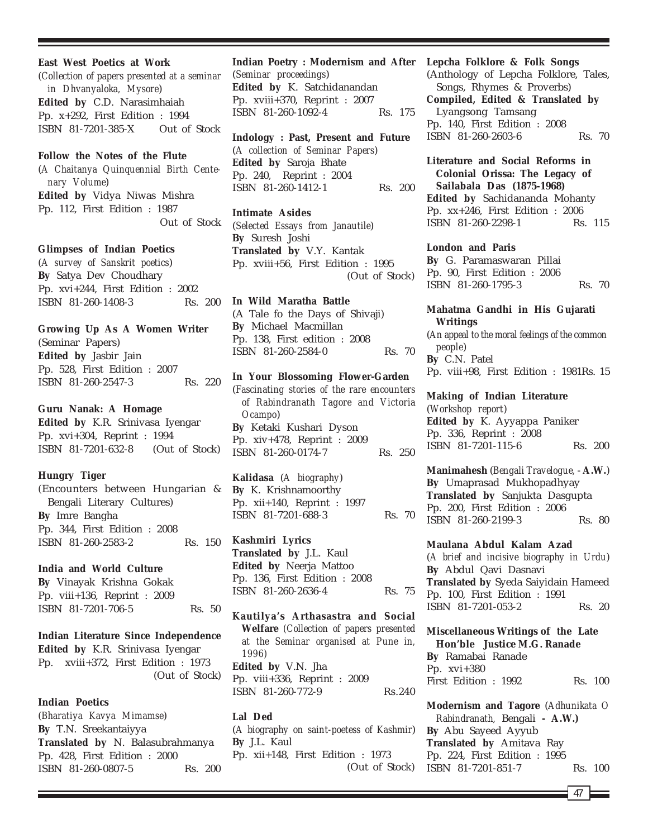#### **East West Poetics at Work**

(*Collection of papers presented at a seminar in Dhvanyaloka, Mysore*) **Edited by** C.D. Narasimhaiah Pp. x+292, First Edition : 1994 ISBN 81-7201-385-X Out of Stock

# **Follow the Notes of the Flute**

(*A Chaitanya Quinquennial Birth Centenary Volume*) **Edited by** Vidya Niwas Mishra Pp. 112, First Edition : 1987 Out of Stock

# **Glimpses of Indian Poetics**

(*A survey of Sanskrit poetics*) **By** Satya Dev Choudhary Pp. xvi+244, First Edition : 2002 ISBN 81-260-1408-3 Rs. 200

# **Growing Up As A Women Writer**

(Seminar Papers) **Edited by** Jasbir Jain Pp. 528, First Edition : 2007 ISBN 81-260-2547-3 Rs. 220

# **Guru Nanak: A Homage**

**Edited by** K.R. Srinivasa Iyengar Pp. xvi+304, Reprint : 1994 ISBN 81-7201-632-8 (Out of Stock)

# **Hungry Tiger**

(Encounters between Hungarian & Bengali Literary Cultures) **By** Imre Bangha Pp. 344, First Edition : 2008 ISBN 81-260-2583-2 Rs. 150

# **India and World Culture**

**By** Vinayak Krishna Gokak Pp. viii+136, Reprint : 2009 ISBN 81-7201-706-5 Rs. 50

**Indian Literature Since Independence Edited by** K.R. Srinivasa Iyengar Pp. xviii+372, First Edition : 1973 (Out of Stock)

# **Indian Poetics**

(*Bharatiya Kavya Mimamse*) **By** T.N. Sreekantaiyya **Translated by** N. Balasubrahmanya Pp. 428, First Edition : 2000 ISBN 81-260-0807-5 Rs. 200

**Indian Poetry : Modernism and After Lepcha Folklore & Folk Songs** (*Seminar proceedings*) **Edited by** K. Satchidanandan Pp. xviii+370, Reprint : 2007 ISBN 81-260-1092-4 Rs. 175

**Indology : Past, Present and Future** (*A collection of Seminar Papers*) **Edited by** Saroja Bhate Pp. 240, Reprint : 2004 ISBN 81-260-1412-1 Rs. 200

**Intimate Asides** (*Selected Essays from Janautile*) **By** Suresh Joshi **Translated by** V.Y. Kantak Pp. xviii+56, First Edition : 1995 (Out of Stock)

**In Wild Maratha Battle** (A Tale fo the Days of Shivaji) **By** Michael Macmillan Pp. 138, First edition : 2008 ISBN 81-260-2584-0 Rs. 70

#### **In Your Blossoming Flower-Garden**

(*Fascinating stories of the rare encounters of Rabindranath Tagore and Victoria Ocampo*) **By** Ketaki Kushari Dyson Pp. xiv+478, Reprint : 2009 ISBN 81-260-0174-7 Rs. 250

**Kalidasa** (*A biography*) **By** K. Krishnamoorthy Pp. xii+140, Reprint : 1997 ISBN 81-7201-688-3 Rs. 70

**Kashmiri Lyrics Translated by** J.L. Kaul **Edited by** Neerja Mattoo Pp. 136, First Edition : 2008 ISBN 81-260-2636-4 Rs. 75

**Kautilya's Arthasastra and Social Welfare** *(Collection of papers presented at the Seminar organised at Pune in, 1996)* **Edited by** V.N. Jha Pp. viii+336, Reprint : 2009 ISBN 81-260-772-9 Rs.240

#### **Lal Ded**

(*A biography on saint-poetess of Kashmir*) **By** J.L. Kaul Pp. xii+148, First Edition : 1973 (Out of Stock)

(Anthology of Lepcha Folklore, Tales, Songs, Rhymes & Proverbs) **Compiled, Edited & Translated by** Lyangsong Tamsang Pp. 140, First Edition : 2008 ISBN 81-260-2603-6 Rs. 70

**Literature and Social Reforms in Colonial Orissa: The Legacy of Sailabala Das (1875-1968) Edited by** Sachidananda Mohanty Pp. xx+246, First Edition : 2006 ISBN 81-260-2298-1 Rs. 115

### **London and Paris By** G. Paramaswaran Pillai Pp. 90, First Edition : 2006 ISBN 81-260-1795-3 Rs. 70

**Mahatma Gandhi in His Gujarati Writings** (*An appeal to the moral feelings of the common people*) **By** C.N. Patel

Pp. viii+98, First Edition : 1981Rs. 15

### **Making of Indian Literature**

(*Workshop report*) **Edited by** K. Ayyappa Paniker Pp. 336, Reprint : 2008 ISBN 81-7201-115-6 Rs. 200

**Manimahesh** (*Bengali Travelogue,* - **A.W.**) **By** Umaprasad Mukhopadhyay **Translated by** Sanjukta Dasgupta Pp. 200, First Edition : 2006 ISBN 81-260-2199-3 Rs. 80

**Maulana Abdul Kalam Azad** (*A brief and incisive biography in Urdu*) **By** Abdul Qavi Dasnavi **Translated by** Syeda Saiyidain Hameed Pp. 100, First Edition : 1991 ISBN 81-7201-053-2 Rs. 20

**Miscellaneous Writings of the Late Hon'ble Justice M.G. Ranade By** Ramabai Ranade Pp. xvi+380 First Edition : 1992 Rs. 100

**Modernism and Tagore** (*Adhunikata O Rabindranath,* Bengali **- A.W.) By** Abu Sayeed Ayyub **Translated by** Amitava Ray Pp. 224, First Edition : 1995 ISBN 81-7201-851-7 Rs. 100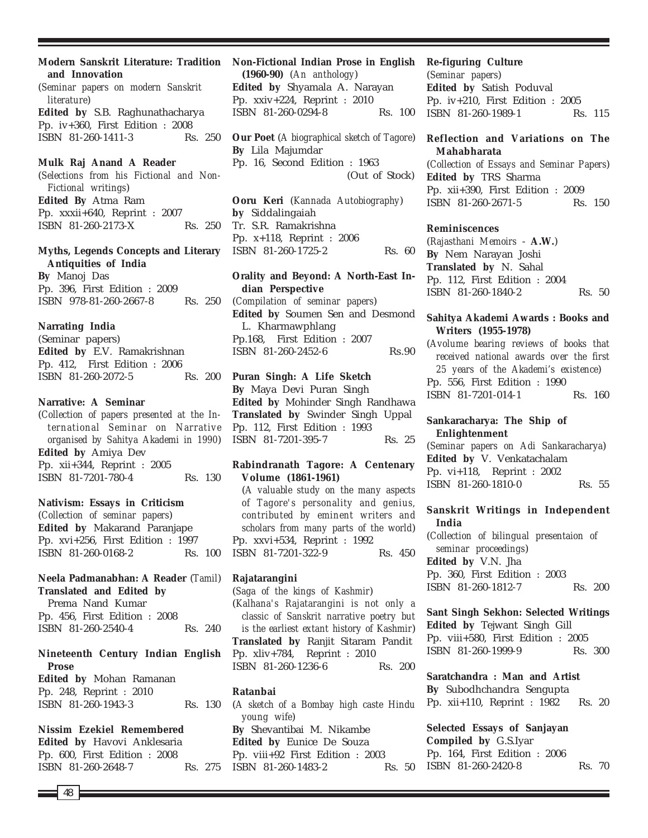**Modern Sanskrit Literature: Tradition and Innovation** (*Seminar papers on modern Sanskrit literature*)

**Edited by** S.B. Raghunathacharya Pp. iv+360, First Edition : 2008 ISBN 81-260-1411-3 Rs. 250

#### **Mulk Raj Anand A Reader**

(*Selections from his Fictional and Non-Fictional writings*) **Edited By** Atma Ram Pp. xxxii+640, Reprint : 2007 ISBN 81-260-2173-X Rs. 250

# **Myths, Legends Concepts and Literary Antiquities of India**

**By** Manoj Das Pp. 396, First Edition : 2009 ISBN 978-81-260-2667-8 Rs. 250

# **Narrating India**

(Seminar papers) **Edited by** E.V. Ramakrishnan Pp. 412, First Edition : 2006 ISBN 81-260-2072-5 Rs. 200

#### **Narrative: A Seminar**

(*Collection of papers presented at the International Seminar on Narrative organised by Sahitya Akademi in 1990*) **Edited by** Amiya Dev Pp. xii+344, Reprint : 2005 ISBN 81-7201-780-4 Rs. 130

# **Nativism: Essays in Criticism**

(*Collection of seminar papers*) **Edited by** Makarand Paranjape Pp. xvi+256, First Edition : 1997 ISBN 81-260-0168-2 Rs. 100

# **Neela Padmanabhan: A Reader** (*Tamil*) **Translated and Edited by**

Prema Nand Kumar Pp. 456, First Edition : 2008 ISBN 81-260-2540-4 Rs. 240

# **Nineteenth Century Indian English Prose**

**Edited by** Mohan Ramanan Pp. 248, Reprint : 2010 ISBN 81-260-1943-3 Rs. 130

**Nissim Ezekiel Remembered Edited by** Havovi Anklesaria Pp. 600, First Edition : 2008 ISBN 81-260-2648-7 Rs. 275

# **Non-Fictional Indian Prose in English**

**(1960-90)** (*An anthology*) **Edited by** Shyamala A. Narayan Pp. xxiv+224, Reprint : 2010 ISBN 81-260-0294-8 Rs. 100

**Our Poet** (*A biographical sketch of Tagore*) **By** Lila Majumdar Pp. 16, Second Edition : 1963 (Out of Stock)

**Ooru Keri** (*Kannada Autobiography*) **by** Siddalingaiah Tr. S.R. Ramakrishna Pp. x+118, Reprint : 2006 ISBN 81-260-1725-2 Rs. 60

# **Orality and Beyond: A North-East Indian Perspective**

(*Compilation of seminar papers*) **Edited by** Soumen Sen and Desmond L. Kharmawphlang Pp.168, First Edition : 2007 ISBN 81-260-2452-6 Rs.90

# **Puran Singh: A Life Sketch**

**By** Maya Devi Puran Singh **Edited by** Mohinder Singh Randhawa **Translated by** Swinder Singh Uppal Pp. 112, First Edition : 1993 ISBN 81-7201-395-7 Rs. 25

# **Rabindranath Tagore: A Centenary Volume (1861-1961)**

(*A valuable study on the many aspects of Tagore's personality and genius, contributed by eminent writers and scholars from many parts of the world*) Pp. xxvi+534, Reprint : 1992 ISBN 81-7201-322-9 Rs. 450

# **Rajatarangini**

(*Saga of the kings of Kashmir*) (*Kalhana's Rajatarangini is not only a classic of Sanskrit narrative poetry but is the earliest extant history of Kashmir*) **Translated by** Ranjit Sitaram Pandit Pp. xliv+784, Reprint : 2010 ISBN 81-260-1236-6 Rs. 200

#### **Ratanbai**

(*A sketch of a Bombay high caste Hindu young wife*) **By** Shevantibai M. Nikambe **Edited by** Eunice De Souza Pp. viii+92 First Edition : 2003 ISBN 81-260-1483-2 Rs. 50

#### **Re-figuring Culture**

(*Seminar papers*) **Edited by** Satish Poduval Pp. iv+210, First Edition : 2005 ISBN 81-260-1989-1 Rs. 115

# **Reflection and Variations on The Mahabharata**

(*Collection of Essays and Seminar Papers*) **Edited by** TRS Sharma Pp. xii+390, First Edition : 2009 ISBN 81-260-2671-5 Rs. 150

#### **Reminiscences**

(*Rajasthani Memoirs* - **A.W.**) **By** Nem Narayan Joshi **Translated by** N. Sahal Pp. 112, First Edition : 2004 ISBN 81-260-1840-2 Rs. 50

#### **Sahitya Akademi Awards : Books and Writers (1955-1978)**

(*Avolume bearing reviews of books that received national awards over the first 25 years of the Akademi's existence*) Pp. 556, First Edition : 1990 ISBN 81-7201-014-1 Rs. 160

# **Sankaracharya: The Ship of Enlightenment**

(*Seminar papers on Adi Sankaracharya*) **Edited by** V. Venkatachalam Pp. vi+118, Reprint : 2002 ISBN 81-260-1810-0 Rs. 55

# **Sanskrit Writings in Independent India**

(*Collection of bilingual presentaion of seminar proceedings*) **Edited by** V.N. Jha Pp. 360, First Edition : 2003 ISBN 81-260-1812-7 Rs. 200

# **Sant Singh Sekhon: Selected Writings Edited by** Tejwant Singh Gill Pp. viii+580, First Edition : 2005 ISBN 81-260-1999-9 Rs. 300

**Saratchandra : Man and Artist By** Subodhchandra Sengupta Pp. xii+110, Reprint : 1982 Rs. 20

**Selected Essays of Sanjayan Compiled by** G.S.Iyar Pp. 164, First Edition : 2006 ISBN 81-260-2420-8 Rs. 70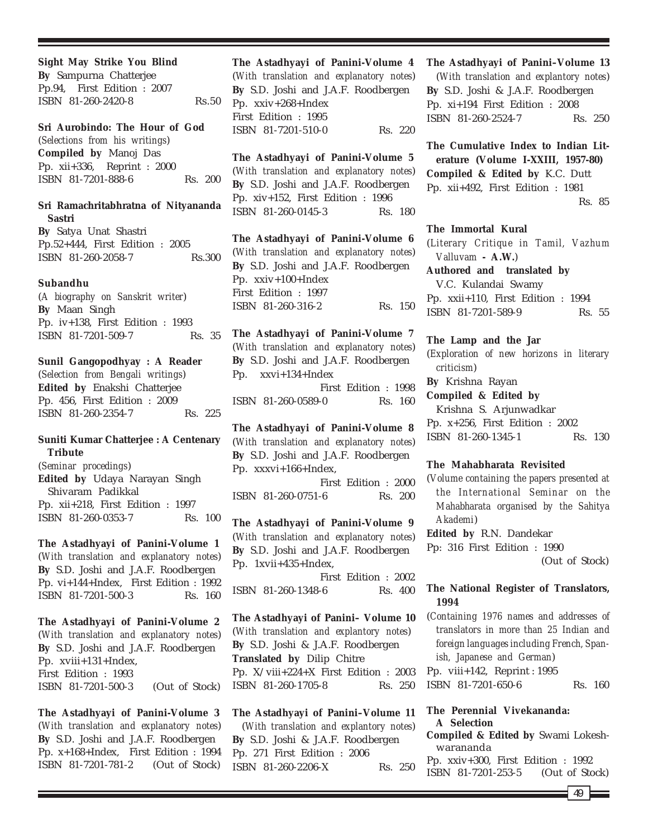**Sight May Strike You Blind By** Sampurna Chatterjee Pp.94, First Edition : 2007 ISBN 81-260-2420-8 Rs.50

**Sri Aurobindo: The Hour of God** (*Selections from his writings*) **Compiled by** Manoj Das Pp. xii+336, Reprint : 2000 ISBN 81-7201-888-6 Rs. 200

# **Sri Ramachritabhratna of Nityananda Sastri**

**By** Satya Unat Shastri Pp.52+444, First Edition : 2005 ISBN 81-260-2058-7 Rs.300

#### **Subandhu**

(*A biography on Sanskrit writer*) **By** Maan Singh Pp. iv+138, First Edition : 1993 ISBN 81-7201-509-7 Rs. 35

**Sunil Gangopodhyay : A Reader** (*Selection from Bengali writings*) **Edited by** Enakshi Chatterjee Pp. 456, First Edition : 2009 ISBN 81-260-2354-7 Rs. 225

# **Suniti Kumar Chatterjee : A Centenary Tribute**

(*Seminar procedings*) **Edited by** Udaya Narayan Singh Shivaram Padikkal Pp. xii+218, First Edition : 1997 ISBN 81-260-0353-7 Rs. 100

**The Astadhyayi of Panini-Volume 1** (*With translation and explanatory notes*) **By** S.D. Joshi and J.A.F. Roodbergen Pp. vi+144+Index, First Edition : 1992 ISBN 81-7201-500-3 Rs. 160

**The Astadhyayi of Panini-Volume 2** (*With translation and explanatory notes*) **By** S.D. Joshi and J.A.F. Roodbergen Pp. xviii+131+Index, First Edition : 1993 ISBN 81-7201-500-3 (Out of Stock)

**The Astadhyayi of Panini-Volume 3** (*With translation and explanatory notes*) **By** S.D. Joshi and J.A.F. Roodbergen Pp. x+168+Index, First Edition : 1994 ISBN 81-7201-781-2 (Out of Stock)

**The Astadhyayi of Panini-Volume 4** (*With translation and explanatory notes*) **By** S.D. Joshi and J.A.F. Roodbergen Pp. xxiv+268+Index First Edition : 1995 ISBN 81-7201-510-0 Rs. 220

**The Astadhyayi of Panini-Volume 5** (*With translation and explanatory notes*) **By** S.D. Joshi and J.A.F. Roodbergen Pp. xiv+152, First Edition : 1996 ISBN 81-260-0145-3 Rs. 180

**The Astadhyayi of Panini-Volume 6** (*With translation and explanatory notes*) **By** S.D. Joshi and J.A.F. Roodbergen Pp. xxiv+100+Index First Edition : 1997 ISBN 81-260-316-2 Rs. 150

**The Astadhyayi of Panini-Volume 7** (*With translation and explanatory notes*) **By** S.D. Joshi and J.A.F. Roodbergen Pp. xxvi+134+Index First Edition : 1998 ISBN 81-260-0589-0 Rs. 160

**The Astadhyayi of Panini-Volume 8** (*With translation and explanatory notes*) **By** S.D. Joshi and J.A.F. Roodbergen Pp. xxxvi+166+Index, First Edition : 2000 ISBN 81-260-0751-6 Rs. 200

**The Astadhyayi of Panini-Volume 9** (*With translation and explanatory notes*) **By** S.D. Joshi and J.A.F. Roodbergen Pp. 1xvii+435+Index,

First Edition : 2002 ISBN 81-260-1348-6 Rs. 400

**The Astadhyayi of Panini– Volume 10** (*With translation and explantory notes*) **By** S.D. Joshi & J.A.F. Roodbergen **Translated by** Dilip Chitre Pp. X/viii+224+X First Edition : 2003 ISBN 81-260-1705-8 Rs. 250

**The Astadhyayi of Panini–Volume 11** (*With translation and explantory notes*) **By** S.D. Joshi & J.A.F. Roodbergen Pp. 271 First Edition : 2006 ISBN 81-260-2206-X Rs. 250

**The Astadhyayi of Panini–Volume 13** (*With translation and explantory notes*) **By** S.D. Joshi & J.A.F. Roodbergen Pp. xi+194 First Edition : 2008 ISBN 81-260-2524-7 Rs. 250

**The Cumulative Index to Indian Literature (Volume I-XXIII, 1957-80) Compiled & Edited by** K.C. Dutt Pp. xii+492, First Edition : 1981 Rs. 85

#### **The Immortal Kural**

(*Literary Critique in Tamil, Vazhum Valluvam* **- A.W.**)

**Authored and translated by** V.C. Kulandai Swamy Pp. xxii+110, First Edition : 1994 ISBN 81-7201-589-9 Rs. 55

#### **The Lamp and the Jar**

(*Exploration of new horizons in literary criticism*)

**By** Krishna Rayan

**Compiled & Edited by** Krishna S. Arjunwadkar Pp. x+256, First Edition : 2002 ISBN 81-260-1345-1 Rs. 130

# **The Mahabharata Revisited**

(*Volume containing the papers presented at the International Seminar on the Mahabharata organised by the Sahitya Akademi*)

**Edited by** R.N. Dandekar

Pp: 316 First Edition : 1990

(Out of Stock)

# **The National Register of Translators, 1994**

(*Containing 1976 names and addresses of translators in more than 25 Indian and foreign languages including French, Spanish, Japanese and German*) Pp. viii+142, Reprint : 1995 ISBN 81-7201-650-6 Rs. 160

# **The Perennial Vivekananda: A Selection**

**Compiled & Edited by** Swami Lokeshwarananda

Pp. xxiv+300, First Edition : 1992 ISBN 81-7201-253-5 (Out of Stock)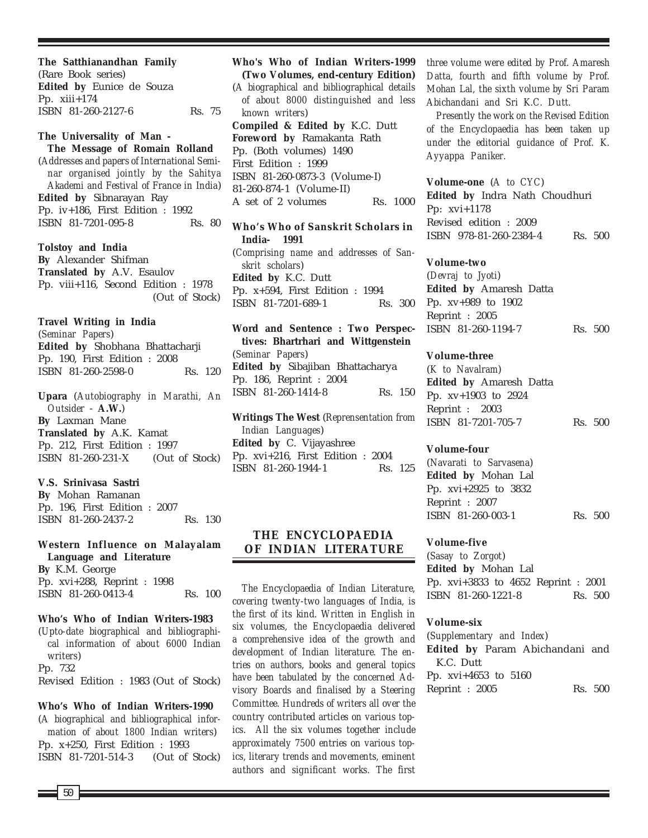**The Satthianandhan Family** (Rare Book series) **Edited by** Eunice de Souza Pp. xiii+174 ISBN 81-260-2127-6 Rs. 75

# **The Universality of Man -**

**The Message of Romain Rolland** (*Addresses and papers of International Seminar organised jointly by the Sahitya Akademi and Festival of France in India*) **Edited by** Sibnarayan Ray Pp. iv+186, First Edition : 1992 ISBN 81-7201-095-8 Rs. 80

**Tolstoy and India By** Alexander Shifman **Translated by** A.V. Esaulov Pp. viii+116, Second Edition : 1978 (Out of Stock)

#### **Travel Writing in India**

(*Seminar Papers*) **Edited by** Shobhana Bhattacharji Pp. 190, First Edition : 2008 ISBN 81-260-2598-0 Rs. 120

**Upara** (*Autobiography in Marathi, An Outsider* - **A.W.**) **By** Laxman Mane **Translated by** A.K. Kamat Pp. 212, First Edition : 1997 ISBN 81-260-231-X (Out of Stock)

#### **V.S. Srinivasa Sastri**

**By** Mohan Ramanan Pp. 196, First Edition : 2007 ISBN 81-260-2437-2 Rs. 130

# **Western Influence on Malayalam Language and Literature By** K.M. George Pp. xvi+288, Reprint : 1998

ISBN 81-260-0413-4 Rs. 100

# **Who's Who of Indian Writers-1983**

(*Upto-date biographical and bibliographical information of about 6000 Indian writers*) Pp. 732

Revised Edition : 1983 (Out of Stock)

#### **Who's Who of Indian Writers-1990**

(*A biographical and bibliographical information of about 1800 Indian writers*) Pp. x+250, First Edition : 1993 ISBN 81-7201-514-3 (Out of Stock)

**Who's Who of Indian Writers-1999 (Two Volumes, end-century Edition)** (*A biographical and bibliographical details of about 8000 distinguished and less known writers*) **Compiled & Edited by** K.C. Dutt **Foreword by** Ramakanta Rath Pp. (Both volumes) 1490 First Edition : 1999 ISBN 81-260-0873-3 (Volume-I) 81-260-874-1 (Volume-II) A set of 2 volumes Rs. 1000

**Who's Who of Sanskrit Scholars in India- 1991** (*Comprising name and addresses of Sanskrit scholars*) **Edited by** K.C. Dutt Pp. x+594, First Edition : 1994 ISBN 81-7201-689-1 Rs. 300

**Word and Sentence : Two Perspectives: Bhartrhari and Wittgenstein** (*Seminar Papers*) **Edited by** Sibajiban Bhattacharya Pp. 186, Reprint : 2004 ISBN 81-260-1414-8 Rs. 150

**Writings The West** (*Reprensentation from Indian Languages*) **Edited by** C. Vijayashree Pp. xvi+216, First Edition : 2004 ISBN 81-260-1944-1 Rs. 125

# **THE ENCYCLOPAEDIA OF INDIAN LITERATURE**

*The Encyclopaedia of Indian Literature, covering twenty-two languages of India, is the first of its kind. Written in English in six volumes, the Encyclopaedia delivered a comprehensive idea of the growth and development of Indian literature. The entries on authors, books and general topics have been tabulated by the concerned Advisory Boards and finalised by a Steering Committee. Hundreds of writers all over the country contributed articles on various topics. All the six volumes together include approximately 7500 entries on various topics, literary trends and movements, eminent authors and significant works. The first*

*three volume were edited by Prof. Amaresh Datta, fourth and fifth volume by Prof. Mohan Lal, the sixth volume by Sri Param Abichandani and Sri K.C. Dutt.*

*Presently the work on the Revised Edition of the Encyclopaedia has been taken up under the editorial guidance of Prof. K. Ayyappa Paniker.*

**Volume-one** (*A to CYC*) **Edited by** Indra Nath Choudhuri Pp: xvi+1178 Revised edition : 2009 ISBN 978-81-260-2384-4 Rs. 500

#### **Volume-two**

(*Devraj to Jyoti*) **Edited by** Amaresh Datta Pp. xv+989 to 1902 Reprint : 2005 ISBN 81-260-1194-7 Rs. 500

#### **Volume-three**

(*K to Navalram*) **Edited by** Amaresh Datta Pp. xv+1903 to 2924 Reprint : 2003 ISBN 81-7201-705-7 Rs. 500

#### **Volume-four**

(*Navarati to Sarvasena*) **Edited by** Mohan Lal Pp. xvi+2925 to 3832 Reprint : 2007 ISBN 81-260-003-1 Rs. 500

#### **Volume-five**

(*Sasay to Zorgot*) **Edited by** Mohan Lal Pp. xvi+3833 to 4652 Reprint : 2001 ISBN 81-260-1221-8 Rs. 500

# **Volume-six**

(*Supplementary and Index*) **Edited by** Param Abichandani and K.C. Dutt Pp. xvi+4653 to 5160 Reprint : 2005 Rs. 500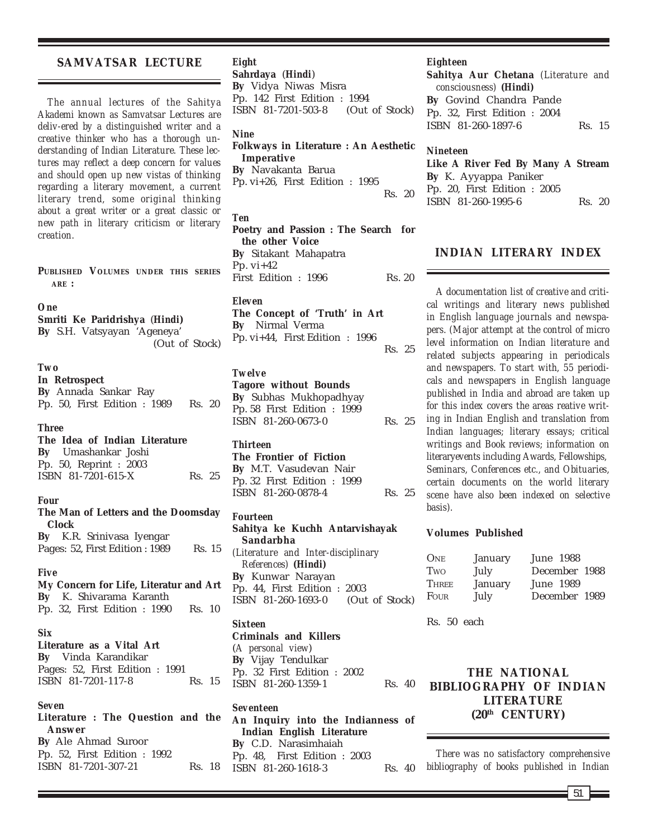# **SAMVATSAR LECTURE**

*The annual lectures of the Sahitya Akademi known as Samvatsar Lectures are deliv-ered by a distinguished writer and a creative thinker who has a thorough understanding of Indian Literature. These lectures may reflect a deep concern for values and should open up new vistas of thinking regarding a literary movement, a current literary trend, some original thinking about a great writer or a great classic or new path in literary criticism or literary creation.*

**PUBLISHED VOLUMES UNDER THIS SERIES ARE :**

#### *One*

**Smriti Ke Paridrishya** (*Hindi***) By** S.H. Vatsyayan 'Ageneya'

(Out of Stock)

#### *Two*

**In Retrospect By** Annada Sankar Ray Pp. 50, First Edition : 1989 Rs. 20

#### *Three*

# **The Idea of Indian Literature By** Umashankar Joshi Pp. 50, Reprint : 2003 ISBN 81-7201-615-X Rs. 25

#### *Four*

|       | The Man of Letters and the Doomsday                                 |        |
|-------|---------------------------------------------------------------------|--------|
| Clock |                                                                     |        |
|       | <b>By</b> K.R. Srinivasa Iyengar<br>Pages: 52, First Edition : 1989 | Rs. 15 |
|       |                                                                     |        |

#### *Five*

**My Concern for Life, Literatur and Art By** K. Shivarama Karanth Pp. 32, First Edition : 1990 Rs. 10

# *Six*

**Literature as a Vital Art By** Vinda Karandikar Pages: 52, First Edition : 1991 ISBN 81-7201-117-8 Rs. 15

# *Seven*

| Literature : The Question and the |        |
|-----------------------------------|--------|
| Answer                            |        |
| <b>By</b> Ale Ahmad Suroor        |        |
| Pp. 52, First Edition : 1992      |        |
| ISBN 81-7201-307-21               | Rs. 18 |

# *Eight* **Sahrdaya** (*Hindi*) **By** Vidya Niwas Misra Pp. 142 First Edition : 1994 ISBN 81-7201-503-8 (Out of Stock)

#### *Nine*

**Folkways in Literature : An Aesthetic Imperative By** Navakanta Barua Pp. vi+26, First Edition : 1995 Rs. 20

#### *Ten*

**Poetry and Passion : The Search for the other Voice By** Sitakant Mahapatra Pp.  $vi+42$ First Edition : 1996 Rs. 20

#### *Eleven*

**The Concept of 'Truth' in Art By** Nirmal Verma Pp. vi+44, First Edition : 1996 Rs. 25

#### *Twelve*

**Tagore without Bounds By** Subhas Mukhopadhyay Pp. 58 First Edition : 1999 ISBN 81-260-0673-0 Rs. 25

#### *Thirteen*

| The Frontier of Fiction       |        |  |
|-------------------------------|--------|--|
| <b>By</b> M.T. Vasudevan Nair |        |  |
| Pp. 32 First Edition : 1999   |        |  |
| ISBN 81-260-0878-4            | Rs. 25 |  |

#### *Fourteen*

**Sahitya ke Kuchh Antarvishayak Sandarbha** *(Literature and Inter-disciplinary References) (Hindi)* **By** Kunwar Narayan Pp. 44, First Edition : 2003 ISBN 81-260-1693-0 (Out of Stock)

# *Sixteen*

**Criminals and Killers** (*A personal view*) **By** Vijay Tendulkar Pp. 32 First Edition : 2002 ISBN 81-260-1359-1 Rs. 40

### *Seventeen*

**An Inquiry into the Indianness of Indian English Literature By** C.D. Narasimhaiah Pp. 48, First Edition : 2003 ISBN 81-260-1618-3 Rs. 40

### *Eighteen*

**Sahitya Aur Chetana** *(Literature and consciousness) (Hindi)* **By** Govind Chandra Pande Pp. 32, First Edition : 2004 ISBN 81-260-1897-6 Rs. 15

#### *Nineteen*

**Like A River Fed By Many A Stream By** K. Ayyappa Paniker Pp. 20, First Edition : 2005 ISBN 81-260-1995-6 Rs. 20

# **INDIAN LITERARY INDEX**

*A documentation list of creative and critical writings and literary news published in English language journals and newspapers. (Major attempt at the control of micro level information on Indian literature and related subjects appearing in periodicals and newspapers. To start with, 55 periodicals and newspapers in English language published in India and abroad are taken up for this index covers the areas reative writing in Indian English and translation from Indian languages; literary essays; critical writings and Book reviews; information on literaryevents including Awards, Fellowships, Seminars, Conferences etc., and Obituaries, certain documents on the world literary scene have also been indexed on selective basis).*

#### **Volumes Published**

| ONE          | January | June 1988     |  |
|--------------|---------|---------------|--|
| Two          | July    | December 1988 |  |
| <b>THREE</b> | January | June 1989     |  |
| FOUR         | July    | December 1989 |  |

Rs. 50 each

# **THE NATIONAL BIBLIOGRAPHY OF INDIAN LITERATURE (20th CENTURY)**

*There was no satisfactory comprehensive bibliography of books published in Indian*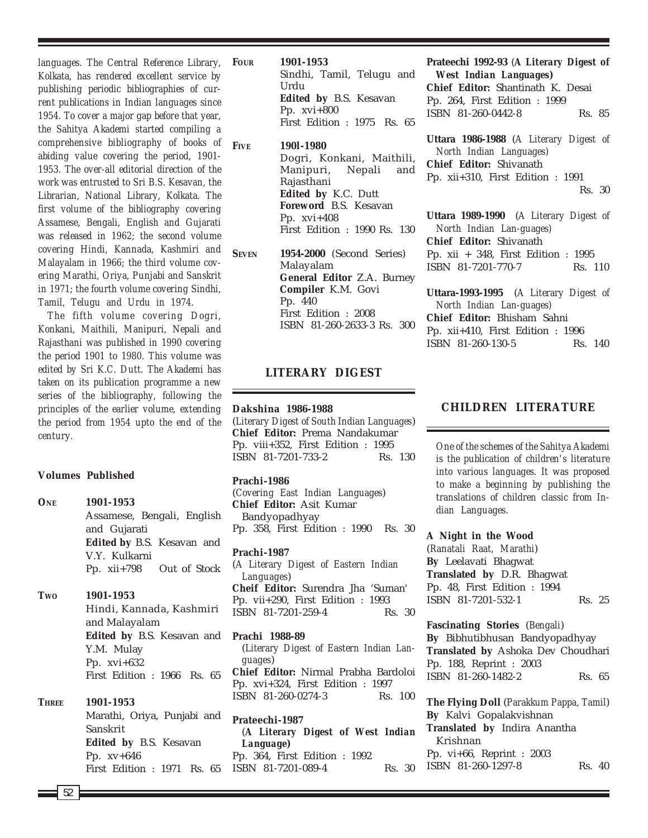*languages. The Central Reference Library, Kolkata, has rendered excellent service by publishing periodic bibliographies of current publications in Indian languages since 1954. To cover a major gap before that year, the Sahitya Akademi started compiling a comprehensive bibliography of books of abiding value covering the period, 1901- 1953. The over-all editorial direction of the work was entrusted to Sri B.S. Kesavan, the Librarian, National Library, Kolkata. The first volume of the bibliography covering Assamese, Bengali, English and Gujarati was released in 1962; the second volume covering Hindi, Kannada, Kashmiri and Malayalam in 1966; the third volume covering Marathi, Oriya, Punjabi and Sanskrit in 1971; the fourth volume covering Sindhi, Tamil, Telugu and Urdu in 1974.*

*The fifth volume covering Dogri, Konkani, Maithili, Manipuri, Nepali and Rajasthani was published in 1990 covering the period 1901 to 1980. This volume was edited by Sri K.C. Dutt. The Akademi has taken on its publication programme a new series of the bibliography, following the principles of the earlier volume, extending the period from 1954 upto the end of the century.*

#### **Volumes Published**

| ONE          | 1901-1953                   |
|--------------|-----------------------------|
|              | Assamese, Bengali, English  |
|              | and Gujarati                |
|              | Edited by B.S. Kesavan and  |
|              | V.Y. Kulkarni               |
|              | Pp. xii+798 Out of Stock    |
| Two          | 1901-1953                   |
|              | Hindi, Kannada, Kashmiri    |
|              | and Malayalam               |
|              | Edited by B.S. Kesavan and  |
|              | Y.M. Mulay                  |
|              | Pp. $xvi+632$               |
|              | First Edition : 1966 Rs. 65 |
| <b>THREE</b> | 1901-1953                   |
|              | Marathi, Oriya, Punjabi and |
|              | Sanskrit                    |
|              | Edited by B.S. Kesavan      |
|              | Pp. xv+646                  |
|              | First Edition : 1971 Rs. 65 |

**FOUR 1901-1953** Sindhi, Tamil, Telugu and Urdu **Edited by** B.S. Kesavan Pp. xvi+800 First Edition : 1975 Rs. 65

**FIVE 190l-1980** Dogri, Konkani, Maithili, Manipuri, Nepali and Rajasthani **Edited by** K.C. Dutt **Foreword** B.S. Kesavan Pp. xvi+408 First Edition : 1990 Rs. 130

**SEVEN 1954-2000** (Second Series) Malayalam **General Editor** Z.A. Burney **Compiler** K.M. Govi Pp. 440 First Edition : 2008 ISBN 81-260-2633-3 Rs. 300

# **LITERARY DIGEST**

#### **Dakshina 1986-1988**

(*Literary Digest of South Indian Languages*) **Chief Editor:** Prema Nandakumar Pp. viii+352, First Edition : 1995 ISBN 81-7201-733-2 Rs. 130

#### **Prachi-1986**

(*Covering East Indian Languages*) **Chief Editor:** Asit Kumar Bandyopadhyay Pp. 358, First Edition : 1990 Rs. 30

**Prachi-1987** (*A Literary Digest of Eastern Indian Languages*) **Cheif Editor:** Surendra Jha 'Suman' Pp. vii+290, First Edition : 1993 ISBN 81-7201-259-4 Rs. 30

**Prachi 1988-89** (*Literary Digest of Eastern Indian Languages*) **Chief Editor:** Nirmal Prabha Bardoloi Pp. xvi+324, First Edition : 1997 ISBN 81-260-0274-3 Rs. 100

**Prateechi-1987** (*A Literary Digest of West Indian Language***)** Pp. 364, First Edition : 1992 ISBN 81-7201-089-4 Rs. 30

**Prateechi 1992-93** (*A Literary Digest of West Indian Languages***) Chief Editor:** Shantinath K. Desai Pp. 264, First Edition : 1999 ISBN 81-260-0442-8 Rs. 85

**Uttara 1986-1988** (*A Literary Digest of North Indian Languages)* **Chief Editor:** Shivanath Pp. xii+310, First Edition : 1991 Rs. 30

**Uttara 1989-1990** (*A Literary Digest of North Indian Lan-guages)* **Chief Editor:** Shivanath Pp. xii + 348, First Edition : 1995 ISBN 81-7201-770-7 Rs. 110

**Uttara-1993-1995** (*A Literary Digest of North Indian Lan-guages)* **Chief Editor:** Bhisham Sahni Pp. xii+410, First Edition : 1996 ISBN 81-260-130-5 Rs. 140

# **CHILDREN LITERATURE**

*One of the schemes of the Sahitya Akademi is the publication of children's literature into various languages. It was proposed to make a beginning by publishing the translations of children classic from Indian Languages.*

**A Night in the Wood**

(*Ranatali Raat, Marathi*) **By** Leelavati Bhagwat **Translated by** D.R. Bhagwat Pp. 48, First Edition : 1994 ISBN 81-7201-532-1 Rs. 25

# **Fascinating Stories** (*Bengali*) **By** Bibhutibhusan Bandyopadhyay **Translated by** Ashoka Dev Choudhari Pp. 188, Reprint : 2003 ISBN 81-260-1482-2 Rs. 65

**The Flying Doll** (*Parakkum Pappa, Tamil*) **By** Kalvi Gopalakvishnan **Translated by** Indira Anantha Krishnan Pp. vi+66, Reprint : 2003 ISBN 81-260-1297-8 Rs. 40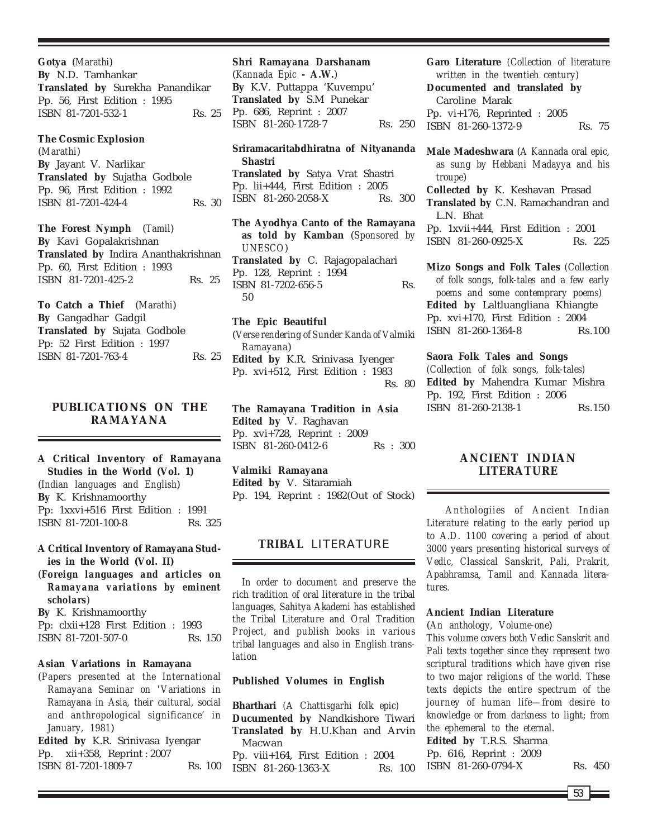**Gotya** (*Marathi*) **By** N.D. Tamhankar **Translated by** Surekha Panandikar Pp. 56, First Edition : 1995 ISBN 81-7201-532-1 Rs. 25

#### **The Cosmic Explosion**

(*Marathi*) **By** Jayant V. Narlikar **Translated by** Sujatha Godbole Pp. 96, First Edition : 1992 ISBN 81-7201-424-4 Rs. 30

**The Forest Nymph** (*Tamil*) **By** Kavi Gopalakrishnan **Translated by** Indira Ananthakrishnan Pp. 60, First Edition : 1993 ISBN 81-7201-425-2 Rs. 25

**To Catch a Thief** (*Marathi*) **By** Gangadhar Gadgil **Translated by** Sujata Godbole Pp: 52 First Edition : 1997 ISBN 81-7201-763-4 Rs. 25

# **PUBLICATIONS ON THE RAMAYANA**

**A Critical Inventory of Ramayana Studies in the World (Vol. 1)** (*Indian languages and English*) **By** K. Krishnamoorthy Pp: 1xxvi+516 First Edition : 1991 ISBN 81-7201-100-8 Rs. 325

# **A Critical Inventory of Ramayana Studies in the World (Vol. II)**

(*Foreign languages and articles on Ramayana variations by eminent scholars*)

**By** K. Krishnamoorthy

Pp: clxii+128 First Edition : 1993 ISBN 81-7201-507-0 Rs. 150

# **Asian Variations in Ramayana**

(*Papers presented at the International Ramayana Seminar on 'Variations in Ramayana in Asia, their cultural, social and anthropological significance' in January, 1981*)

**Edited by** K.R. Srinivasa Iyengar Pp. xii+358, Reprint : 2007 ISBN 81-7201-1809-7 Rs. 100

# **Shri Ramayana Darshanam** (*Kannada Epic* **- A.W.**) **By** K.V. Puttappa 'Kuvempu' **Translated by** S.M Punekar Pp. 686, Reprint : 2007 ISBN 81-260-1728-7 Rs. 250

**Sriramacaritabdhiratna of Nityananda Shastri Translated by** Satya Vrat Shastri Pp. lii+444, First Edition : 2005 ISBN 81-260-2058-X Rs. 300

**The Ayodhya Canto of the Ramayana as told by Kamban** (*Sponsored by UNESCO*) **Translated by** C. Rajagopalachari Pp. 128, Reprint : 1994 ISBN 81-7202-656-5 Rs. 50

#### **The Epic Beautiful**

(*Verse rendering of Sunder Kanda of Valmiki Ramayana*) **Edited by** K.R. Srinivasa Iyenger

Pp. xvi+512, First Edition : 1983 Rs. 80

**The Ramayana Tradition in Asia Edited by** V. Raghavan Pp. xvi+728, Reprint : 2009 ISBN 81-260-0412-6 Rs : 300

**Valmiki Ramayana Edited by** V. Sitaramiah Pp. 194, Reprint : 1982(Out of Stock)

# **TRIBAL** LITERATURE

*In order to document and preserve the rich tradition of oral literature in the tribal languages, Sahitya Akademi has established the Tribal Literature and Oral Tradition Project, and publish books in various tribal languages and also in English translation*

# **Published Volumes in English**

**Bharthari** *(A Chattisgarhi folk epic)* **Ducumented by** Nandkishore Tiwari **Translated by** H.U.Khan and Arvin Macwan Pp. viii+164, First Edition : 2004 ISBN 81-260-1363-X Rs. 100

**Garo Literature** *(Collection of literature written in the twentieh century)* **Documented and translated by** Caroline Marak Pp. vi+176, Reprinted : 2005 ISBN 81-260-1372-9 Rs. 75

**Male Madeshwara** (*A Kannada oral epic, as sung by Hebbani Madayya and his troupe*)

**Collected by** K. Keshavan Prasad **Translated by** C.N. Ramachandran and L.N. Bhat Pp. 1xvii+444, First Edition : 2001

ISBN 81-260-0925-X Rs. 225

**Mizo Songs and Folk Tales** *(Collection of folk songs, folk-tales and a few early poems and some contemprary poems)* **Edited by** Laltluangliana Khiangte Pp. xvi+170, First Edition : 2004 ISBN 81-260-1364-8 Rs.100

**Saora Folk Tales and Songs** *(Collection of folk songs, folk-tales)* **Edited by** Mahendra Kumar Mishra Pp. 192, First Edition : 2006 ISBN 81-260-2138-1 Rs.150

# **ANCIENT INDIAN LITERATURE**

*Anthologiies of Ancient Indian Literature relating to the early period up to A.D. 1100 covering a period of about 3000 years presenting historical surveys of Vedic, Classical Sanskrit, Pali, Prakrit, Apabhramsa, Tamil and Kannada literatures.*

# **Ancient Indian Literature**

(*An anthology, Volume-one*)

*This volume covers both Vedic Sanskrit and Pali texts together since they represent two scriptural traditions which have given rise to two major religions of the world. These texts depicts the entire spectrum of the journey of human life—from desire to knowledge or from darkness to light; from the ephemeral to the eternal.* **Edited by** T.R.S. Sharma Pp. 616, Reprint : 2009 ISBN 81-260-0794-X Rs. 450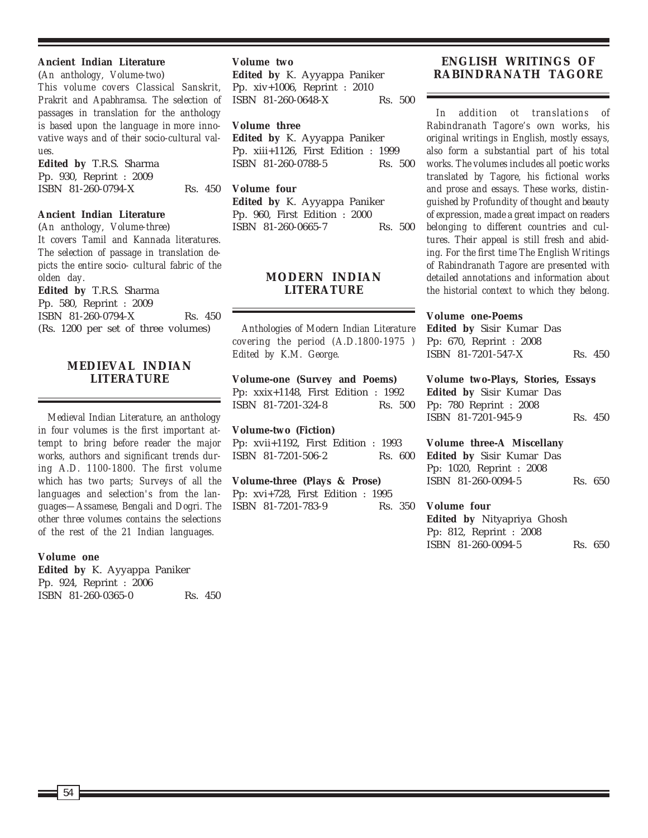# **Ancient Indian Literature**

(*An anthology, Volume-two*) *This volume covers Classical Sanskrit, Prakrit and Apabhramsa. The selection of passages in translation for the anthology is based upon the language in more innovative ways and of their socio-cultural values.*

**Edited by** T.R.S. Sharma Pp. 930, Reprint : 2009 ISBN 81-260-0794-X Rs. 450

**Ancient Indian Literature**

(*An anthology, Volume-three*) *It covers Tamil and Kannada literatures. The selection of passage in translation depicts the entire socio- cultural fabric of the olden day.* **Edited by** T.R.S. Sharma Pp. 580, Reprint : 2009 ISBN 81-260-0794-X Rs. 450 (Rs. 1200 per set of three volumes)

# **MEDIEVAL INDIAN LITERATURE**

*Medieval Indian Literature, an anthology in four volumes is the first important attempt to bring before reader the major works, authors and significant trends during A.D. 1100-1800. The first volume which has two parts; Surveys of all the languages and selection's from the languages—Assamese, Bengali and Dogri. The other three volumes contains the selections of the rest of the 21 Indian languages.*

# **Volume one**

**Edited by** K. Ayyappa Paniker Pp. 924, Reprint : 2006 ISBN 81-260-0365-0 Rs. 450

#### **Volume two**

**Edited by** K. Ayyappa Paniker Pp. xiv+1006, Reprint : 2010 ISBN 81-260-0648-X Rs. 500

# **Volume three**

**Edited by** K. Ayyappa Paniker Pp. xiii+1126, First Edition : 1999 ISBN 81-260-0788-5 Rs. 500

# **Volume four**

**Edited by** K. Ayyappa Paniker Pp. 960, First Edition : 2000 ISBN 81-260-0665-7 Rs. 500

# **MODERN INDIAN LITERATURE**

*Anthologies of Modern Indian Literature covering the period (A.D.1800-1975 ) Edited by K.M. George.*

**Volume-one (Survey and Poems)** Pp: xxix+1148, First Edition : 1992 ISBN 81-7201-324-8 Rs. 500

**Volume-two (Fiction)** Pp: xvii+1192, First Edition : 1993 ISBN 81-7201-506-2 Rs. 600

**Volume-three (Plays & Prose)** Pp: xvi+728, First Edition : 1995 ISBN 81-7201-783-9 Rs. 350

# **ENGLISH WRITINGS OF RABINDRANATH TAGORE**

*In addition ot translations of Rabindranath Tagore's own works, his original writings in English, mostly essays, also form a substantial part of his total works. The volumes includes all poetic works translated by Tagore, his fictional works and prose and essays. These works, distinguished by Profundity of thought and beauty of expression, made a great impact on readers belonging to different countries and cultures. Their appeal is still fresh and abiding. For the first time The English Writings of Rabindranath Tagore are presented with detailed annotations and information about the historial context to which they belong.*

#### **Volume one-Poems**

**Edited by** Sisir Kumar Das Pp: 670, Reprint : 2008 ISBN 81-7201-547-X Rs. 450

**Volume two-Plays, Stories, Essays Edited by** Sisir Kumar Das Pp: 780 Reprint : 2008 ISBN 81-7201-945-9 Rs. 450

**Volume three-A Miscellany Edited by** Sisir Kumar Das Pp: 1020, Reprint : 2008 ISBN 81-260-0094-5 Rs. 650

**Volume four Edited by** Nityapriya Ghosh Pp: 812, Reprint : 2008 ISBN 81-260-0094-5 Rs. 650